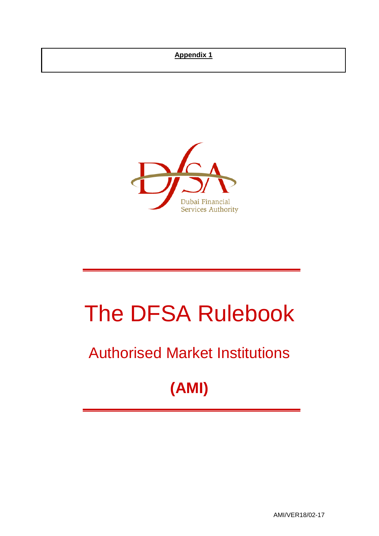## **Appendix 1**



# The DFSA Rulebook

## Authorised Market Institutions

## **(AMI)**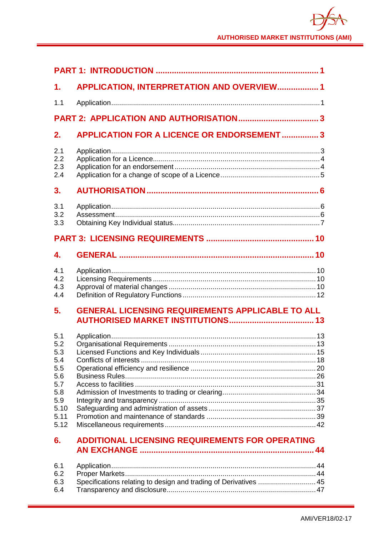| 1.                                                                                  | APPLICATION, INTERPRETATION AND OVERVIEW 1                       |  |
|-------------------------------------------------------------------------------------|------------------------------------------------------------------|--|
| 1.1                                                                                 |                                                                  |  |
|                                                                                     |                                                                  |  |
| 2.                                                                                  | <b>APPLICATION FOR A LICENCE OR ENDORSEMENT  3</b>               |  |
| 2.1<br>2.2<br>2.3<br>2.4                                                            |                                                                  |  |
| 3.                                                                                  |                                                                  |  |
| 3.1<br>3.2<br>3.3                                                                   |                                                                  |  |
|                                                                                     |                                                                  |  |
| 4.                                                                                  |                                                                  |  |
| 4.1<br>4.2<br>4.3<br>4.4                                                            |                                                                  |  |
| 5.                                                                                  | <b>GENERAL LICENSING REQUIREMENTS APPLICABLE TO ALL</b>          |  |
| 5.1<br>5.2<br>5.3<br>5.4<br>5.5<br>5.6<br>5.7<br>5.8<br>5.9<br>5.10<br>5.11<br>5.12 |                                                                  |  |
| 6.                                                                                  | <b>ADDITIONAL LICENSING REQUIREMENTS FOR OPERATING</b>           |  |
| 6.1<br>6.2<br>6.3<br>6.4                                                            | Specifications relating to design and trading of Derivatives  45 |  |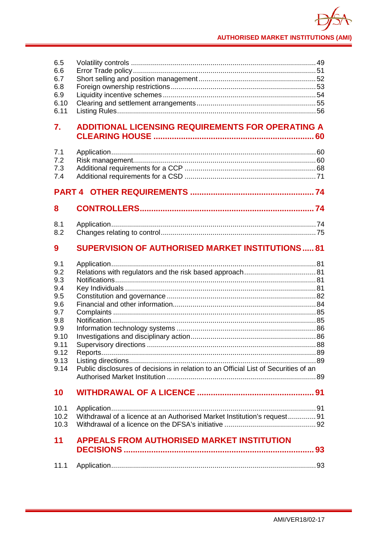| 6.5<br>6.6<br>6.7<br>6.8<br>6.9<br>6.10<br>6.11                                                     |                                                                                     |  |
|-----------------------------------------------------------------------------------------------------|-------------------------------------------------------------------------------------|--|
| 7.                                                                                                  | <b>ADDITIONAL LICENSING REQUIREMENTS FOR OPERATING A</b>                            |  |
| 7.1<br>7.2<br>7.3<br>7.4                                                                            |                                                                                     |  |
|                                                                                                     |                                                                                     |  |
| 8                                                                                                   |                                                                                     |  |
| 8.1<br>8.2                                                                                          |                                                                                     |  |
| 9                                                                                                   | <b>SUPERVISION OF AUTHORISED MARKET INSTITUTIONS 81</b>                             |  |
| 9.1<br>9.2<br>9.3<br>9.4<br>9.5<br>9.6<br>9.7<br>9.8<br>9.9<br>9.10<br>9.11<br>9.12<br>9.13<br>9.14 | Public disclosures of decisions in relation to an Official List of Securities of an |  |
| 10                                                                                                  |                                                                                     |  |
| 10.1<br>10.2<br>10.3                                                                                | Withdrawal of a licence at an Authorised Market Institution's request 91            |  |
| 11                                                                                                  | <b>APPEALS FROM AUTHORISED MARKET INSTITUTION</b>                                   |  |
| 11.1                                                                                                |                                                                                     |  |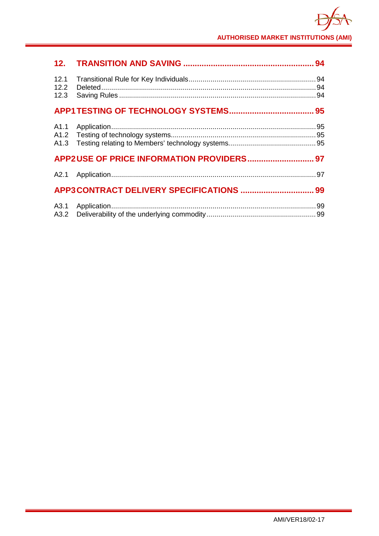| 12.1<br>12.2<br>12.3 |  |
|----------------------|--|
|                      |  |
| A1.1                 |  |
|                      |  |
|                      |  |
|                      |  |
| A3.1<br>A3.2         |  |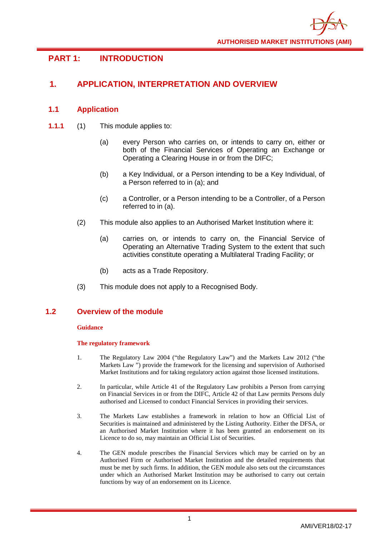## <span id="page-4-0"></span>**PART 1: INTRODUCTION**

## <span id="page-4-1"></span>**1. APPLICATION, INTERPRETATION AND OVERVIEW**

## <span id="page-4-2"></span>**1.1 Application**

- **1.1.1** (1) This module applies to:
	- (a) every Person who carries on, or intends to carry on, either or both of the Financial Services of Operating an Exchange or Operating a Clearing House in or from the DIFC;
	- (b) a Key Individual, or a Person intending to be a Key Individual, of a Person referred to in (a); and
	- (c) a Controller, or a Person intending to be a Controller, of a Person referred to in (a).
	- (2) This module also applies to an Authorised Market Institution where it:
		- (a) carries on, or intends to carry on, the Financial Service of Operating an Alternative Trading System to the extent that such activities constitute operating a Multilateral Trading Facility; or
		- (b) acts as a Trade Repository.
	- (3) This module does not apply to a Recognised Body.

#### **1.2 Overview of the module**

#### **Guidance**

#### **The regulatory framework**

- 1. The Regulatory Law 2004 ("the Regulatory Law") and the Markets Law 2012 ("the Markets Law ") provide the framework for the licensing and supervision of Authorised Market Institutions and for taking regulatory action against those licensed institutions.
- 2. In particular, while Article 41 of the Regulatory Law prohibits a Person from carrying on Financial Services in or from the DIFC, Article 42 of that Law permits Persons duly authorised and Licensed to conduct Financial Services in providing their services.
- 3. The Markets Law establishes a framework in relation to how an Official List of Securities is maintained and administered by the Listing Authority. Either the DFSA, or an Authorised Market Institution where it has been granted an endorsement on its Licence to do so, may maintain an Official List of Securities.
- 4. The GEN module prescribes the Financial Services which may be carried on by an Authorised Firm or Authorised Market Institution and the detailed requirements that must be met by such firms. In addition, the GEN module also sets out the circumstances under which an Authorised Market Institution may be authorised to carry out certain functions by way of an endorsement on its Licence.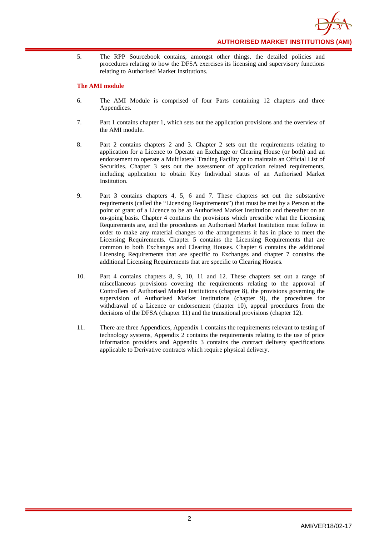

5. The RPP Sourcebook contains, amongst other things, the detailed policies and procedures relating to how the DFSA exercises its licensing and supervisory functions relating to Authorised Market Institutions.

#### **The AMI module**

- 6. The AMI Module is comprised of four Parts containing 12 chapters and three Appendices.
- 7. Part 1 contains chapter 1, which sets out the application provisions and the overview of the AMI module.
- 8. Part 2 contains chapters 2 and 3. Chapter 2 sets out the requirements relating to application for a Licence to Operate an Exchange or Clearing House (or both) and an endorsement to operate a Multilateral Trading Facility or to maintain an Official List of Securities. Chapter 3 sets out the assessment of application related requirements, including application to obtain Key Individual status of an Authorised Market Institution.
- 9. Part 3 contains chapters 4, 5, 6 and 7. These chapters set out the substantive requirements (called the "Licensing Requirements") that must be met by a Person at the point of grant of a Licence to be an Authorised Market Institution and thereafter on an on-going basis. Chapter 4 contains the provisions which prescribe what the Licensing Requirements are, and the procedures an Authorised Market Institution must follow in order to make any material changes to the arrangements it has in place to meet the Licensing Requirements. Chapter 5 contains the Licensing Requirements that are common to both Exchanges and Clearing Houses. Chapter 6 contains the additional Licensing Requirements that are specific to Exchanges and chapter 7 contains the additional Licensing Requirements that are specific to Clearing Houses.
- 10. Part 4 contains chapters 8, 9, 10, 11 and 12. These chapters set out a range of miscellaneous provisions covering the requirements relating to the approval of Controllers of Authorised Market Institutions (chapter 8), the provisions governing the supervision of Authorised Market Institutions (chapter 9), the procedures for withdrawal of a Licence or endorsement (chapter 10), appeal procedures from the decisions of the DFSA (chapter 11) and the transitional provisions (chapter 12).
- 11. There are three Appendices, Appendix 1 contains the requirements relevant to testing of technology systems, Appendix 2 contains the requirements relating to the use of price information providers and Appendix 3 contains the contract delivery specifications applicable to Derivative contracts which require physical delivery.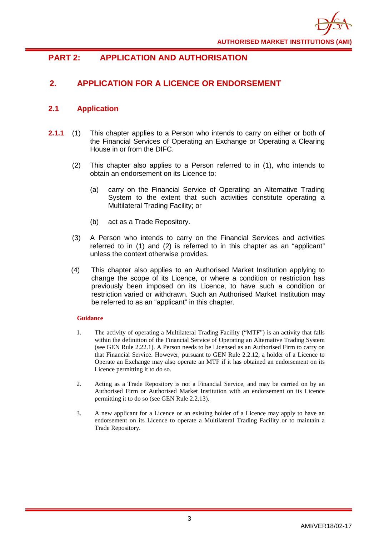

## <span id="page-6-0"></span>**PART 2: APPLICATION AND AUTHORISATION**

## <span id="page-6-1"></span>**2. APPLICATION FOR A LICENCE OR ENDORSEMENT**

## <span id="page-6-2"></span>**2.1 Application**

- **2.1.1** (1) This chapter applies to a Person who intends to carry on either or both of the Financial Services of Operating an Exchange or Operating a Clearing House in or from the DIFC.
	- (2) This chapter also applies to a Person referred to in (1), who intends to obtain an endorsement on its Licence to:
		- (a) carry on the Financial Service of Operating an Alternative Trading System to the extent that such activities constitute operating a Multilateral Trading Facility; or
		- (b) act as a Trade Repository.
	- (3) A Person who intends to carry on the Financial Services and activities referred to in (1) and (2) is referred to in this chapter as an "applicant" unless the context otherwise provides.
	- (4) This chapter also applies to an Authorised Market Institution applying to change the scope of its Licence, or where a condition or restriction has previously been imposed on its Licence, to have such a condition or restriction varied or withdrawn. Such an Authorised Market Institution may be referred to as an "applicant" in this chapter.

- 1. The activity of operating a Multilateral Trading Facility ("MTF") is an activity that falls within the definition of the Financial Service of Operating an Alternative Trading System (see GEN Rule 2.22.1). A Person needs to be Licensed as an Authorised Firm to carry on that Financial Service. However, pursuant to GEN Rule 2.2.12, a holder of a Licence to Operate an Exchange may also operate an MTF if it has obtained an endorsement on its Licence permitting it to do so.
- 2. Acting as a Trade Repository is not a Financial Service, and may be carried on by an Authorised Firm or Authorised Market Institution with an endorsement on its Licence permitting it to do so (see GEN Rule 2.2.13).
- 3. A new applicant for a Licence or an existing holder of a Licence may apply to have an endorsement on its Licence to operate a Multilateral Trading Facility or to maintain a Trade Repository.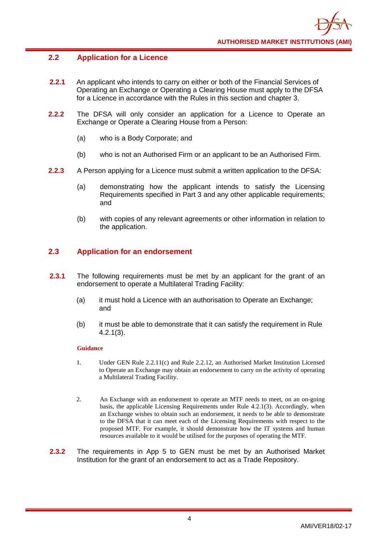## <span id="page-7-0"></span>**2.2 Application for a Licence**

- **2.2.1** An applicant who intends to carry on either or both of the Financial Services of Operating an Exchange or Operating a Clearing House must apply to the DFSA for a Licence in accordance with the Rules in this section and chapter 3.
- **2.2.2** The DFSA will only consider an application for a Licence to Operate an Exchange or Operate a Clearing House from a Person:
	- (a) who is a Body Corporate; and
	- (b) who is not an Authorised Firm or an applicant to be an Authorised Firm.
- **2.2.3** A Person applying for a Licence must submit a written application to the DFSA:
	- (a) demonstrating how the applicant intends to satisfy the Licensing Requirements specified in Part 3 and any other applicable requirements; and
	- (b) with copies of any relevant agreements or other information in relation to the application.

## <span id="page-7-1"></span>**2.3 Application for an endorsement**

- **2.3.1** The following requirements must be met by an applicant for the grant of an endorsement to operate a Multilateral Trading Facility:
	- (a) it must hold a Licence with an authorisation to Operate an Exchange; and
	- (b) it must be able to demonstrate that it can satisfy the requirement in Rule 4.2.1(3).

- 1. Under GEN Rule 2.2.11(c) and Rule 2.2.12, an Authorised Market Institution Licensed to Operate an Exchange may obtain an endorsement to carry on the activity of operating a Multilateral Trading Facility.
- 2. An Exchange with an endorsement to operate an MTF needs to meet, on an on-going basis, the applicable Licensing Requirements under Rule 4.2.1(3). Accordingly, when an Exchange wishes to obtain such an endorsement, it needs to be able to demonstrate to the DFSA that it can meet each of the Licensing Requirements with respect to the proposed MTF. For example, it should demonstrate how the IT systems and human resources available to it would be utilised for the purposes of operating the MTF.
- **2.3.2** The requirements in App 5 to GEN must be met by an Authorised Market Institution for the grant of an endorsement to act as a Trade Repository.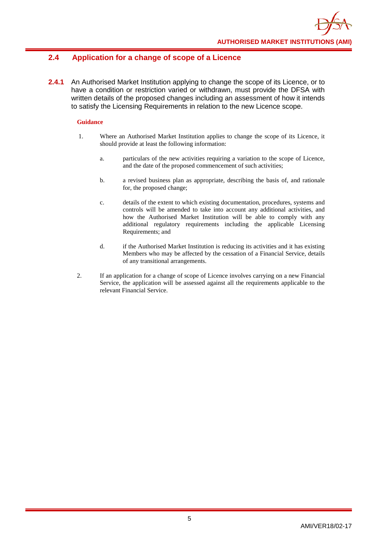## <span id="page-8-0"></span>**2.4 Application for a change of scope of a Licence**

**2.4.1** An Authorised Market Institution applying to change the scope of its Licence, or to have a condition or restriction varied or withdrawn, must provide the DFSA with written details of the proposed changes including an assessment of how it intends to satisfy the Licensing Requirements in relation to the new Licence scope.

- 1. Where an Authorised Market Institution applies to change the scope of its Licence, it should provide at least the following information:
	- a. particulars of the new activities requiring a variation to the scope of Licence, and the date of the proposed commencement of such activities;
	- b. a revised business plan as appropriate, describing the basis of, and rationale for, the proposed change;
	- c. details of the extent to which existing documentation, procedures, systems and controls will be amended to take into account any additional activities, and how the Authorised Market Institution will be able to comply with any additional regulatory requirements including the applicable Licensing Requirements; and
	- d. if the Authorised Market Institution is reducing its activities and it has existing Members who may be affected by the cessation of a Financial Service, details of any transitional arrangements.
- 2. If an application for a change of scope of Licence involves carrying on a new Financial Service, the application will be assessed against all the requirements applicable to the relevant Financial Service.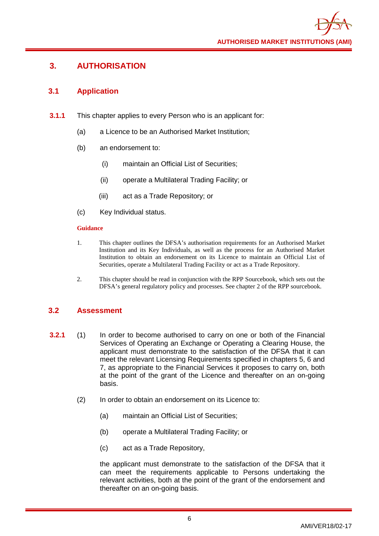## <span id="page-9-0"></span>**3. AUTHORISATION**

## <span id="page-9-1"></span>**3.1 Application**

- **3.1.1** This chapter applies to every Person who is an applicant for:
	- (a) a Licence to be an Authorised Market Institution;
	- (b) an endorsement to:
		- (i) maintain an Official List of Securities;
		- (ii) operate a Multilateral Trading Facility; or
		- (iii) act as a Trade Repository; or
	- (c) Key Individual status.

#### **Guidance**

- 1. This chapter outlines the DFSA's authorisation requirements for an Authorised Market Institution and its Key Individuals, as well as the process for an Authorised Market Institution to obtain an endorsement on its Licence to maintain an Official List of Securities, operate a Multilateral Trading Facility or act as a Trade Repository.
- 2. This chapter should be read in conjunction with the RPP Sourcebook, which sets out the DFSA's general regulatory policy and processes. See chapter 2 of the RPP sourcebook.

## <span id="page-9-2"></span>**3.2 Assessment**

- **3.2.1** (1) In order to become authorised to carry on one or both of the Financial Services of Operating an Exchange or Operating a Clearing House, the applicant must demonstrate to the satisfaction of the DFSA that it can meet the relevant Licensing Requirements specified in chapters 5, 6 and 7, as appropriate to the Financial Services it proposes to carry on, both at the point of the grant of the Licence and thereafter on an on-going basis.
	- (2) In order to obtain an endorsement on its Licence to:
		- (a) maintain an Official List of Securities;
		- (b) operate a Multilateral Trading Facility; or
		- (c) act as a Trade Repository,

the applicant must demonstrate to the satisfaction of the DFSA that it can meet the requirements applicable to Persons undertaking the relevant activities, both at the point of the grant of the endorsement and thereafter on an on-going basis.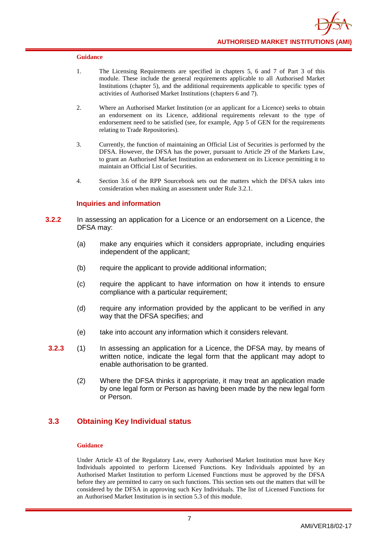- 1. The Licensing Requirements are specified in chapters 5, 6 and 7 of Part 3 of this module. These include the general requirements applicable to all Authorised Market Institutions (chapter 5), and the additional requirements applicable to specific types of activities of Authorised Market Institutions (chapters 6 and 7).
- 2. Where an Authorised Market Institution (or an applicant for a Licence) seeks to obtain an endorsement on its Licence, additional requirements relevant to the type of endorsement need to be satisfied (see, for example, App 5 of GEN for the requirements relating to Trade Repositories).
- 3. Currently, the function of maintaining an Official List of Securities is performed by the DFSA. However, the DFSA has the power, pursuant to Article 29 of the Markets Law, to grant an Authorised Market Institution an endorsement on its Licence permitting it to maintain an Official List of Securities.
- 4. Section 3.6 of the RPP Sourcebook sets out the matters which the DFSA takes into consideration when making an assessment under Rule 3.2.1.

#### **Inquiries and information**

- **3.2.2** In assessing an application for a Licence or an endorsement on a Licence, the DFSA may:
	- (a) make any enquiries which it considers appropriate, including enquiries independent of the applicant;
	- (b) require the applicant to provide additional information;
	- (c) require the applicant to have information on how it intends to ensure compliance with a particular requirement;
	- (d) require any information provided by the applicant to be verified in any way that the DFSA specifies; and
	- (e) take into account any information which it considers relevant.
- **3.2.3** (1) In assessing an application for a Licence, the DFSA may, by means of written notice, indicate the legal form that the applicant may adopt to enable authorisation to be granted.
	- (2) Where the DFSA thinks it appropriate, it may treat an application made by one legal form or Person as having been made by the new legal form or Person.

## <span id="page-10-0"></span>**3.3 Obtaining Key Individual status**

#### **Guidance**

Under Article 43 of the Regulatory Law, every Authorised Market Institution must have Key Individuals appointed to perform Licensed Functions. Key Individuals appointed by an Authorised Market Institution to perform Licensed Functions must be approved by the DFSA before they are permitted to carry on such functions. This section sets out the matters that will be considered by the DFSA in approving such Key Individuals. The list of Licensed Functions for an Authorised Market Institution is in section 5.3 of this module.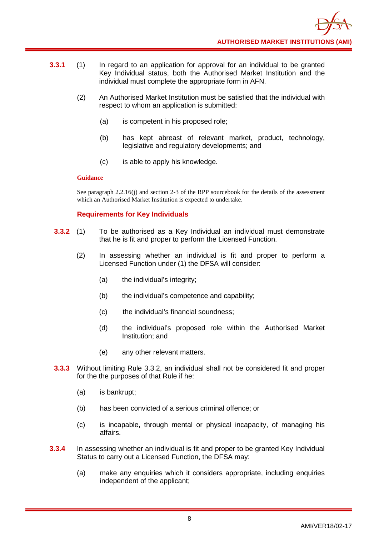- **3.3.1** (1) In regard to an application for approval for an individual to be granted Key Individual status, both the Authorised Market Institution and the individual must complete the appropriate form in AFN.
	- (2) An Authorised Market Institution must be satisfied that the individual with respect to whom an application is submitted:
		- (a) is competent in his proposed role;
		- (b) has kept abreast of relevant market, product, technology, legislative and regulatory developments; and
		- (c) is able to apply his knowledge.

See paragraph 2.2.16(j) and section 2-3 of the RPP sourcebook for the details of the assessment which an Authorised Market Institution is expected to undertake.

#### **Requirements for Key Individuals**

- **3.3.2** (1) To be authorised as a Key Individual an individual must demonstrate that he is fit and proper to perform the Licensed Function.
	- (2) In assessing whether an individual is fit and proper to perform a Licensed Function under (1) the DFSA will consider:
		- (a) the individual's integrity;
		- (b) the individual's competence and capability;
		- (c) the individual's financial soundness;
		- (d) the individual's proposed role within the Authorised Market Institution; and
		- (e) any other relevant matters.
- **3.3.3** Without limiting Rule 3.3.2, an individual shall not be considered fit and proper for the the purposes of that Rule if he:
	- (a) is bankrupt;
	- (b) has been convicted of a serious criminal offence; or
	- (c) is incapable, through mental or physical incapacity, of managing his affairs.
- **3.3.4** In assessing whether an individual is fit and proper to be granted Key Individual Status to carry out a Licensed Function, the DFSA may:
	- (a) make any enquiries which it considers appropriate, including enquiries independent of the applicant;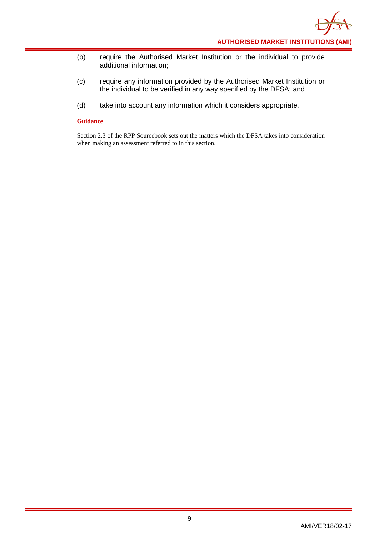- (b) require the Authorised Market Institution or the individual to provide additional information;
- (c) require any information provided by the Authorised Market Institution or the individual to be verified in any way specified by the DFSA; and
- (d) take into account any information which it considers appropriate.

Section 2.3 of the RPP Sourcebook sets out the matters which the DFSA takes into consideration when making an assessment referred to in this section.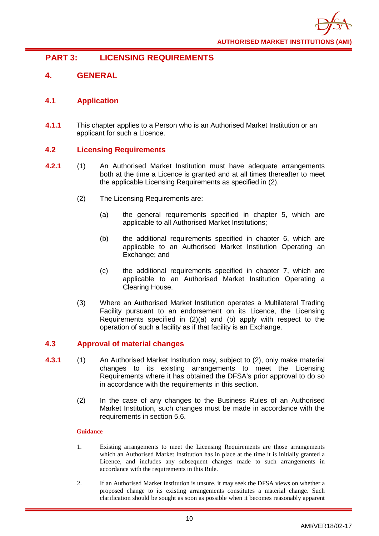

## <span id="page-13-0"></span>**PART 3: LICENSING REQUIREMENTS**

## <span id="page-13-1"></span>**4. GENERAL**

## <span id="page-13-2"></span>**4.1 Application**

**4.1.1** This chapter applies to a Person who is an Authorised Market Institution or an applicant for such a Licence.

## <span id="page-13-3"></span>**4.2 Licensing Requirements**

- **4.2.1** (1) An Authorised Market Institution must have adequate arrangements both at the time a Licence is granted and at all times thereafter to meet the applicable Licensing Requirements as specified in (2).
	- (2) The Licensing Requirements are:
		- (a) the general requirements specified in chapter 5, which are applicable to all Authorised Market Institutions;
		- (b) the additional requirements specified in chapter 6, which are applicable to an Authorised Market Institution Operating an Exchange; and
		- (c) the additional requirements specified in chapter 7, which are applicable to an Authorised Market Institution Operating a Clearing House.
	- (3) Where an Authorised Market Institution operates a Multilateral Trading Facility pursuant to an endorsement on its Licence, the Licensing Requirements specified in (2)(a) and (b) apply with respect to the operation of such a facility as if that facility is an Exchange.

#### <span id="page-13-4"></span>**4.3 Approval of material changes**

- **4.3.1** (1) An Authorised Market Institution may, subject to (2), only make material changes to its existing arrangements to meet the Licensing Requirements where it has obtained the DFSA's prior approval to do so in accordance with the requirements in this section.
	- (2) In the case of any changes to the Business Rules of an Authorised Market Institution, such changes must be made in accordance with the requirements in section 5.6.

- 1. Existing arrangements to meet the Licensing Requirements are those arrangements which an Authorised Market Institution has in place at the time it is initially granted a Licence, and includes any subsequent changes made to such arrangements in accordance with the requirements in this Rule.
- 2. If an Authorised Market Institution is unsure, it may seek the DFSA views on whether a proposed change to its existing arrangements constitutes a material change. Such clarification should be sought as soon as possible when it becomes reasonably apparent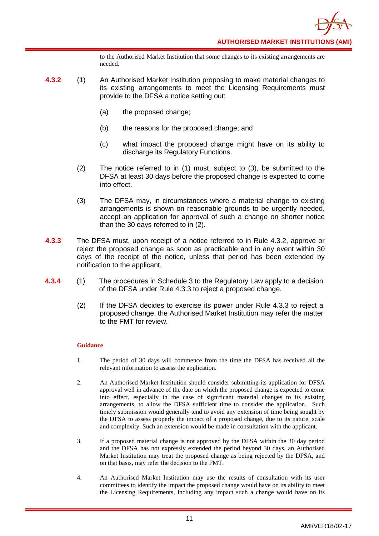to the Authorised Market Institution that some changes to its existing arrangements are needed.

- **4.3.2** (1) An Authorised Market Institution proposing to make material changes to its existing arrangements to meet the Licensing Requirements must provide to the DFSA a notice setting out:
	- (a) the proposed change;
	- (b) the reasons for the proposed change; and
	- (c) what impact the proposed change might have on its ability to discharge its Regulatory Functions.
	- (2) The notice referred to in (1) must, subject to (3), be submitted to the DFSA at least 30 days before the proposed change is expected to come into effect.
	- (3) The DFSA may, in circumstances where a material change to existing arrangements is shown on reasonable grounds to be urgently needed, accept an application for approval of such a change on shorter notice than the 30 days referred to in (2).
- **4.3.3** The DFSA must, upon receipt of a notice referred to in Rule 4.3.2, approve or reject the proposed change as soon as practicable and in any event within 30 days of the receipt of the notice, unless that period has been extended by notification to the applicant.
- **4.3.4** (1) The procedures in Schedule 3 to the Regulatory Law apply to a decision of the DFSA under Rule 4.3.3 to reject a proposed change.
	- (2) If the DFSA decides to exercise its power under Rule 4.3.3 to reject a proposed change, the Authorised Market Institution may refer the matter to the FMT for review.

- 1. The period of 30 days will commence from the time the DFSA has received all the relevant information to assess the application.
- 2. An Authorised Market Institution should consider submitting its application for DFSA approval well in advance of the date on which the proposed change is expected to come into effect, especially in the case of significant material changes to its existing arrangements, to allow the DFSA sufficient time to consider the application. Such timely submission would generally tend to avoid any extension of time being sought by the DFSA to assess properly the impact of a proposed change, due to its nature, scale and complexity. Such an extension would be made in consultation with the applicant.
- 3. If a proposed material change is not approved by the DFSA within the 30 day period and the DFSA has not expressly extended the period beyond 30 days, an Authorised Market Institution may treat the proposed change as being rejected by the DFSA, and on that basis, may refer the decision to the FMT.
- 4. An Authorised Market Institution may use the results of consultation with its user committees to identify the impact the proposed change would have on its ability to meet the Licensing Requirements, including any impact such a change would have on its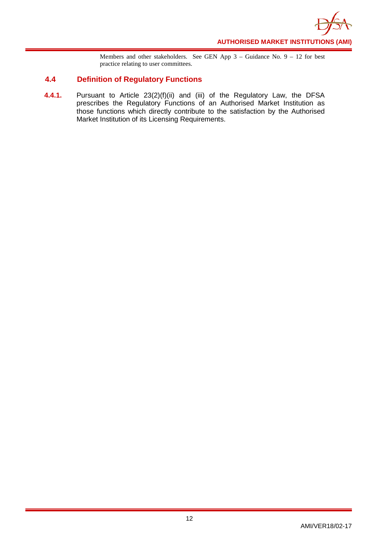

Members and other stakeholders. See GEN App 3 – Guidance No. 9 – 12 for best practice relating to user committees.

## <span id="page-15-0"></span>**4.4 Definition of Regulatory Functions**

**4.4.1.** Pursuant to Article 23(2)(f)(ii) and (iii) of the Regulatory Law, the DFSA prescribes the Regulatory Functions of an Authorised Market Institution as those functions which directly contribute to the satisfaction by the Authorised Market Institution of its Licensing Requirements.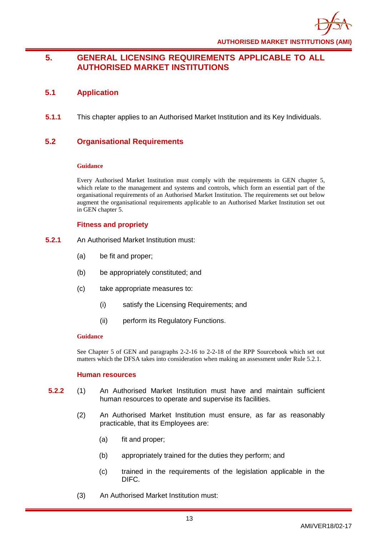

## <span id="page-16-0"></span>**5. GENERAL LICENSING REQUIREMENTS APPLICABLE TO ALL AUTHORISED MARKET INSTITUTIONS**

## <span id="page-16-1"></span>**5.1 Application**

**5.1.1** This chapter applies to an Authorised Market Institution and its Key Individuals.

## <span id="page-16-2"></span>**5.2 Organisational Requirements**

#### **Guidance**

Every Authorised Market Institution must comply with the requirements in GEN chapter 5, which relate to the management and systems and controls, which form an essential part of the organisational requirements of an Authorised Market Institution. The requirements set out below augment the organisational requirements applicable to an Authorised Market Institution set out in GEN chapter 5.

## **Fitness and propriety**

- **5.2.1** An Authorised Market Institution must:
	- (a) be fit and proper;
	- (b) be appropriately constituted; and
	- (c) take appropriate measures to:
		- (i) satisfy the Licensing Requirements; and
		- (ii) perform its Regulatory Functions.

#### **Guidance**

See Chapter 5 of GEN and paragraphs 2-2-16 to 2-2-18 of the RPP Sourcebook which set out matters which the DFSA takes into consideration when making an assessment under Rule 5.2.1.

#### **Human resources**

- **5.2.2** (1) An Authorised Market Institution must have and maintain sufficient human resources to operate and supervise its facilities.
	- (2) An Authorised Market Institution must ensure, as far as reasonably practicable, that its Employees are:
		- (a) fit and proper;
		- (b) appropriately trained for the duties they perform; and
		- (c) trained in the requirements of the legislation applicable in the DIFC.
	- (3) An Authorised Market Institution must: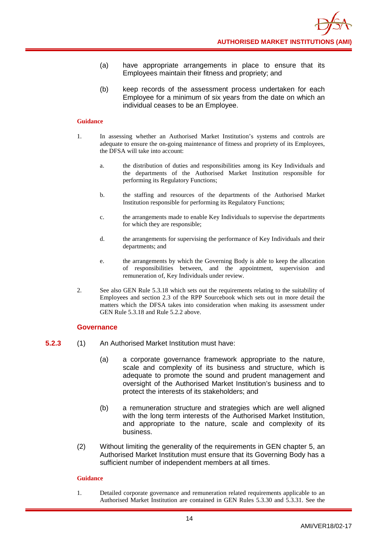- (a) have appropriate arrangements in place to ensure that its Employees maintain their fitness and propriety; and
- (b) keep records of the assessment process undertaken for each Employee for a minimum of six years from the date on which an individual ceases to be an Employee.

- 1. In assessing whether an Authorised Market Institution's systems and controls are adequate to ensure the on-going maintenance of fitness and propriety of its Employees, the DFSA will take into account:
	- a. the distribution of duties and responsibilities among its Key Individuals and the departments of the Authorised Market Institution responsible for performing its Regulatory Functions;
	- b. the staffing and resources of the departments of the Authorised Market Institution responsible for performing its Regulatory Functions;
	- c. the arrangements made to enable Key Individuals to supervise the departments for which they are responsible;
	- d. the arrangements for supervising the performance of Key Individuals and their departments; and
	- e. the arrangements by which the Governing Body is able to keep the allocation of responsibilities between, and the appointment, supervision and remuneration of, Key Individuals under review.
- 2. See also GEN Rule 5.3.18 which sets out the requirements relating to the suitability of Employees and section 2.3 of the RPP Sourcebook which sets out in more detail the matters which the DFSA takes into consideration when making its assessment under GEN Rule 5.3.18 and Rule 5.2.2 above.

#### **Governance**

- **5.2.3** (1) An Authorised Market Institution must have:
	- (a) a corporate governance framework appropriate to the nature, scale and complexity of its business and structure, which is adequate to promote the sound and prudent management and oversight of the Authorised Market Institution's business and to protect the interests of its stakeholders; and
	- (b) a remuneration structure and strategies which are well aligned with the long term interests of the Authorised Market Institution, and appropriate to the nature, scale and complexity of its business.
	- (2) Without limiting the generality of the requirements in GEN chapter 5, an Authorised Market Institution must ensure that its Governing Body has a sufficient number of independent members at all times.

#### **Guidance**

1. Detailed corporate governance and remuneration related requirements applicable to an Authorised Market Institution are contained in GEN Rules 5.3.30 and 5.3.31. See the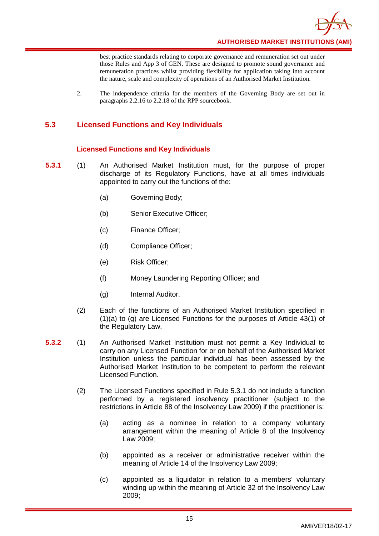

best practice standards relating to corporate governance and remuneration set out under those Rules and App 3 of GEN. These are designed to promote sound governance and remuneration practices whilst providing flexibility for application taking into account the nature, scale and complexity of operations of an Authorised Market Institution.

2. The independence criteria for the members of the Governing Body are set out in paragraphs 2.2.16 to 2.2.18 of the RPP sourcebook.

## <span id="page-18-0"></span>**5.3 Licensed Functions and Key Individuals**

#### **Licensed Functions and Key Individuals**

- **5.3.1** (1) An Authorised Market Institution must, for the purpose of proper discharge of its Regulatory Functions, have at all times individuals appointed to carry out the functions of the:
	- (a) Governing Body;
	- (b) Senior Executive Officer;
	- (c) Finance Officer;
	- (d) Compliance Officer;
	- (e) Risk Officer;
	- (f) Money Laundering Reporting Officer; and
	- (g) Internal Auditor.
	- (2) Each of the functions of an Authorised Market Institution specified in (1)(a) to (g) are Licensed Functions for the purposes of Article 43(1) of the Regulatory Law.
- **5.3.2** (1) An Authorised Market Institution must not permit a Key Individual to carry on any Licensed Function for or on behalf of the Authorised Market Institution unless the particular individual has been assessed by the Authorised Market Institution to be competent to perform the relevant Licensed Function.
	- (2) The Licensed Functions specified in Rule 5.3.1 do not include a function performed by a registered insolvency practitioner (subject to the restrictions in Article 88 of the Insolvency Law 2009) if the practitioner is:
		- (a) acting as a nominee in relation to a company voluntary arrangement within the meaning of Article 8 of the Insolvency Law 2009;
		- (b) appointed as a receiver or administrative receiver within the meaning of Article 14 of the Insolvency Law 2009;
		- (c) appointed as a liquidator in relation to a members' voluntary winding up within the meaning of Article 32 of the Insolvency Law 2009;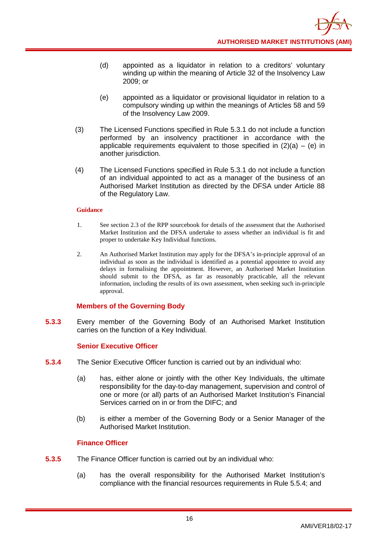- (d) appointed as a liquidator in relation to a creditors' voluntary winding up within the meaning of Article 32 of the Insolvency Law 2009; or
- (e) appointed as a liquidator or provisional liquidator in relation to a compulsory winding up within the meanings of Articles 58 and 59 of the Insolvency Law 2009.
- (3) The Licensed Functions specified in Rule 5.3.1 do not include a function performed by an insolvency practitioner in accordance with the applicable requirements equivalent to those specified in  $(2)(a) - (e)$  in another jurisdiction.
- (4) The Licensed Functions specified in Rule 5.3.1 do not include a function of an individual appointed to act as a manager of the business of an Authorised Market Institution as directed by the DFSA under Article 88 of the Regulatory Law.

- 1. See section 2.3 of the RPP sourcebook for details of the assessment that the Authorised Market Institution and the DFSA undertake to assess whether an individual is fit and proper to undertake Key Individual functions.
- 2. An Authorised Market Institution may apply for the DFSA's in-principle approval of an individual as soon as the individual is identified as a potential appointee to avoid any delays in formalising the appointment. However, an Authorised Market Institution should submit to the DFSA, as far as reasonably practicable, all the relevant information, including the results of its own assessment, when seeking such in-principle approval.

#### **Members of the Governing Body**

**5.3.3** Every member of the Governing Body of an Authorised Market Institution carries on the function of a Key Individual.

#### **Senior Executive Officer**

- **5.3.4** The Senior Executive Officer function is carried out by an individual who:
	- (a) has, either alone or jointly with the other Key Individuals, the ultimate responsibility for the day-to-day management, supervision and control of one or more (or all) parts of an Authorised Market Institution's Financial Services carried on in or from the DIFC; and
	- (b) is either a member of the Governing Body or a Senior Manager of the Authorised Market Institution.

#### **Finance Officer**

- **5.3.5** The Finance Officer function is carried out by an individual who:
	- (a) has the overall responsibility for the Authorised Market Institution's compliance with the financial resources requirements in Rule 5.5.4; and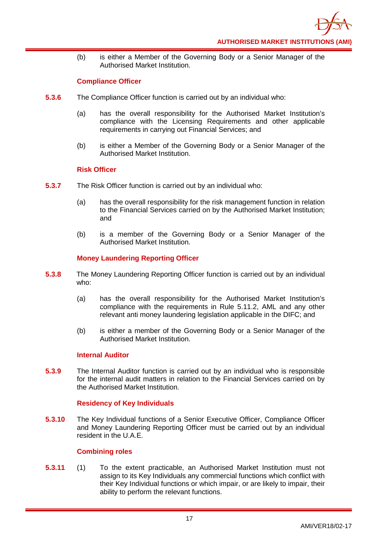(b) is either a Member of the Governing Body or a Senior Manager of the Authorised Market Institution.

## **Compliance Officer**

- **5.3.6** The Compliance Officer function is carried out by an individual who:
	- (a) has the overall responsibility for the Authorised Market Institution's compliance with the Licensing Requirements and other applicable requirements in carrying out Financial Services; and
	- (b) is either a Member of the Governing Body or a Senior Manager of the Authorised Market Institution.

#### **Risk Officer**

- **5.3.7** The Risk Officer function is carried out by an individual who:
	- (a) has the overall responsibility for the risk management function in relation to the Financial Services carried on by the Authorised Market Institution; and
	- (b) is a member of the Governing Body or a Senior Manager of the Authorised Market Institution.

#### **Money Laundering Reporting Officer**

- **5.3.8** The Money Laundering Reporting Officer function is carried out by an individual who:
	- (a) has the overall responsibility for the Authorised Market Institution's compliance with the requirements in Rule 5.11.2, AML and any other relevant anti money laundering legislation applicable in the DIFC; and
	- (b) is either a member of the Governing Body or a Senior Manager of the Authorised Market Institution.

#### **Internal Auditor**

**5.3.9** The Internal Auditor function is carried out by an individual who is responsible for the internal audit matters in relation to the Financial Services carried on by the Authorised Market Institution.

#### **Residency of Key Individuals**

**5.3.10** The Key Individual functions of a Senior Executive Officer, Compliance Officer and Money Laundering Reporting Officer must be carried out by an individual resident in the U.A.E.

#### **Combining roles**

**5.3.11** (1) To the extent practicable, an Authorised Market Institution must not assign to its Key Individuals any commercial functions which conflict with their Key Individual functions or which impair, or are likely to impair, their ability to perform the relevant functions.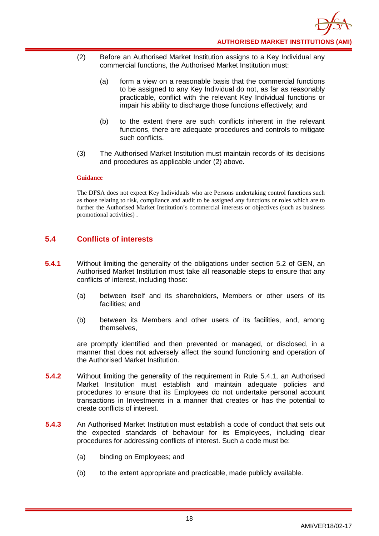- (2) Before an Authorised Market Institution assigns to a Key Individual any commercial functions, the Authorised Market Institution must:
	- (a) form a view on a reasonable basis that the commercial functions to be assigned to any Key Individual do not, as far as reasonably practicable, conflict with the relevant Key Individual functions or impair his ability to discharge those functions effectively; and
	- (b) to the extent there are such conflicts inherent in the relevant functions, there are adequate procedures and controls to mitigate such conflicts.
- (3) The Authorised Market Institution must maintain records of its decisions and procedures as applicable under (2) above.

The DFSA does not expect Key Individuals who are Persons undertaking control functions such as those relating to risk, compliance and audit to be assigned any functions or roles which are to further the Authorised Market Institution's commercial interests or objectives (such as business promotional activities) .

## <span id="page-21-0"></span>**5.4 Conflicts of interests**

- **5.4.1** Without limiting the generality of the obligations under section 5.2 of GEN, an Authorised Market Institution must take all reasonable steps to ensure that any conflicts of interest, including those:
	- (a) between itself and its shareholders, Members or other users of its facilities; and
	- (b) between its Members and other users of its facilities, and, among themselves,

are promptly identified and then prevented or managed, or disclosed, in a manner that does not adversely affect the sound functioning and operation of the Authorised Market Institution.

- **5.4.2** Without limiting the generality of the requirement in Rule 5.4.1, an Authorised Market Institution must establish and maintain adequate policies and procedures to ensure that its Employees do not undertake personal account transactions in Investments in a manner that creates or has the potential to create conflicts of interest.
- **5.4.3** An Authorised Market Institution must establish a code of conduct that sets out the expected standards of behaviour for its Employees, including clear procedures for addressing conflicts of interest. Such a code must be:
	- (a) binding on Employees; and
	- (b) to the extent appropriate and practicable, made publicly available.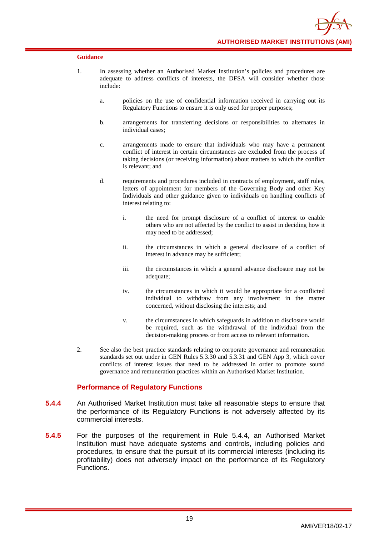- 1. In assessing whether an Authorised Market Institution's policies and procedures are adequate to address conflicts of interests, the DFSA will consider whether those include:
	- a. policies on the use of confidential information received in carrying out its Regulatory Functions to ensure it is only used for proper purposes;
	- b. arrangements for transferring decisions or responsibilities to alternates in individual cases;
	- c. arrangements made to ensure that individuals who may have a permanent conflict of interest in certain circumstances are excluded from the process of taking decisions (or receiving information) about matters to which the conflict is relevant; and
	- d. requirements and procedures included in contracts of employment, staff rules, letters of appointment for members of the Governing Body and other Key Individuals and other guidance given to individuals on handling conflicts of interest relating to:
		- i. the need for prompt disclosure of a conflict of interest to enable others who are not affected by the conflict to assist in deciding how it may need to be addressed;
		- ii. the circumstances in which a general disclosure of a conflict of interest in advance may be sufficient;
		- iii. the circumstances in which a general advance disclosure may not be adequate;
		- iv. the circumstances in which it would be appropriate for a conflicted individual to withdraw from any involvement in the matter concerned, without disclosing the interests; and
		- v. the circumstances in which safeguards in addition to disclosure would be required, such as the withdrawal of the individual from the decision-making process or from access to relevant information.
- 2. See also the best practice standards relating to corporate governance and remuneration standards set out under in GEN Rules 5.3.30 and 5.3.31 and GEN App 3, which cover conflicts of interest issues that need to be addressed in order to promote sound governance and remuneration practices within an Authorised Market Institution.

#### **Performance of Regulatory Functions**

- **5.4.4** An Authorised Market Institution must take all reasonable steps to ensure that the performance of its Regulatory Functions is not adversely affected by its commercial interests.
- **5.4.5** For the purposes of the requirement in Rule 5.4.4, an Authorised Market Institution must have adequate systems and controls, including policies and procedures, to ensure that the pursuit of its commercial interests (including its profitability) does not adversely impact on the performance of its Regulatory Functions.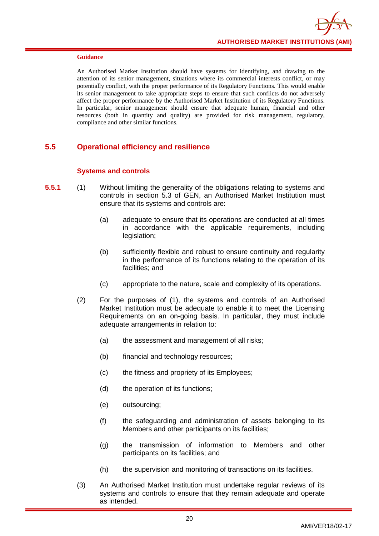An Authorised Market Institution should have systems for identifying, and drawing to the attention of its senior management, situations where its commercial interests conflict, or may potentially conflict, with the proper performance of its Regulatory Functions. This would enable its senior management to take appropriate steps to ensure that such conflicts do not adversely affect the proper performance by the Authorised Market Institution of its Regulatory Functions. In particular, senior management should ensure that adequate human, financial and other resources (both in quantity and quality) are provided for risk management, regulatory, compliance and other similar functions.

## <span id="page-23-0"></span>**5.5 Operational efficiency and resilience**

#### **Systems and controls**

- **5.5.1** (1) Without limiting the generality of the obligations relating to systems and controls in section 5.3 of GEN, an Authorised Market Institution must ensure that its systems and controls are:
	- (a) adequate to ensure that its operations are conducted at all times in accordance with the applicable requirements, including legislation;
	- (b) sufficiently flexible and robust to ensure continuity and regularity in the performance of its functions relating to the operation of its facilities; and
	- (c) appropriate to the nature, scale and complexity of its operations.
	- (2) For the purposes of (1), the systems and controls of an Authorised Market Institution must be adequate to enable it to meet the Licensing Requirements on an on-going basis. In particular, they must include adequate arrangements in relation to:
		- (a) the assessment and management of all risks;
		- (b) financial and technology resources;
		- (c) the fitness and propriety of its Employees;
		- (d) the operation of its functions;
		- (e) outsourcing;
		- (f) the safeguarding and administration of assets belonging to its Members and other participants on its facilities;
		- (g) the transmission of information to Members and other participants on its facilities; and
		- (h) the supervision and monitoring of transactions on its facilities.
	- (3) An Authorised Market Institution must undertake regular reviews of its systems and controls to ensure that they remain adequate and operate as intended.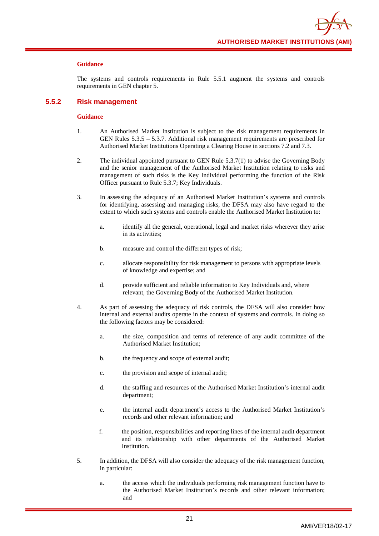The systems and controls requirements in Rule 5.5.1 augment the systems and controls requirements in GEN chapter 5.

#### **5.5.2 Risk management**

- 1. An Authorised Market Institution is subject to the risk management requirements in GEN Rules 5.3.5 – 5.3.7. Additional risk management requirements are prescribed for Authorised Market Institutions Operating a Clearing House in sections 7.2 and 7.3.
- 2. The individual appointed pursuant to GEN Rule 5.3.7(1) to advise the Governing Body and the senior management of the Authorised Market Institution relating to risks and management of such risks is the Key Individual performing the function of the Risk Officer pursuant to Rule 5.3.7; Key Individuals.
- 3. In assessing the adequacy of an Authorised Market Institution's systems and controls for identifying, assessing and managing risks, the DFSA may also have regard to the extent to which such systems and controls enable the Authorised Market Institution to:
	- a. identify all the general, operational, legal and market risks wherever they arise in its activities;
	- b. measure and control the different types of risk;
	- c. allocate responsibility for risk management to persons with appropriate levels of knowledge and expertise; and
	- d. provide sufficient and reliable information to Key Individuals and, where relevant, the Governing Body of the Authorised Market Institution.
- 4. As part of assessing the adequacy of risk controls, the DFSA will also consider how internal and external audits operate in the context of systems and controls. In doing so the following factors may be considered:
	- a. the size, composition and terms of reference of any audit committee of the Authorised Market Institution;
	- b. the frequency and scope of external audit;
	- c. the provision and scope of internal audit;
	- d. the staffing and resources of the Authorised Market Institution's internal audit department;
	- e. the internal audit department's access to the Authorised Market Institution's records and other relevant information; and
	- f. the position, responsibilities and reporting lines of the internal audit department and its relationship with other departments of the Authorised Market Institution.
- 5. In addition, the DFSA will also consider the adequacy of the risk management function, in particular:
	- a. the access which the individuals performing risk management function have to the Authorised Market Institution's records and other relevant information; and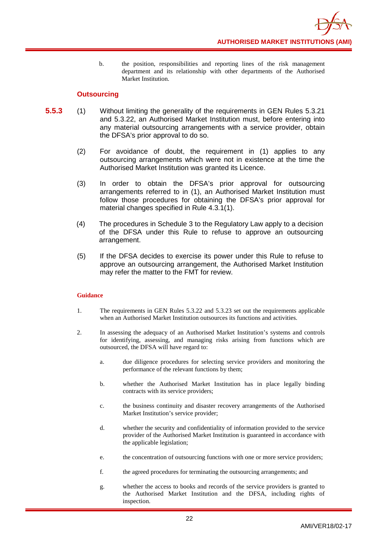b. the position, responsibilities and reporting lines of the risk management department and its relationship with other departments of the Authorised Market Institution.

#### **Outsourcing**

- **5.5.3** (1) Without limiting the generality of the requirements in GEN Rules 5.3.21 and 5.3.22, an Authorised Market Institution must, before entering into any material outsourcing arrangements with a service provider, obtain the DFSA's prior approval to do so.
	- (2) For avoidance of doubt, the requirement in (1) applies to any outsourcing arrangements which were not in existence at the time the Authorised Market Institution was granted its Licence.
	- (3) In order to obtain the DFSA's prior approval for outsourcing arrangements referred to in (1), an Authorised Market Institution must follow those procedures for obtaining the DFSA's prior approval for material changes specified in Rule 4.3.1(1).
	- (4) The procedures in Schedule 3 to the Regulatory Law apply to a decision of the DFSA under this Rule to refuse to approve an outsourcing arrangement.
	- (5) If the DFSA decides to exercise its power under this Rule to refuse to approve an outsourcing arrangement, the Authorised Market Institution may refer the matter to the FMT for review.

- 1. The requirements in GEN Rules 5.3.22 and 5.3.23 set out the requirements applicable when an Authorised Market Institution outsources its functions and activities.
- 2. In assessing the adequacy of an Authorised Market Institution's systems and controls for identifying, assessing, and managing risks arising from functions which are outsourced, the DFSA will have regard to:
	- a. due diligence procedures for selecting service providers and monitoring the performance of the relevant functions by them;
	- b. whether the Authorised Market Institution has in place legally binding contracts with its service providers;
	- c. the business continuity and disaster recovery arrangements of the Authorised Market Institution's service provider;
	- d. whether the security and confidentiality of information provided to the service provider of the Authorised Market Institution is guaranteed in accordance with the applicable legislation;
	- e. the concentration of outsourcing functions with one or more service providers;
	- f. the agreed procedures for terminating the outsourcing arrangements; and
	- g. whether the access to books and records of the service providers is granted to the Authorised Market Institution and the DFSA, including rights of inspection.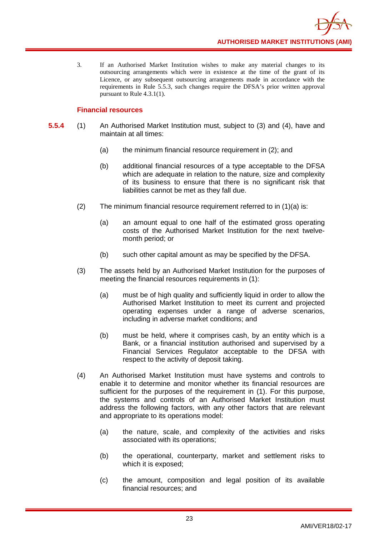3. If an Authorised Market Institution wishes to make any material changes to its outsourcing arrangements which were in existence at the time of the grant of its Licence, or any subsequent outsourcing arrangements made in accordance with the requirements in Rule 5.5.3, such changes require the DFSA's prior written approval pursuant to Rule 4.3.1(1).

## **Financial resources**

- **5.5.4** (1) An Authorised Market Institution must, subject to (3) and (4), have and maintain at all times:
	- (a) the minimum financial resource requirement in (2); and
	- (b) additional financial resources of a type acceptable to the DFSA which are adequate in relation to the nature, size and complexity of its business to ensure that there is no significant risk that liabilities cannot be met as they fall due.
	- (2) The minimum financial resource requirement referred to in (1)(a) is:
		- (a) an amount equal to one half of the estimated gross operating costs of the Authorised Market Institution for the next twelvemonth period; or
		- (b) such other capital amount as may be specified by the DFSA.
	- (3) The assets held by an Authorised Market Institution for the purposes of meeting the financial resources requirements in (1):
		- (a) must be of high quality and sufficiently liquid in order to allow the Authorised Market Institution to meet its current and projected operating expenses under a range of adverse scenarios, including in adverse market conditions; and
		- (b) must be held, where it comprises cash, by an entity which is a Bank, or a financial institution authorised and supervised by a Financial Services Regulator acceptable to the DFSA with respect to the activity of deposit taking.
	- (4) An Authorised Market Institution must have systems and controls to enable it to determine and monitor whether its financial resources are sufficient for the purposes of the requirement in (1). For this purpose, the systems and controls of an Authorised Market Institution must address the following factors, with any other factors that are relevant and appropriate to its operations model:
		- (a) the nature, scale, and complexity of the activities and risks associated with its operations;
		- (b) the operational, counterparty, market and settlement risks to which it is exposed;
		- (c) the amount, composition and legal position of its available financial resources; and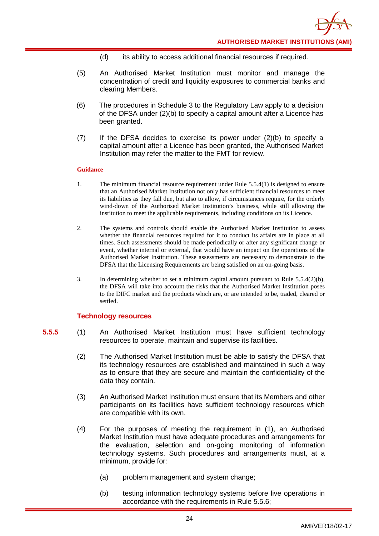- (d) its ability to access additional financial resources if required.
- (5) An Authorised Market Institution must monitor and manage the concentration of credit and liquidity exposures to commercial banks and clearing Members.
- (6) The procedures in Schedule 3 to the Regulatory Law apply to a decision of the DFSA under (2)(b) to specify a capital amount after a Licence has been granted.
- (7) If the DFSA decides to exercise its power under (2)(b) to specify a capital amount after a Licence has been granted, the Authorised Market Institution may refer the matter to the FMT for review.

- 1. The minimum financial resource requirement under Rule 5.5.4(1) is designed to ensure that an Authorised Market Institution not only has sufficient financial resources to meet its liabilities as they fall due, but also to allow, if circumstances require, for the orderly wind-down of the Authorised Market Institution's business, while still allowing the institution to meet the applicable requirements, including conditions on its Licence.
- 2. The systems and controls should enable the Authorised Market Institution to assess whether the financial resources required for it to conduct its affairs are in place at all times. Such assessments should be made periodically or after any significant change or event, whether internal or external, that would have an impact on the operations of the Authorised Market Institution. These assessments are necessary to demonstrate to the DFSA that the Licensing Requirements are being satisfied on an on-going basis.
- 3. In determining whether to set a minimum capital amount pursuant to Rule 5.5.4(2)(b), the DFSA will take into account the risks that the Authorised Market Institution poses to the DIFC market and the products which are, or are intended to be, traded, cleared or settled.

#### **Technology resources**

- **5.5.5** (1) An Authorised Market Institution must have sufficient technology resources to operate, maintain and supervise its facilities.
	- (2) The Authorised Market Institution must be able to satisfy the DFSA that its technology resources are established and maintained in such a way as to ensure that they are secure and maintain the confidentiality of the data they contain.
	- (3) An Authorised Market Institution must ensure that its Members and other participants on its facilities have sufficient technology resources which are compatible with its own.
	- (4) For the purposes of meeting the requirement in (1), an Authorised Market Institution must have adequate procedures and arrangements for the evaluation, selection and on-going monitoring of information technology systems. Such procedures and arrangements must, at a minimum, provide for:
		- (a) problem management and system change;
		- (b) testing information technology systems before live operations in accordance with the requirements in Rule 5.5.6;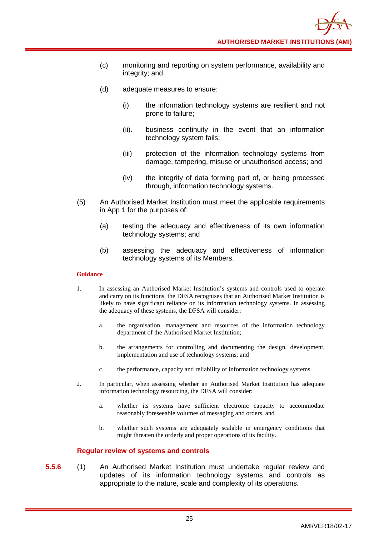- (c) monitoring and reporting on system performance, availability and integrity; and
- (d) adequate measures to ensure:
	- (i) the information technology systems are resilient and not prone to failure;
	- (ii). business continuity in the event that an information technology system fails;
	- (iii) protection of the information technology systems from damage, tampering, misuse or unauthorised access; and
	- (iv) the integrity of data forming part of, or being processed through, information technology systems.
- (5) An Authorised Market Institution must meet the applicable requirements in App 1 for the purposes of:
	- (a) testing the adequacy and effectiveness of its own information technology systems; and
	- (b) assessing the adequacy and effectiveness of information technology systems of its Members.

- 1. In assessing an Authorised Market Institution's systems and controls used to operate and carry on its functions, the DFSA recognises that an Authorised Market Institution is likely to have significant reliance on its information technology systems. In assessing the adequacy of these systems, the DFSA will consider:
	- a. the organisation, management and resources of the information technology department of the Authorised Market Institution;
	- b. the arrangements for controlling and documenting the design, development, implementation and use of technology systems; and
	- c. the performance, capacity and reliability of information technology systems.
- 2. In particular, when assessing whether an Authorised Market Institution has adequate information technology resourcing, the DFSA will consider:
	- a. whether its systems have sufficient electronic capacity to accommodate reasonably foreseeable volumes of messaging and orders, and
	- b. whether such systems are adequately scalable in emergency conditions that might threaten the orderly and proper operations of its facility.

#### **Regular review of systems and controls**

**5.5.6** (1) An Authorised Market Institution must undertake regular review and updates of its information technology systems and controls as appropriate to the nature, scale and complexity of its operations.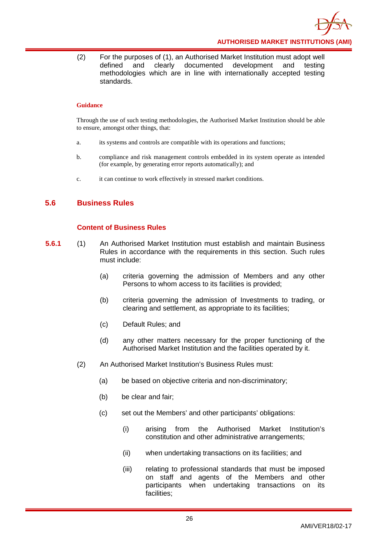

(2) For the purposes of (1), an Authorised Market Institution must adopt well defined and clearly documented development and testing methodologies which are in line with internationally accepted testing standards.

#### **Guidance**

Through the use of such testing methodologies, the Authorised Market Institution should be able to ensure, amongst other things, that:

- a. its systems and controls are compatible with its operations and functions;
- b. compliance and risk management controls embedded in its system operate as intended (for example, by generating error reports automatically); and
- c. it can continue to work effectively in stressed market conditions.

#### <span id="page-29-0"></span>**5.6 Business Rules**

#### **Content of Business Rules**

- **5.6.1** (1) An Authorised Market Institution must establish and maintain Business Rules in accordance with the requirements in this section. Such rules must include:
	- (a) criteria governing the admission of Members and any other Persons to whom access to its facilities is provided;
	- (b) criteria governing the admission of Investments to trading, or clearing and settlement, as appropriate to its facilities;
	- (c) Default Rules; and
	- (d) any other matters necessary for the proper functioning of the Authorised Market Institution and the facilities operated by it.
	- (2) An Authorised Market Institution's Business Rules must:
		- (a) be based on objective criteria and non-discriminatory;
		- (b) be clear and fair;
		- (c) set out the Members' and other participants' obligations:
			- (i) arising from the Authorised Market Institution's constitution and other administrative arrangements;
			- (ii) when undertaking transactions on its facilities; and
			- (iii) relating to professional standards that must be imposed on staff and agents of the Members and other participants when undertaking transactions on its facilities;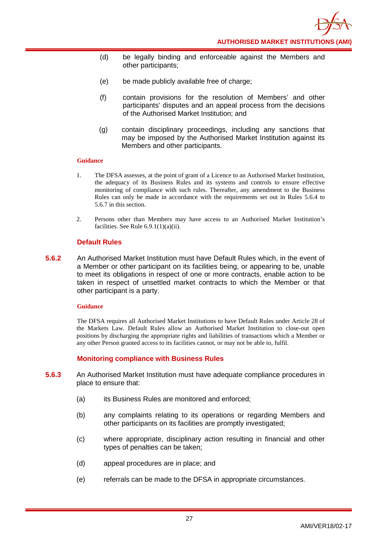- (d) be legally binding and enforceable against the Members and other participants;
- (e) be made publicly available free of charge:
- (f) contain provisions for the resolution of Members' and other participants' disputes and an appeal process from the decisions of the Authorised Market Institution; and
- (g) contain disciplinary proceedings, including any sanctions that may be imposed by the Authorised Market Institution against its Members and other participants.

- 1. The DFSA assesses, at the point of grant of a Licence to an Authorised Market Institution, the adequacy of its Business Rules and its systems and controls to ensure effective monitoring of compliance with such rules. Thereafter, any amendment to the Business Rules can only be made in accordance with the requirements set out in Rules 5.6.4 to 5.6.7 in this section.
- 2. Persons other than Members may have access to an Authorised Market Institution's facilities. See Rule  $6.9.1(1)(a)(ii)$ .

#### **Default Rules**

**5.6.2** An Authorised Market Institution must have Default Rules which, in the event of a Member or other participant on its facilities being, or appearing to be, unable to meet its obligations in respect of one or more contracts, enable action to be taken in respect of unsettled market contracts to which the Member or that other participant is a party.

#### **Guidance**

The DFSA requires all Authorised Market Institutions to have Default Rules under Article 28 of the Markets Law. Default Rules allow an Authorised Market Institution to close-out open positions by discharging the appropriate rights and liabilities of transactions which a Member or any other Person granted access to its facilities cannot, or may not be able to, fulfil.

#### **Monitoring compliance with Business Rules**

- **5.6.3** An Authorised Market Institution must have adequate compliance procedures in place to ensure that:
	- (a) its Business Rules are monitored and enforced;
	- (b) any complaints relating to its operations or regarding Members and other participants on its facilities are promptly investigated;
	- (c) where appropriate, disciplinary action resulting in financial and other types of penalties can be taken;
	- (d) appeal procedures are in place; and
	- (e) referrals can be made to the DFSA in appropriate circumstances.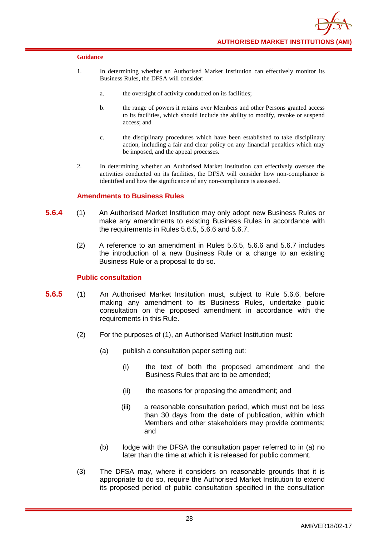

- 1. In determining whether an Authorised Market Institution can effectively monitor its Business Rules, the DFSA will consider:
	- a. the oversight of activity conducted on its facilities;
	- b. the range of powers it retains over Members and other Persons granted access to its facilities, which should include the ability to modify, revoke or suspend access; and
	- c. the disciplinary procedures which have been established to take disciplinary action, including a fair and clear policy on any financial penalties which may be imposed, and the appeal processes.
- 2. In determining whether an Authorised Market Institution can effectively oversee the activities conducted on its facilities, the DFSA will consider how non-compliance is identified and how the significance of any non-compliance is assessed.

#### **Amendments to Business Rules**

- **5.6.4** (1) An Authorised Market Institution may only adopt new Business Rules or make any amendments to existing Business Rules in accordance with the requirements in Rules 5.6.5, 5.6.6 and 5.6.7.
	- (2) A reference to an amendment in Rules 5.6.5, 5.6.6 and 5.6.7 includes the introduction of a new Business Rule or a change to an existing Business Rule or a proposal to do so.

#### **Public consultation**

- **5.6.5** (1) An Authorised Market Institution must, subject to Rule 5.6.6, before making any amendment to its Business Rules, undertake public consultation on the proposed amendment in accordance with the requirements in this Rule.
	- (2) For the purposes of (1), an Authorised Market Institution must:
		- (a) publish a consultation paper setting out:
			- (i) the text of both the proposed amendment and the Business Rules that are to be amended;
			- (ii) the reasons for proposing the amendment; and
			- (iii) a reasonable consultation period, which must not be less than 30 days from the date of publication, within which Members and other stakeholders may provide comments; and
		- (b) lodge with the DFSA the consultation paper referred to in (a) no later than the time at which it is released for public comment.
	- (3) The DFSA may, where it considers on reasonable grounds that it is appropriate to do so, require the Authorised Market Institution to extend its proposed period of public consultation specified in the consultation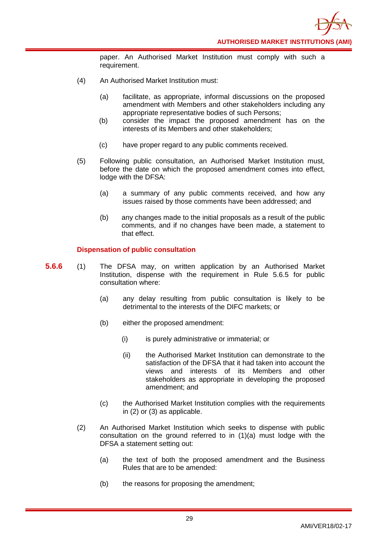paper. An Authorised Market Institution must comply with such a requirement.

- (4) An Authorised Market Institution must:
	- (a) facilitate, as appropriate, informal discussions on the proposed amendment with Members and other stakeholders including any appropriate representative bodies of such Persons;
	- (b) consider the impact the proposed amendment has on the interests of its Members and other stakeholders;
	- (c) have proper regard to any public comments received.
- (5) Following public consultation, an Authorised Market Institution must, before the date on which the proposed amendment comes into effect, lodge with the DFSA:
	- (a) a summary of any public comments received, and how any issues raised by those comments have been addressed; and
	- (b) any changes made to the initial proposals as a result of the public comments, and if no changes have been made, a statement to that effect.

#### **Dispensation of public consultation**

- **5.6.6** (1) The DFSA may, on written application by an Authorised Market Institution, dispense with the requirement in Rule 5.6.5 for public consultation where:
	- (a) any delay resulting from public consultation is likely to be detrimental to the interests of the DIFC markets; or
	- (b) either the proposed amendment:
		- (i) is purely administrative or immaterial; or
		- (ii) the Authorised Market Institution can demonstrate to the satisfaction of the DFSA that it had taken into account the views and interests of its Members and other stakeholders as appropriate in developing the proposed amendment; and
	- (c) the Authorised Market Institution complies with the requirements in (2) or (3) as applicable.
	- (2) An Authorised Market Institution which seeks to dispense with public consultation on the ground referred to in (1)(a) must lodge with the DFSA a statement setting out:
		- (a) the text of both the proposed amendment and the Business Rules that are to be amended:
		- (b) the reasons for proposing the amendment;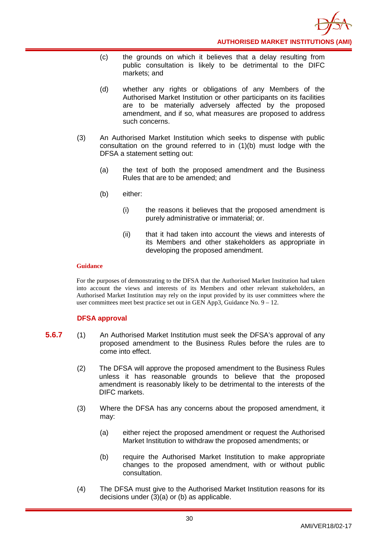

- (c) the grounds on which it believes that a delay resulting from public consultation is likely to be detrimental to the DIFC markets; and
- (d) whether any rights or obligations of any Members of the Authorised Market Institution or other participants on its facilities are to be materially adversely affected by the proposed amendment, and if so, what measures are proposed to address such concerns.
- (3) An Authorised Market Institution which seeks to dispense with public consultation on the ground referred to in (1)(b) must lodge with the DFSA a statement setting out:
	- (a) the text of both the proposed amendment and the Business Rules that are to be amended; and
	- (b) either:
		- (i) the reasons it believes that the proposed amendment is purely administrative or immaterial; or.
		- (ii) that it had taken into account the views and interests of its Members and other stakeholders as appropriate in developing the proposed amendment.

For the purposes of demonstrating to the DFSA that the Authorised Market Institution had taken into account the views and interests of its Members and other relevant stakeholders, an Authorised Market Institution may rely on the input provided by its user committees where the user committees meet best practice set out in GEN App3, Guidance No. 9 – 12.

#### **DFSA approval**

- **5.6.7** (1) An Authorised Market Institution must seek the DFSA's approval of any proposed amendment to the Business Rules before the rules are to come into effect.
	- (2) The DFSA will approve the proposed amendment to the Business Rules unless it has reasonable grounds to believe that the proposed amendment is reasonably likely to be detrimental to the interests of the DIFC markets.
	- (3) Where the DFSA has any concerns about the proposed amendment, it may:
		- (a) either reject the proposed amendment or request the Authorised Market Institution to withdraw the proposed amendments; or
		- (b) require the Authorised Market Institution to make appropriate changes to the proposed amendment, with or without public consultation.
	- (4) The DFSA must give to the Authorised Market Institution reasons for its decisions under (3)(a) or (b) as applicable.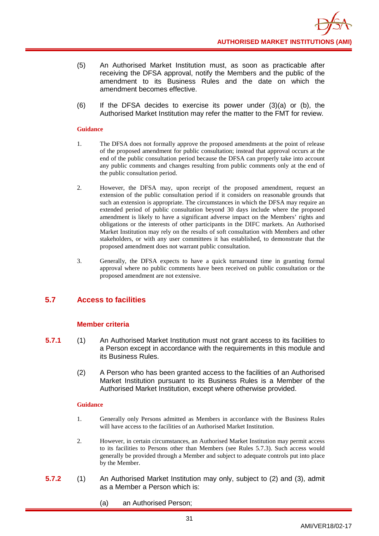- (5) An Authorised Market Institution must, as soon as practicable after receiving the DFSA approval, notify the Members and the public of the amendment to its Business Rules and the date on which the amendment becomes effective.
- (6) If the DFSA decides to exercise its power under (3)(a) or (b), the Authorised Market Institution may refer the matter to the FMT for review.

- 1. The DFSA does not formally approve the proposed amendments at the point of release of the proposed amendment for public consultation; instead that approval occurs at the end of the public consultation period because the DFSA can properly take into account any public comments and changes resulting from public comments only at the end of the public consultation period.
- 2. However, the DFSA may, upon receipt of the proposed amendment, request an extension of the public consultation period if it considers on reasonable grounds that such an extension is appropriate. The circumstances in which the DFSA may require an extended period of public consultation beyond 30 days include where the proposed amendment is likely to have a significant adverse impact on the Members' rights and obligations or the interests of other participants in the DIFC markets. An Authorised Market Institution may rely on the results of soft consultation with Members and other stakeholders, or with any user committees it has established, to demonstrate that the proposed amendment does not warrant public consultation.
- 3. Generally, the DFSA expects to have a quick turnaround time in granting formal approval where no public comments have been received on public consultation or the proposed amendment are not extensive.

## <span id="page-34-0"></span>**5.7 Access to facilities**

#### **Member criteria**

- **5.7.1** (1) An Authorised Market Institution must not grant access to its facilities to a Person except in accordance with the requirements in this module and its Business Rules.
	- (2) A Person who has been granted access to the facilities of an Authorised Market Institution pursuant to its Business Rules is a Member of the Authorised Market Institution, except where otherwise provided.

- 1. Generally only Persons admitted as Members in accordance with the Business Rules will have access to the facilities of an Authorised Market Institution.
- 2. However, in certain circumstances, an Authorised Market Institution may permit access to its facilities to Persons other than Members (see Rules 5.7.3). Such access would generally be provided through a Member and subject to adequate controls put into place by the Member.
- **5.7.2** (1) An Authorised Market Institution may only, subject to (2) and (3), admit as a Member a Person which is:
	- (a) an Authorised Person;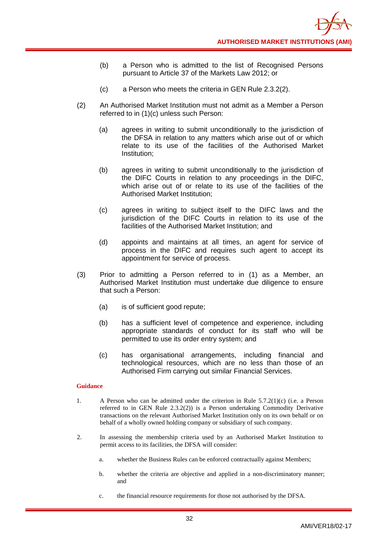- (b) a Person who is admitted to the list of Recognised Persons pursuant to Article 37 of the Markets Law 2012; or
- (c) a Person who meets the criteria in GEN Rule 2.3.2(2).
- (2) An Authorised Market Institution must not admit as a Member a Person referred to in (1)(c) unless such Person:
	- (a) agrees in writing to submit unconditionally to the jurisdiction of the DFSA in relation to any matters which arise out of or which relate to its use of the facilities of the Authorised Market Institution;
	- (b) agrees in writing to submit unconditionally to the jurisdiction of the DIFC Courts in relation to any proceedings in the DIFC, which arise out of or relate to its use of the facilities of the Authorised Market Institution;
	- (c) agrees in writing to subject itself to the DIFC laws and the jurisdiction of the DIFC Courts in relation to its use of the facilities of the Authorised Market Institution; and
	- (d) appoints and maintains at all times, an agent for service of process in the DIFC and requires such agent to accept its appointment for service of process.
- (3) Prior to admitting a Person referred to in (1) as a Member, an Authorised Market Institution must undertake due diligence to ensure that such a Person:
	- (a) is of sufficient good repute;
	- (b) has a sufficient level of competence and experience, including appropriate standards of conduct for its staff who will be permitted to use its order entry system; and
	- (c) has organisational arrangements, including financial and technological resources, which are no less than those of an Authorised Firm carrying out similar Financial Services.

- 1. A Person who can be admitted under the criterion in Rule 5.7.2(1)(c) (i.e. a Person referred to in GEN Rule 2.3.2(2)) is a Person undertaking Commodity Derivative transactions on the relevant Authorised Market Institution only on its own behalf or on behalf of a wholly owned holding company or subsidiary of such company.
- 2. In assessing the membership criteria used by an Authorised Market Institution to permit access to its facilities, the DFSA will consider:
	- a. whether the Business Rules can be enforced contractually against Members;
	- b. whether the criteria are objective and applied in a non-discriminatory manner; and
	- c. the financial resource requirements for those not authorised by the DFSA.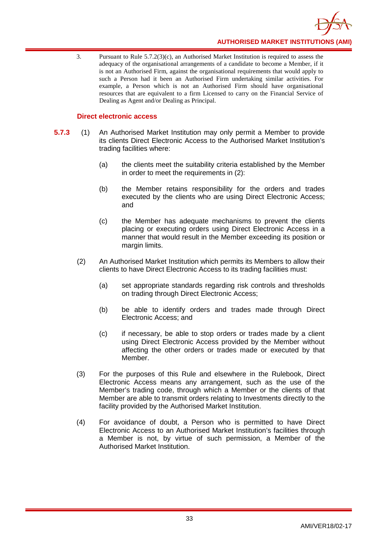

3. Pursuant to Rule 5.7.2(3)(c), an Authorised Market Institution is required to assess the adequacy of the organisational arrangements of a candidate to become a Member, if it is not an Authorised Firm, against the organisational requirements that would apply to such a Person had it been an Authorised Firm undertaking similar activities. For example, a Person which is not an Authorised Firm should have organisational resources that are equivalent to a firm Licensed to carry on the Financial Service of Dealing as Agent and/or Dealing as Principal.

## **Direct electronic access**

- **5.7.3** (1) An Authorised Market Institution may only permit a Member to provide its clients Direct Electronic Access to the Authorised Market Institution's trading facilities where:
	- (a) the clients meet the suitability criteria established by the Member in order to meet the requirements in (2):
	- (b) the Member retains responsibility for the orders and trades executed by the clients who are using Direct Electronic Access; and
	- (c) the Member has adequate mechanisms to prevent the clients placing or executing orders using Direct Electronic Access in a manner that would result in the Member exceeding its position or margin limits.
	- (2) An Authorised Market Institution which permits its Members to allow their clients to have Direct Electronic Access to its trading facilities must:
		- (a) set appropriate standards regarding risk controls and thresholds on trading through Direct Electronic Access;
		- (b) be able to identify orders and trades made through Direct Electronic Access; and
		- (c) if necessary, be able to stop orders or trades made by a client using Direct Electronic Access provided by the Member without affecting the other orders or trades made or executed by that Member.
	- (3) For the purposes of this Rule and elsewhere in the Rulebook, Direct Electronic Access means any arrangement, such as the use of the Member's trading code, through which a Member or the clients of that Member are able to transmit orders relating to Investments directly to the facility provided by the Authorised Market Institution.
	- (4) For avoidance of doubt, a Person who is permitted to have Direct Electronic Access to an Authorised Market Institution's facilities through a Member is not, by virtue of such permission, a Member of the Authorised Market Institution.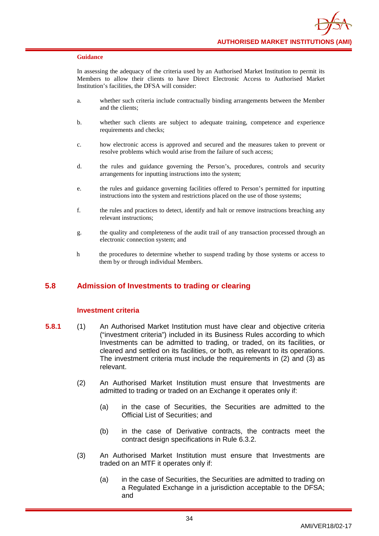In assessing the adequacy of the criteria used by an Authorised Market Institution to permit its Members to allow their clients to have Direct Electronic Access to Authorised Market Institution's facilities, the DFSA will consider:

- a. whether such criteria include contractually binding arrangements between the Member and the clients;
- b. whether such clients are subject to adequate training, competence and experience requirements and checks;
- c. how electronic access is approved and secured and the measures taken to prevent or resolve problems which would arise from the failure of such access;
- d. the rules and guidance governing the Person's, procedures, controls and security arrangements for inputting instructions into the system;
- e. the rules and guidance governing facilities offered to Person's permitted for inputting instructions into the system and restrictions placed on the use of those systems;
- f. the rules and practices to detect, identify and halt or remove instructions breaching any relevant instructions;
- g. the quality and completeness of the audit trail of any transaction processed through an electronic connection system; and
- h the procedures to determine whether to suspend trading by those systems or access to them by or through individual Members.

# **5.8 Admission of Investments to trading or clearing**

## **Investment criteria**

- **5.8.1** (1) An Authorised Market Institution must have clear and objective criteria ("investment criteria") included in its Business Rules according to which Investments can be admitted to trading, or traded, on its facilities, or cleared and settled on its facilities, or both, as relevant to its operations. The investment criteria must include the requirements in (2) and (3) as relevant.
	- (2) An Authorised Market Institution must ensure that Investments are admitted to trading or traded on an Exchange it operates only if:
		- (a) in the case of Securities, the Securities are admitted to the Official List of Securities; and
		- (b) in the case of Derivative contracts, the contracts meet the contract design specifications in Rule 6.3.2.
	- (3) An Authorised Market Institution must ensure that Investments are traded on an MTF it operates only if:
		- (a) in the case of Securities, the Securities are admitted to trading on a Regulated Exchange in a jurisdiction acceptable to the DFSA; and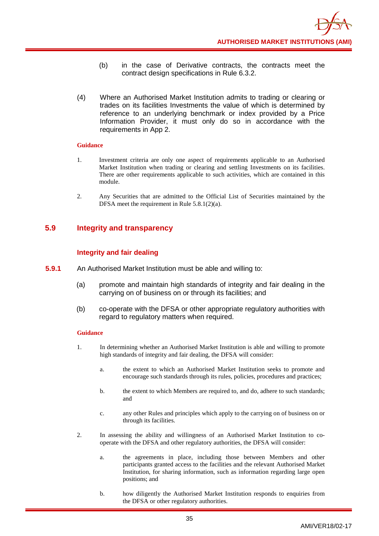- (b) in the case of Derivative contracts, the contracts meet the contract design specifications in Rule 6.3.2.
- (4) Where an Authorised Market Institution admits to trading or clearing or trades on its facilities Investments the value of which is determined by reference to an underlying benchmark or index provided by a Price Information Provider, it must only do so in accordance with the requirements in App 2.

- 1. Investment criteria are only one aspect of requirements applicable to an Authorised Market Institution when trading or clearing and settling Investments on its facilities. There are other requirements applicable to such activities, which are contained in this module.
- 2. Any Securities that are admitted to the Official List of Securities maintained by the DFSA meet the requirement in Rule 5.8.1(2)(a).

# **5.9 Integrity and transparency**

# **Integrity and fair dealing**

- **5.9.1** An Authorised Market Institution must be able and willing to:
	- (a) promote and maintain high standards of integrity and fair dealing in the carrying on of business on or through its facilities; and
	- (b) co-operate with the DFSA or other appropriate regulatory authorities with regard to regulatory matters when required.

- 1. In determining whether an Authorised Market Institution is able and willing to promote high standards of integrity and fair dealing, the DFSA will consider:
	- a. the extent to which an Authorised Market Institution seeks to promote and encourage such standards through its rules, policies, procedures and practices;
	- b. the extent to which Members are required to, and do, adhere to such standards; and
	- c. any other Rules and principles which apply to the carrying on of business on or through its facilities.
- 2. In assessing the ability and willingness of an Authorised Market Institution to cooperate with the DFSA and other regulatory authorities, the DFSA will consider:
	- a. the agreements in place, including those between Members and other participants granted access to the facilities and the relevant Authorised Market Institution, for sharing information, such as information regarding large open positions; and
	- b. how diligently the Authorised Market Institution responds to enquiries from the DFSA or other regulatory authorities.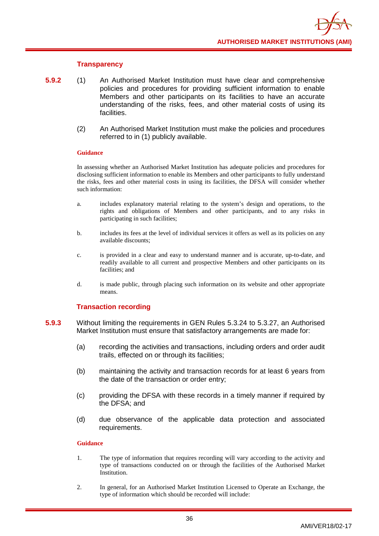## **Transparency**

- **5.9.2** (1) An Authorised Market Institution must have clear and comprehensive policies and procedures for providing sufficient information to enable Members and other participants on its facilities to have an accurate understanding of the risks, fees, and other material costs of using its facilities.
	- (2) An Authorised Market Institution must make the policies and procedures referred to in (1) publicly available.

### **Guidance**

In assessing whether an Authorised Market Institution has adequate policies and procedures for disclosing sufficient information to enable its Members and other participants to fully understand the risks, fees and other material costs in using its facilities, the DFSA will consider whether such information:

- a. includes explanatory material relating to the system's design and operations, to the rights and obligations of Members and other participants, and to any risks in participating in such facilities;
- b. includes its fees at the level of individual services it offers as well as its policies on any available discounts;
- c. is provided in a clear and easy to understand manner and is accurate, up-to-date, and readily available to all current and prospective Members and other participants on its facilities; and
- d. is made public, through placing such information on its website and other appropriate means.

## **Transaction recording**

- **5.9.3** Without limiting the requirements in GEN Rules 5.3.24 to 5.3.27, an Authorised Market Institution must ensure that satisfactory arrangements are made for:
	- (a) recording the activities and transactions, including orders and order audit trails, effected on or through its facilities;
	- (b) maintaining the activity and transaction records for at least 6 years from the date of the transaction or order entry;
	- (c) providing the DFSA with these records in a timely manner if required by the DFSA; and
	- (d) due observance of the applicable data protection and associated requirements.

- 1. The type of information that requires recording will vary according to the activity and type of transactions conducted on or through the facilities of the Authorised Market Institution.
- 2. In general, for an Authorised Market Institution Licensed to Operate an Exchange, the type of information which should be recorded will include: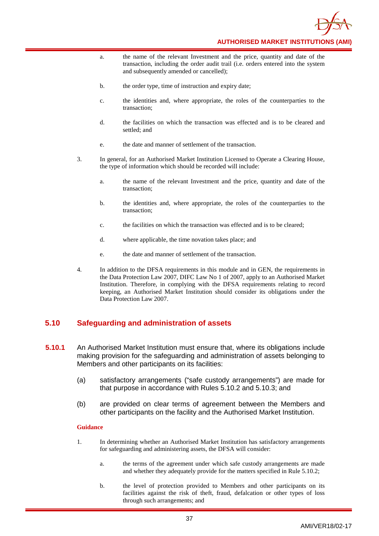

- a. the name of the relevant Investment and the price, quantity and date of the transaction, including the order audit trail (i.e. orders entered into the system and subsequently amended or cancelled);
- b. the order type, time of instruction and expiry date;
- c. the identities and, where appropriate, the roles of the counterparties to the transaction;
- d. the facilities on which the transaction was effected and is to be cleared and settled; and
- e. the date and manner of settlement of the transaction.
- 3. In general, for an Authorised Market Institution Licensed to Operate a Clearing House, the type of information which should be recorded will include:
	- a. the name of the relevant Investment and the price, quantity and date of the transaction;
	- b. the identities and, where appropriate, the roles of the counterparties to the transaction;
	- c. the facilities on which the transaction was effected and is to be cleared;
	- d. where applicable, the time novation takes place; and
	- e. the date and manner of settlement of the transaction.
- 4. In addition to the DFSA requirements in this module and in GEN, the requirements in the Data Protection Law 2007, DIFC Law No 1 of 2007, apply to an Authorised Market Institution. Therefore, in complying with the DFSA requirements relating to record keeping, an Authorised Market Institution should consider its obligations under the Data Protection Law 2007.

# **5.10 Safeguarding and administration of assets**

- **5.10.1** An Authorised Market Institution must ensure that, where its obligations include making provision for the safeguarding and administration of assets belonging to Members and other participants on its facilities:
	- (a) satisfactory arrangements ("safe custody arrangements") are made for that purpose in accordance with Rules 5.10.2 and 5.10.3; and
	- (b) are provided on clear terms of agreement between the Members and other participants on the facility and the Authorised Market Institution.

- 1. In determining whether an Authorised Market Institution has satisfactory arrangements for safeguarding and administering assets, the DFSA will consider:
	- a. the terms of the agreement under which safe custody arrangements are made and whether they adequately provide for the matters specified in Rule 5.10.2;
	- b. the level of protection provided to Members and other participants on its facilities against the risk of theft, fraud, defalcation or other types of loss through such arrangements; and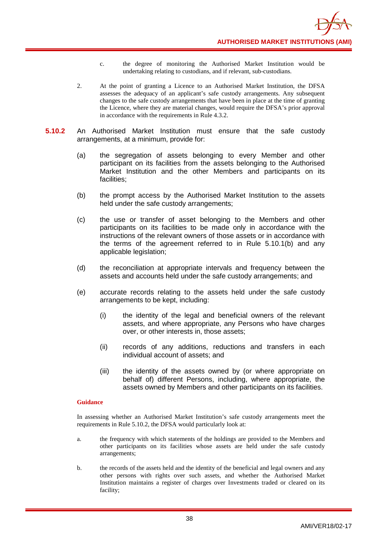- c. the degree of monitoring the Authorised Market Institution would be undertaking relating to custodians, and if relevant, sub-custodians.
- 2. At the point of granting a Licence to an Authorised Market Institution, the DFSA assesses the adequacy of an applicant's safe custody arrangements. Any subsequent changes to the safe custody arrangements that have been in place at the time of granting the Licence, where they are material changes, would require the DFSA's prior approval in accordance with the requirements in Rule 4.3.2.
- **5.10.2** An Authorised Market Institution must ensure that the safe custody arrangements, at a minimum, provide for:
	- (a) the segregation of assets belonging to every Member and other participant on its facilities from the assets belonging to the Authorised Market Institution and the other Members and participants on its facilities;
	- (b) the prompt access by the Authorised Market Institution to the assets held under the safe custody arrangements;
	- (c) the use or transfer of asset belonging to the Members and other participants on its facilities to be made only in accordance with the instructions of the relevant owners of those assets or in accordance with the terms of the agreement referred to in Rule 5.10.1(b) and any applicable legislation;
	- (d) the reconciliation at appropriate intervals and frequency between the assets and accounts held under the safe custody arrangements; and
	- (e) accurate records relating to the assets held under the safe custody arrangements to be kept, including:
		- (i) the identity of the legal and beneficial owners of the relevant assets, and where appropriate, any Persons who have charges over, or other interests in, those assets;
		- (ii) records of any additions, reductions and transfers in each individual account of assets; and
		- (iii) the identity of the assets owned by (or where appropriate on behalf of) different Persons, including, where appropriate, the assets owned by Members and other participants on its facilities.

In assessing whether an Authorised Market Institution's safe custody arrangements meet the requirements in Rule 5.10.2, the DFSA would particularly look at:

- a. the frequency with which statements of the holdings are provided to the Members and other participants on its facilities whose assets are held under the safe custody arrangements;
- b. the records of the assets held and the identity of the beneficial and legal owners and any other persons with rights over such assets, and whether the Authorised Market Institution maintains a register of charges over Investments traded or cleared on its facility;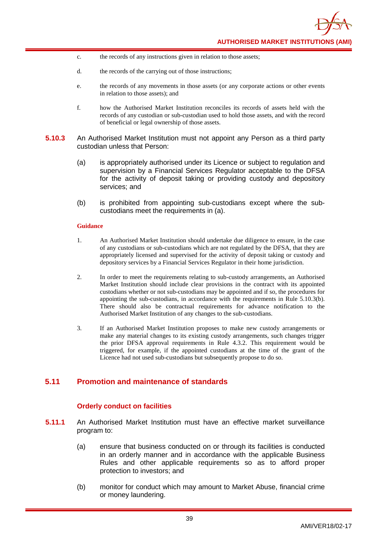- c. the records of any instructions given in relation to those assets;
- d. the records of the carrying out of those instructions;
- e. the records of any movements in those assets (or any corporate actions or other events in relation to those assets); and
- f. how the Authorised Market Institution reconciles its records of assets held with the records of any custodian or sub-custodian used to hold those assets, and with the record of beneficial or legal ownership of those assets.
- **5.10.3** An Authorised Market Institution must not appoint any Person as a third party custodian unless that Person:
	- (a) is appropriately authorised under its Licence or subject to regulation and supervision by a Financial Services Regulator acceptable to the DFSA for the activity of deposit taking or providing custody and depository services; and
	- (b) is prohibited from appointing sub-custodians except where the subcustodians meet the requirements in (a).

- 1. An Authorised Market Institution should undertake due diligence to ensure, in the case of any custodians or sub-custodians which are not regulated by the DFSA, that they are appropriately licensed and supervised for the activity of deposit taking or custody and depository services by a Financial Services Regulator in their home jurisdiction.
- 2. In order to meet the requirements relating to sub-custody arrangements, an Authorised Market Institution should include clear provisions in the contract with its appointed custodians whether or not sub-custodians may be appointed and if so, the procedures for appointing the sub-custodians, in accordance with the requirements in Rule 5.10.3(b). There should also be contractual requirements for advance notification to the Authorised Market Institution of any changes to the sub-custodians.
- 3. If an Authorised Market Institution proposes to make new custody arrangements or make any material changes to its existing custody arrangements, such changes trigger the prior DFSA approval requirements in Rule 4.3.2. This requirement would be triggered, for example, if the appointed custodians at the time of the grant of the Licence had not used sub-custodians but subsequently propose to do so.

# **5.11 Promotion and maintenance of standards**

## **Orderly conduct on facilities**

- **5.11.1** An Authorised Market Institution must have an effective market surveillance program to:
	- (a) ensure that business conducted on or through its facilities is conducted in an orderly manner and in accordance with the applicable Business Rules and other applicable requirements so as to afford proper protection to investors; and
	- (b) monitor for conduct which may amount to Market Abuse, financial crime or money laundering.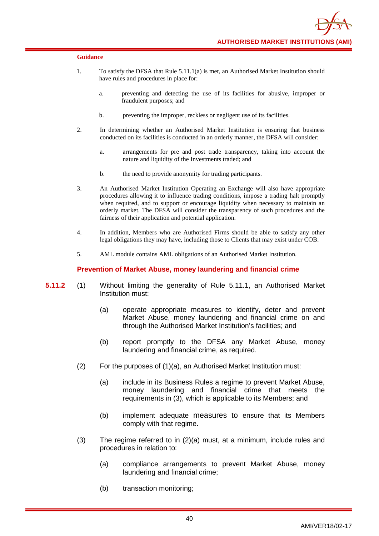- 1. To satisfy the DFSA that Rule 5.11.1(a) is met, an Authorised Market Institution should have rules and procedures in place for:
	- a. preventing and detecting the use of its facilities for abusive, improper or fraudulent purposes; and
	- b. preventing the improper, reckless or negligent use of its facilities.
- 2. In determining whether an Authorised Market Institution is ensuring that business conducted on its facilities is conducted in an orderly manner, the DFSA will consider:
	- a. arrangements for pre and post trade transparency, taking into account the nature and liquidity of the Investments traded; and
	- b. the need to provide anonymity for trading participants.
- 3. An Authorised Market Institution Operating an Exchange will also have appropriate procedures allowing it to influence trading conditions, impose a trading halt promptly when required, and to support or encourage liquidity when necessary to maintain an orderly market. The DFSA will consider the transparency of such procedures and the fairness of their application and potential application.
- 4. In addition, Members who are Authorised Firms should be able to satisfy any other legal obligations they may have, including those to Clients that may exist under COB.
- 5. AML module contains AML obligations of an Authorised Market Institution.

### **Prevention of Market Abuse, money laundering and financial crime**

- **5.11.2** (1) Without limiting the generality of Rule 5.11.1, an Authorised Market Institution must:
	- (a) operate appropriate measures to identify, deter and prevent Market Abuse, money laundering and financial crime on and through the Authorised Market Institution's facilities; and
	- (b) report promptly to the DFSA any Market Abuse, money laundering and financial crime, as required.
	- (2) For the purposes of (1)(a), an Authorised Market Institution must:
		- (a) include in its Business Rules a regime to prevent Market Abuse, money laundering and financial crime that meets the requirements in (3), which is applicable to its Members; and
		- (b) implement adequate measures to ensure that its Members comply with that regime.
	- (3) The regime referred to in (2)(a) must, at a minimum, include rules and procedures in relation to:
		- (a) compliance arrangements to prevent Market Abuse, money laundering and financial crime;
		- (b) transaction monitoring;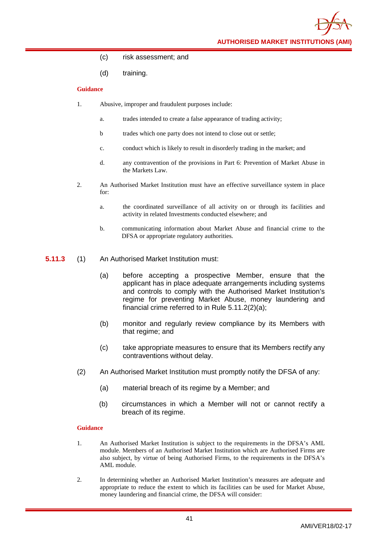**AUTHORISED MARKET INSTITUTIONS (AMI)**

- (c) risk assessment; and
- (d) training.

### **Guidance**

- 1. Abusive, improper and fraudulent purposes include:
	- a. trades intended to create a false appearance of trading activity;
	- b trades which one party does not intend to close out or settle;
	- c. conduct which is likely to result in disorderly trading in the market; and
	- d. any contravention of the provisions in Part 6: Prevention of Market Abuse in the Markets Law.
- 2. An Authorised Market Institution must have an effective surveillance system in place for:
	- a. the coordinated surveillance of all activity on or through its facilities and activity in related Investments conducted elsewhere; and
	- b. communicating information about Market Abuse and financial crime to the DFSA or appropriate regulatory authorities.
- **5.11.3** (1) An Authorised Market Institution must:
	- (a) before accepting a prospective Member, ensure that the applicant has in place adequate arrangements including systems and controls to comply with the Authorised Market Institution's regime for preventing Market Abuse, money laundering and financial crime referred to in Rule 5.11.2(2)(a);
	- (b) monitor and regularly review compliance by its Members with that regime; and
	- (c) take appropriate measures to ensure that its Members rectify any contraventions without delay.
	- (2) An Authorised Market Institution must promptly notify the DFSA of any:
		- (a) material breach of its regime by a Member; and
		- (b) circumstances in which a Member will not or cannot rectify a breach of its regime.

- 1. An Authorised Market Institution is subject to the requirements in the DFSA's AML module. Members of an Authorised Market Institution which are Authorised Firms are also subject, by virtue of being Authorised Firms, to the requirements in the DFSA's AML module.
- 2. In determining whether an Authorised Market Institution's measures are adequate and appropriate to reduce the extent to which its facilities can be used for Market Abuse, money laundering and financial crime, the DFSA will consider: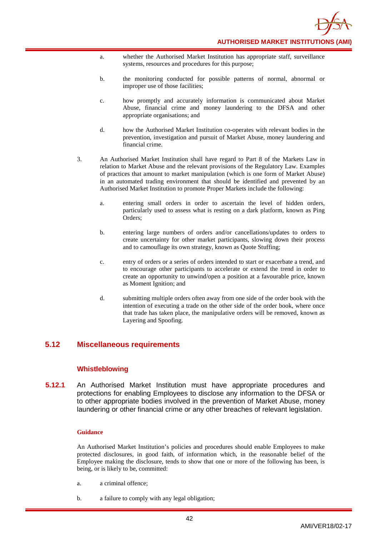

- a. whether the Authorised Market Institution has appropriate staff, surveillance systems, resources and procedures for this purpose;
- b. the monitoring conducted for possible patterns of normal, abnormal or improper use of those facilities;
- c. how promptly and accurately information is communicated about Market Abuse, financial crime and money laundering to the DFSA and other appropriate organisations; and
- d. how the Authorised Market Institution co-operates with relevant bodies in the prevention, investigation and pursuit of Market Abuse, money laundering and financial crime.
- 3. An Authorised Market Institution shall have regard to Part 8 of the Markets Law in relation to Market Abuse and the relevant provisions of the Regulatory Law. Examples of practices that amount to market manipulation (which is one form of Market Abuse) in an automated trading environment that should be identified and prevented by an Authorised Market Institution to promote Proper Markets include the following:
	- a. entering small orders in order to ascertain the level of hidden orders, particularly used to assess what is resting on a dark platform, known as Ping Orders;
	- b. entering large numbers of orders and/or cancellations/updates to orders to create uncertainty for other market participants, slowing down their process and to camouflage its own strategy, known as Quote Stuffing;
	- c. entry of orders or a series of orders intended to start or exacerbate a trend, and to encourage other participants to accelerate or extend the trend in order to create an opportunity to unwind/open a position at a favourable price, known as Moment Ignition; and
	- d. submitting multiple orders often away from one side of the order book with the intention of executing a trade on the other side of the order book, where once that trade has taken place, the manipulative orders will be removed, known as Layering and Spoofing.

# **5.12 Miscellaneous requirements**

## **Whistleblowing**

**5.12.1** An Authorised Market Institution must have appropriate procedures and protections for enabling Employees to disclose any information to the DFSA or to other appropriate bodies involved in the prevention of Market Abuse, money laundering or other financial crime or any other breaches of relevant legislation.

### **Guidance**

An Authorised Market Institution's policies and procedures should enable Employees to make protected disclosures, in good faith, of information which, in the reasonable belief of the Employee making the disclosure, tends to show that one or more of the following has been, is being, or is likely to be, committed:

- a. a criminal offence;
- b. a failure to comply with any legal obligation;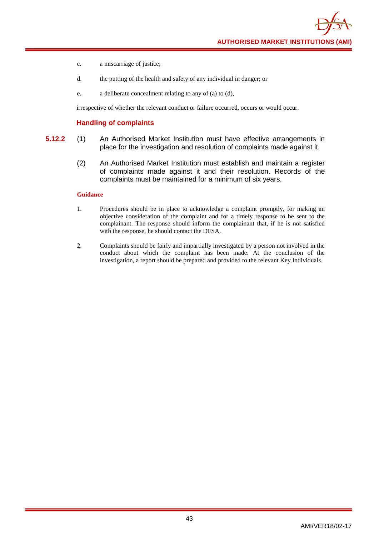**AUTHORISED MARKET INSTITUTIONS (AMI)**

- c. a miscarriage of justice;
- d. the putting of the health and safety of any individual in danger; or
- e. a deliberate concealment relating to any of (a) to (d),

irrespective of whether the relevant conduct or failure occurred, occurs or would occur.

### **Handling of complaints**

- **5.12.2** (1) An Authorised Market Institution must have effective arrangements in place for the investigation and resolution of complaints made against it.
	- (2) An Authorised Market Institution must establish and maintain a register of complaints made against it and their resolution. Records of the complaints must be maintained for a minimum of six years.

- 1. Procedures should be in place to acknowledge a complaint promptly, for making an objective consideration of the complaint and for a timely response to be sent to the complainant. The response should inform the complainant that, if he is not satisfied with the response, he should contact the DFSA.
- 2. Complaints should be fairly and impartially investigated by a person not involved in the conduct about which the complaint has been made. At the conclusion of the investigation, a report should be prepared and provided to the relevant Key Individuals.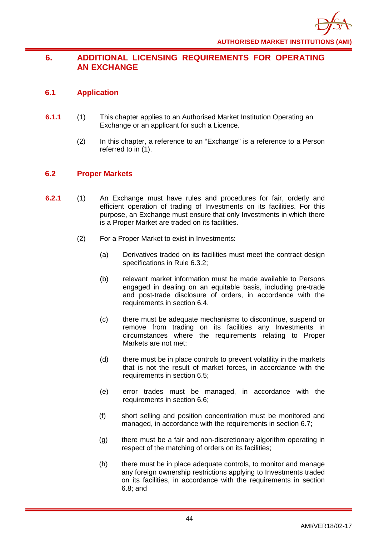# **6. ADDITIONAL LICENSING REQUIREMENTS FOR OPERATING AN EXCHANGE**

# **6.1 Application**

- **6.1.1** (1) This chapter applies to an Authorised Market Institution Operating an Exchange or an applicant for such a Licence.
	- (2) In this chapter, a reference to an "Exchange" is a reference to a Person referred to in (1).

# **6.2 Proper Markets**

- **6.2.1** (1) An Exchange must have rules and procedures for fair, orderly and efficient operation of trading of Investments on its facilities. For this purpose, an Exchange must ensure that only Investments in which there is a Proper Market are traded on its facilities.
	- (2) For a Proper Market to exist in Investments:
		- (a) Derivatives traded on its facilities must meet the contract design specifications in Rule 6.3.2;
		- (b) relevant market information must be made available to Persons engaged in dealing on an equitable basis, including pre-trade and post-trade disclosure of orders, in accordance with the requirements in section 6.4.
		- (c) there must be adequate mechanisms to discontinue, suspend or remove from trading on its facilities any Investments in circumstances where the requirements relating to Proper Markets are not met;
		- (d) there must be in place controls to prevent volatility in the markets that is not the result of market forces, in accordance with the requirements in section 6.5;
		- (e) error trades must be managed, in accordance with the requirements in section 6.6;
		- (f) short selling and position concentration must be monitored and managed, in accordance with the requirements in section 6.7;
		- (g) there must be a fair and non-discretionary algorithm operating in respect of the matching of orders on its facilities;
		- (h) there must be in place adequate controls, to monitor and manage any foreign ownership restrictions applying to Investments traded on its facilities, in accordance with the requirements in section 6.8; and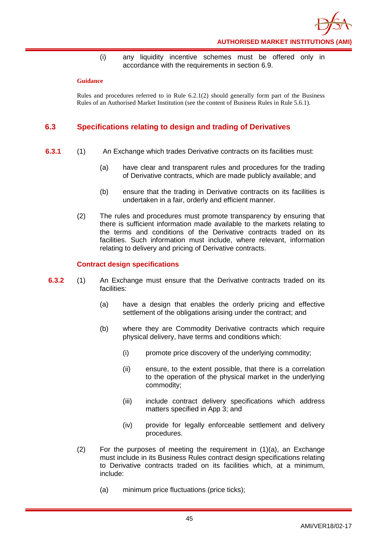

(i) any liquidity incentive schemes must be offered only in accordance with the requirements in section 6.9.

### **Guidance**

Rules and procedures referred to in Rule 6.2.1(2) should generally form part of the Business Rules of an Authorised Market Institution (see the content of Business Rules in Rule 5.6.1).

# **6.3 Specifications relating to design and trading of Derivatives**

- **6.3.1** (1) An Exchange which trades Derivative contracts on its facilities must:
	- (a) have clear and transparent rules and procedures for the trading of Derivative contracts, which are made publicly available; and
	- (b) ensure that the trading in Derivative contracts on its facilities is undertaken in a fair, orderly and efficient manner.
	- (2) The rules and procedures must promote transparency by ensuring that there is sufficient information made available to the markets relating to the terms and conditions of the Derivative contracts traded on its facilities. Such information must include, where relevant, information relating to delivery and pricing of Derivative contracts.

## **Contract design specifications**

- **6.3.2** (1) An Exchange must ensure that the Derivative contracts traded on its facilities:
	- (a) have a design that enables the orderly pricing and effective settlement of the obligations arising under the contract; and
	- (b) where they are Commodity Derivative contracts which require physical delivery, have terms and conditions which:
		- (i) promote price discovery of the underlying commodity;
		- (ii) ensure, to the extent possible, that there is a correlation to the operation of the physical market in the underlying commodity;
		- (iii) include contract delivery specifications which address matters specified in App 3; and
		- (iv) provide for legally enforceable settlement and delivery procedures.
	- $(2)$  For the purposes of meeting the requirement in  $(1)(a)$ , an Exchange must include in its Business Rules contract design specifications relating to Derivative contracts traded on its facilities which, at a minimum, include:
		- (a) minimum price fluctuations (price ticks);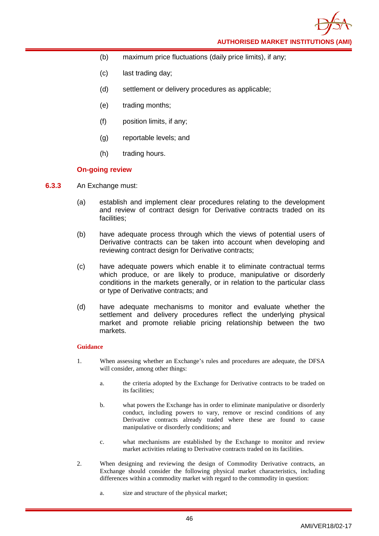**AUTHORISED MARKET INSTITUTIONS (AMI)**

- (b) maximum price fluctuations (daily price limits), if any;
- (c) last trading day;
- (d) settlement or delivery procedures as applicable;
- (e) trading months;
- (f) position limits, if any;
- (g) reportable levels; and
- (h) trading hours.

## **On-going review**

- **6.3.3** An Exchange must:
	- (a) establish and implement clear procedures relating to the development and review of contract design for Derivative contracts traded on its facilities;
	- (b) have adequate process through which the views of potential users of Derivative contracts can be taken into account when developing and reviewing contract design for Derivative contracts;
	- (c) have adequate powers which enable it to eliminate contractual terms which produce, or are likely to produce, manipulative or disorderly conditions in the markets generally, or in relation to the particular class or type of Derivative contracts; and
	- (d) have adequate mechanisms to monitor and evaluate whether the settlement and delivery procedures reflect the underlying physical market and promote reliable pricing relationship between the two markets.

- 1. When assessing whether an Exchange's rules and procedures are adequate, the DFSA will consider, among other things:
	- a. the criteria adopted by the Exchange for Derivative contracts to be traded on its facilities;
	- b. what powers the Exchange has in order to eliminate manipulative or disorderly conduct, including powers to vary, remove or rescind conditions of any Derivative contracts already traded where these are found to cause manipulative or disorderly conditions; and
	- c. what mechanisms are established by the Exchange to monitor and review market activities relating to Derivative contracts traded on its facilities.
- 2. When designing and reviewing the design of Commodity Derivative contracts, an Exchange should consider the following physical market characteristics, including differences within a commodity market with regard to the commodity in question:
	- a. size and structure of the physical market;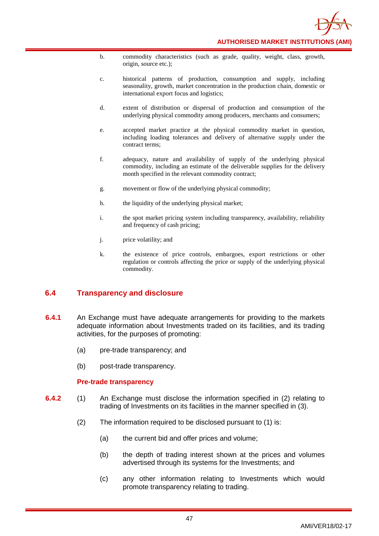

- b. commodity characteristics (such as grade, quality, weight, class, growth, origin, source etc.);
- c. historical patterns of production, consumption and supply, including seasonality, growth, market concentration in the production chain, domestic or international export focus and logistics;
- d. extent of distribution or dispersal of production and consumption of the underlying physical commodity among producers, merchants and consumers;
- e. accepted market practice at the physical commodity market in question, including loading tolerances and delivery of alternative supply under the contract terms;
- f. adequacy, nature and availability of supply of the underlying physical commodity, including an estimate of the deliverable supplies for the delivery month specified in the relevant commodity contract;
- g. movement or flow of the underlying physical commodity;
- h. the liquidity of the underlying physical market;
- i. the spot market pricing system including transparency, availability, reliability and frequency of cash pricing;
- j. price volatility; and
- k. the existence of price controls, embargoes, export restrictions or other regulation or controls affecting the price or supply of the underlying physical commodity.

# **6.4 Transparency and disclosure**

- **6.4.1** An Exchange must have adequate arrangements for providing to the markets adequate information about Investments traded on its facilities, and its trading activities, for the purposes of promoting:
	- (a) pre-trade transparency; and
	- (b) post-trade transparency.

## **Pre-trade transparency**

- **6.4.2** (1) An Exchange must disclose the information specified in (2) relating to trading of Investments on its facilities in the manner specified in (3).
	- (2) The information required to be disclosed pursuant to (1) is:
		- (a) the current bid and offer prices and volume;
		- (b) the depth of trading interest shown at the prices and volumes advertised through its systems for the Investments; and
		- (c) any other information relating to Investments which would promote transparency relating to trading.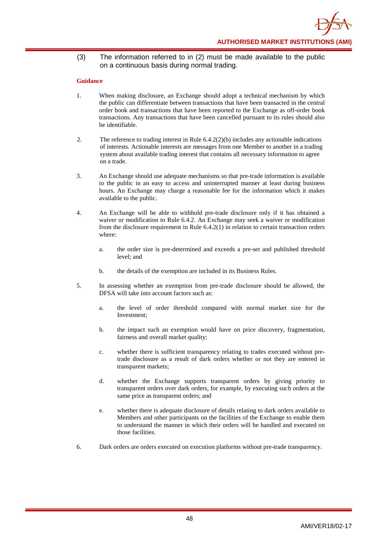(3) The information referred to in (2) must be made available to the public on a continuous basis during normal trading.

- 1. When making disclosure, an Exchange should adopt a technical mechanism by which the public can differentiate between transactions that have been transacted in the central order book and transactions that have been reported to the Exchange as off-order book transactions. Any transactions that have been cancelled pursuant to its rules should also be identifiable.
- 2. The reference to trading interest in Rule 6.4.2(2)(b) includes any actionable indications of interests. Actionable interests are messages from one Member to another in a trading system about available trading interest that contains all necessary information to agree on a trade.
- 3. An Exchange should use adequate mechanisms so that pre-trade information is available to the public in an easy to access and uninterrupted manner at least during business hours. An Exchange may charge a reasonable fee for the information which it makes available to the public.
- 4. An Exchange will be able to withhold pre-trade disclosure only if it has obtained a waiver or modification to Rule 6.4.2. An Exchange may seek a waiver or modification from the disclosure requirement in Rule 6.4.2(1) in relation to certain transaction orders where:
	- a. the order size is pre-determined and exceeds a pre-set and published threshold level; and
	- b. the details of the exemption are included in its Business Rules.
- 5. In assessing whether an exemption from pre-trade disclosure should be allowed, the DFSA will take into account factors such as:
	- a. the level of order threshold compared with normal market size for the Investment;
	- b. the impact such an exemption would have on price discovery, fragmentation, fairness and overall market quality;
	- c. whether there is sufficient transparency relating to trades executed without pretrade disclosure as a result of dark orders whether or not they are entered in transparent markets;
	- d. whether the Exchange supports transparent orders by giving priority to transparent orders over dark orders, for example, by executing such orders at the same price as transparent orders; and
	- e. whether there is adequate disclosure of details relating to dark orders available to Members and other participants on the facilities of the Exchange to enable them to understand the manner in which their orders will be handled and executed on those facilities.
- 6. Dark orders are orders executed on execution platforms without pre-trade transparency.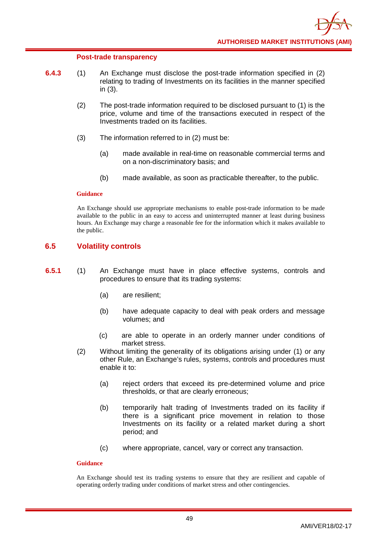### **Post-trade transparency**

- **6.4.3** (1) An Exchange must disclose the post-trade information specified in (2) relating to trading of Investments on its facilities in the manner specified in (3).
	- (2) The post-trade information required to be disclosed pursuant to (1) is the price, volume and time of the transactions executed in respect of the Investments traded on its facilities.
	- (3) The information referred to in (2) must be:
		- (a) made available in real-time on reasonable commercial terms and on a non-discriminatory basis; and
		- (b) made available, as soon as practicable thereafter, to the public.

### **Guidance**

An Exchange should use appropriate mechanisms to enable post-trade information to be made available to the public in an easy to access and uninterrupted manner at least during business hours. An Exchange may charge a reasonable fee for the information which it makes available to the public.

# **6.5 Volatility controls**

- **6.5.1** (1) An Exchange must have in place effective systems, controls and procedures to ensure that its trading systems:
	- (a) are resilient;
	- (b) have adequate capacity to deal with peak orders and message volumes; and
	- (c) are able to operate in an orderly manner under conditions of market stress.
	- (2) Without limiting the generality of its obligations arising under (1) or any other Rule, an Exchange's rules, systems, controls and procedures must enable it to:
		- (a) reject orders that exceed its pre-determined volume and price thresholds, or that are clearly erroneous;
		- (b) temporarily halt trading of Investments traded on its facility if there is a significant price movement in relation to those Investments on its facility or a related market during a short period; and
		- (c) where appropriate, cancel, vary or correct any transaction.

## **Guidance**

An Exchange should test its trading systems to ensure that they are resilient and capable of operating orderly trading under conditions of market stress and other contingencies.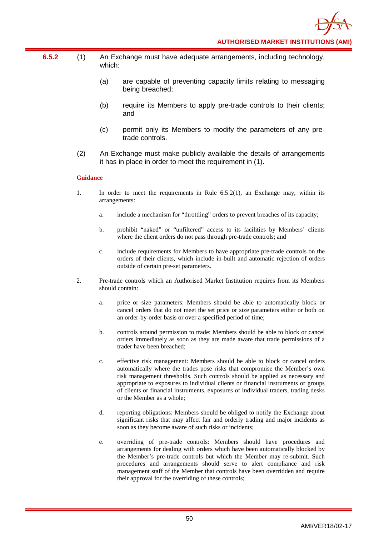- **6.5.2** (1) An Exchange must have adequate arrangements, including technology, which:
	- (a) are capable of preventing capacity limits relating to messaging being breached;
	- (b) require its Members to apply pre-trade controls to their clients; and
	- (c) permit only its Members to modify the parameters of any pretrade controls.
	- (2) An Exchange must make publicly available the details of arrangements it has in place in order to meet the requirement in (1).

- 1. In order to meet the requirements in Rule 6.5.2(1), an Exchange may, within its arrangements:
	- a. include a mechanism for "throttling" orders to prevent breaches of its capacity;
	- b. prohibit "naked" or "unfiltered" access to its facilities by Members' clients where the client orders do not pass through pre-trade controls; and
	- c. include requirements for Members to have appropriate pre-trade controls on the orders of their clients, which include in-built and automatic rejection of orders outside of certain pre-set parameters.
- 2. Pre-trade controls which an Authorised Market Institution requires from its Members should contain:
	- a. price or size parameters: Members should be able to automatically block or cancel orders that do not meet the set price or size parameters either or both on an order-by-order basis or over a specified period of time;
	- b. controls around permission to trade: Members should be able to block or cancel orders immediately as soon as they are made aware that trade permissions of a trader have been breached;
	- c. effective risk management: Members should be able to block or cancel orders automatically where the trades pose risks that compromise the Member's own risk management thresholds. Such controls should be applied as necessary and appropriate to exposures to individual clients or financial instruments or groups of clients or financial instruments, exposures of individual traders, trading desks or the Member as a whole;
	- d. reporting obligations: Members should be obliged to notify the Exchange about significant risks that may affect fair and orderly trading and major incidents as soon as they become aware of such risks or incidents;
	- e. overriding of pre-trade controls: Members should have procedures and arrangements for dealing with orders which have been automatically blocked by the Member's pre-trade controls but which the Member may re-submit. Such procedures and arrangements should serve to alert compliance and risk management staff of the Member that controls have been overridden and require their approval for the overriding of these controls;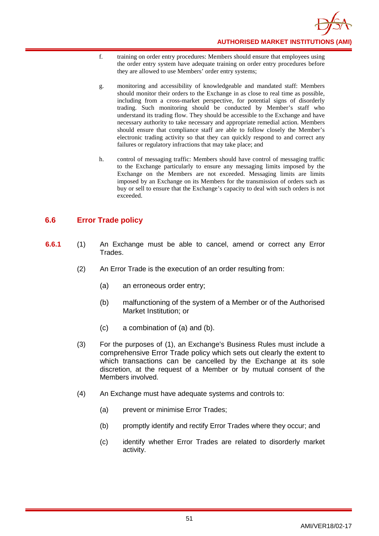

- f. training on order entry procedures: Members should ensure that employees using the order entry system have adequate training on order entry procedures before they are allowed to use Members' order entry systems;
- g. monitoring and accessibility of knowledgeable and mandated staff: Members should monitor their orders to the Exchange in as close to real time as possible, including from a cross-market perspective, for potential signs of disorderly trading. Such monitoring should be conducted by Member's staff who understand its trading flow. They should be accessible to the Exchange and have necessary authority to take necessary and appropriate remedial action. Members should ensure that compliance staff are able to follow closely the Member's electronic trading activity so that they can quickly respond to and correct any failures or regulatory infractions that may take place; and
- h. control of messaging traffic: Members should have control of messaging traffic to the Exchange particularly to ensure any messaging limits imposed by the Exchange on the Members are not exceeded. Messaging limits are limits imposed by an Exchange on its Members for the transmission of orders such as buy or sell to ensure that the Exchange's capacity to deal with such orders is not exceeded.

# **6.6 Error Trade policy**

- **6.6.1** (1) An Exchange must be able to cancel, amend or correct any Error Trades.
	- (2) An Error Trade is the execution of an order resulting from:
		- (a) an erroneous order entry;
		- (b) malfunctioning of the system of a Member or of the Authorised Market Institution; or
		- (c) a combination of (a) and (b).
	- (3) For the purposes of (1), an Exchange's Business Rules must include a comprehensive Error Trade policy which sets out clearly the extent to which transactions can be cancelled by the Exchange at its sole discretion, at the request of a Member or by mutual consent of the Members involved.
	- (4) An Exchange must have adequate systems and controls to:
		- (a) prevent or minimise Error Trades;
		- (b) promptly identify and rectify Error Trades where they occur; and
		- (c) identify whether Error Trades are related to disorderly market activity.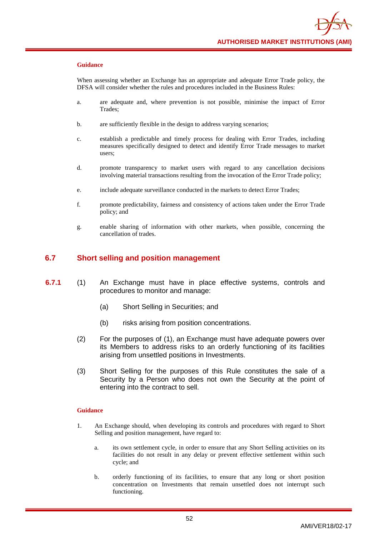When assessing whether an Exchange has an appropriate and adequate Error Trade policy, the DFSA will consider whether the rules and procedures included in the Business Rules:

- a. are adequate and, where prevention is not possible, minimise the impact of Error Trades;
- b. are sufficiently flexible in the design to address varying scenarios;
- c. establish a predictable and timely process for dealing with Error Trades, including measures specifically designed to detect and identify Error Trade messages to market users;
- d. promote transparency to market users with regard to any cancellation decisions involving material transactions resulting from the invocation of the Error Trade policy;
- e. include adequate surveillance conducted in the markets to detect Error Trades;
- f. promote predictability, fairness and consistency of actions taken under the Error Trade policy; and
- g. enable sharing of information with other markets, when possible, concerning the cancellation of trades.

## **6.7 Short selling and position management**

- **6.7.1** (1) An Exchange must have in place effective systems, controls and procedures to monitor and manage:
	- (a) Short Selling in Securities; and
	- (b) risks arising from position concentrations.
	- (2) For the purposes of (1), an Exchange must have adequate powers over its Members to address risks to an orderly functioning of its facilities arising from unsettled positions in Investments.
	- (3) Short Selling for the purposes of this Rule constitutes the sale of a Security by a Person who does not own the Security at the point of entering into the contract to sell.

- 1. An Exchange should, when developing its controls and procedures with regard to Short Selling and position management, have regard to:
	- a. its own settlement cycle, in order to ensure that any Short Selling activities on its facilities do not result in any delay or prevent effective settlement within such cycle; and
	- b. orderly functioning of its facilities, to ensure that any long or short position concentration on Investments that remain unsettled does not interrupt such functioning.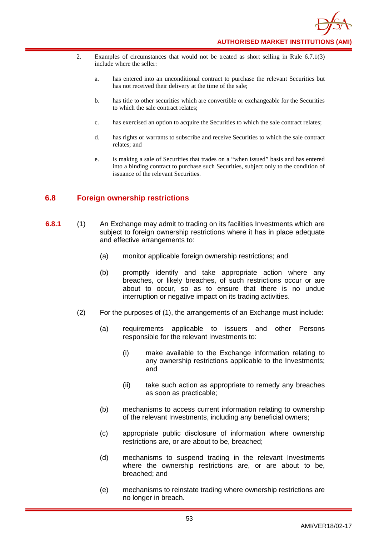- 2. Examples of circumstances that would not be treated as short selling in Rule 6.7.1(3) include where the seller:
	- a. has entered into an unconditional contract to purchase the relevant Securities but has not received their delivery at the time of the sale;
	- b. has title to other securities which are convertible or exchangeable for the Securities to which the sale contract relates;
	- c. has exercised an option to acquire the Securities to which the sale contract relates;
	- d. has rights or warrants to subscribe and receive Securities to which the sale contract relates; and
	- e. is making a sale of Securities that trades on a "when issued" basis and has entered into a binding contract to purchase such Securities, subject only to the condition of issuance of the relevant Securities.

# **6.8 Foreign ownership restrictions**

- **6.8.1** (1) An Exchange may admit to trading on its facilities Investments which are subject to foreign ownership restrictions where it has in place adequate and effective arrangements to:
	- (a) monitor applicable foreign ownership restrictions; and
	- (b) promptly identify and take appropriate action where any breaches, or likely breaches, of such restrictions occur or are about to occur, so as to ensure that there is no undue interruption or negative impact on its trading activities.
	- (2) For the purposes of (1), the arrangements of an Exchange must include:
		- (a) requirements applicable to issuers and other Persons responsible for the relevant Investments to:
			- (i) make available to the Exchange information relating to any ownership restrictions applicable to the Investments; and
			- (ii) take such action as appropriate to remedy any breaches as soon as practicable;
		- (b) mechanisms to access current information relating to ownership of the relevant Investments, including any beneficial owners;
		- (c) appropriate public disclosure of information where ownership restrictions are, or are about to be, breached;
		- (d) mechanisms to suspend trading in the relevant Investments where the ownership restrictions are, or are about to be, breached; and
		- (e) mechanisms to reinstate trading where ownership restrictions are no longer in breach.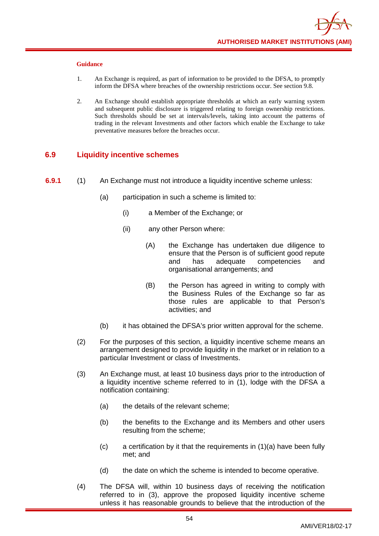- 1. An Exchange is required, as part of information to be provided to the DFSA, to promptly inform the DFSA where breaches of the ownership restrictions occur. See section 9.8.
- 2. An Exchange should establish appropriate thresholds at which an early warning system and subsequent public disclosure is triggered relating to foreign ownership restrictions. Such thresholds should be set at intervals/levels, taking into account the patterns of trading in the relevant Investments and other factors which enable the Exchange to take preventative measures before the breaches occur.

# **6.9 Liquidity incentive schemes**

- **6.9.1** (1) An Exchange must not introduce a liquidity incentive scheme unless:
	- (a) participation in such a scheme is limited to:
		- (i) a Member of the Exchange; or
		- (ii) any other Person where:
			- (A) the Exchange has undertaken due diligence to ensure that the Person is of sufficient good repute and has adequate competencies and organisational arrangements; and
			- (B) the Person has agreed in writing to comply with the Business Rules of the Exchange so far as those rules are applicable to that Person's activities; and
	- (b) it has obtained the DFSA's prior written approval for the scheme.
	- (2) For the purposes of this section, a liquidity incentive scheme means an arrangement designed to provide liquidity in the market or in relation to a particular Investment or class of Investments.
	- (3) An Exchange must, at least 10 business days prior to the introduction of a liquidity incentive scheme referred to in (1), lodge with the DFSA a notification containing:
		- (a) the details of the relevant scheme;
		- (b) the benefits to the Exchange and its Members and other users resulting from the scheme;
		- $(c)$  a certification by it that the requirements in  $(1)(a)$  have been fully met; and
		- (d) the date on which the scheme is intended to become operative.
	- (4) The DFSA will, within 10 business days of receiving the notification referred to in (3), approve the proposed liquidity incentive scheme unless it has reasonable grounds to believe that the introduction of the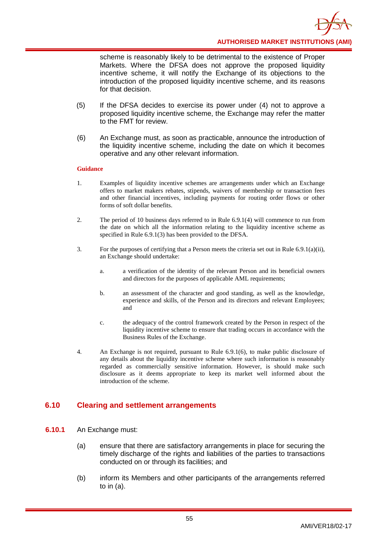**AUTHORISED MARKET INSTITUTIONS (AMI)**

scheme is reasonably likely to be detrimental to the existence of Proper Markets. Where the DFSA does not approve the proposed liquidity incentive scheme, it will notify the Exchange of its objections to the introduction of the proposed liquidity incentive scheme, and its reasons for that decision.

- (5) If the DFSA decides to exercise its power under (4) not to approve a proposed liquidity incentive scheme, the Exchange may refer the matter to the FMT for review.
- (6) An Exchange must, as soon as practicable, announce the introduction of the liquidity incentive scheme, including the date on which it becomes operative and any other relevant information.

### **Guidance**

- 1. Examples of liquidity incentive schemes are arrangements under which an Exchange offers to market makers rebates, stipends, waivers of membership or transaction fees and other financial incentives, including payments for routing order flows or other forms of soft dollar benefits.
- 2. The period of 10 business days referred to in Rule 6.9.1(4) will commence to run from the date on which all the information relating to the liquidity incentive scheme as specified in Rule 6.9.1(3) has been provided to the DFSA.
- 3. For the purposes of certifying that a Person meets the criteria set out in Rule 6.9.1(a)(ii), an Exchange should undertake:
	- a. a verification of the identity of the relevant Person and its beneficial owners and directors for the purposes of applicable AML requirements;
	- b. an assessment of the character and good standing, as well as the knowledge, experience and skills, of the Person and its directors and relevant Employees; and
	- c. the adequacy of the control framework created by the Person in respect of the liquidity incentive scheme to ensure that trading occurs in accordance with the Business Rules of the Exchange.
- 4. An Exchange is not required, pursuant to Rule 6.9.1(6), to make public disclosure of any details about the liquidity incentive scheme where such information is reasonably regarded as commercially sensitive information. However, is should make such disclosure as it deems appropriate to keep its market well informed about the introduction of the scheme.

# **6.10 Clearing and settlement arrangements**

- **6.10.1** An Exchange must:
	- (a) ensure that there are satisfactory arrangements in place for securing the timely discharge of the rights and liabilities of the parties to transactions conducted on or through its facilities; and
	- (b) inform its Members and other participants of the arrangements referred to in (a).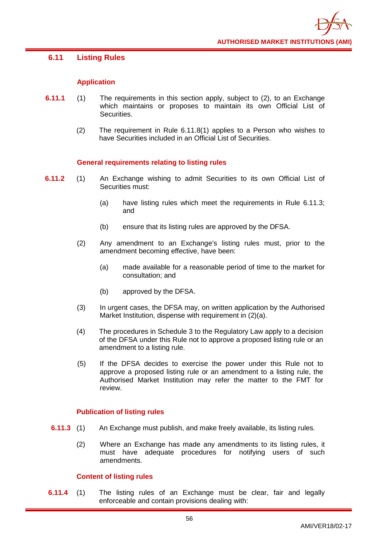# **6.11 Listing Rules**

## **Application**

- **6.11.1** (1) The requirements in this section apply, subject to (2), to an Exchange which maintains or proposes to maintain its own Official List of Securities.
	- (2) The requirement in Rule 6.11.8(1) applies to a Person who wishes to have Securities included in an Official List of Securities.

## **General requirements relating to listing rules**

- **6.11.2** (1) An Exchange wishing to admit Securities to its own Official List of Securities must:
	- (a) have listing rules which meet the requirements in Rule 6.11.3; and
	- (b) ensure that its listing rules are approved by the DFSA.
	- (2) Any amendment to an Exchange's listing rules must, prior to the amendment becoming effective, have been:
		- (a) made available for a reasonable period of time to the market for consultation; and
		- (b) approved by the DFSA.
	- (3) In urgent cases, the DFSA may, on written application by the Authorised Market Institution, dispense with requirement in (2)(a).
	- (4) The procedures in Schedule 3 to the Regulatory Law apply to a decision of the DFSA under this Rule not to approve a proposed listing rule or an amendment to a listing rule.
	- (5) If the DFSA decides to exercise the power under this Rule not to approve a proposed listing rule or an amendment to a listing rule, the Authorised Market Institution may refer the matter to the FMT for review.

## **Publication of listing rules**

- **6.11.3** (1) An Exchange must publish, and make freely available, its listing rules.
	- (2) Where an Exchange has made any amendments to its listing rules, it must have adequate procedures for notifying users of such amendments.

## **Content of listing rules**

**6.11.4** (1) The listing rules of an Exchange must be clear, fair and legally enforceable and contain provisions dealing with: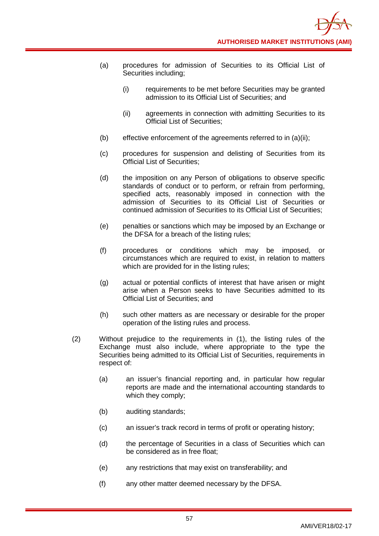- (a) procedures for admission of Securities to its Official List of Securities including;
	- (i) requirements to be met before Securities may be granted admission to its Official List of Securities; and
	- (ii) agreements in connection with admitting Securities to its Official List of Securities;
- (b) effective enforcement of the agreements referred to in (a)(ii);
- (c) procedures for suspension and delisting of Securities from its Official List of Securities;
- (d) the imposition on any Person of obligations to observe specific standards of conduct or to perform, or refrain from performing, specified acts, reasonably imposed in connection with the admission of Securities to its Official List of Securities or continued admission of Securities to its Official List of Securities;
- (e) penalties or sanctions which may be imposed by an Exchange or the DFSA for a breach of the listing rules;
- (f) procedures or conditions which may be imposed, or circumstances which are required to exist, in relation to matters which are provided for in the listing rules;
- (g) actual or potential conflicts of interest that have arisen or might arise when a Person seeks to have Securities admitted to its Official List of Securities; and
- (h) such other matters as are necessary or desirable for the proper operation of the listing rules and process.
- (2) Without prejudice to the requirements in (1), the listing rules of the Exchange must also include, where appropriate to the type the Securities being admitted to its Official List of Securities, requirements in respect of:
	- (a) an issuer's financial reporting and, in particular how regular reports are made and the international accounting standards to which they comply;
	- (b) auditing standards;
	- (c) an issuer's track record in terms of profit or operating history;
	- (d) the percentage of Securities in a class of Securities which can be considered as in free float;
	- (e) any restrictions that may exist on transferability; and
	- (f) any other matter deemed necessary by the DFSA.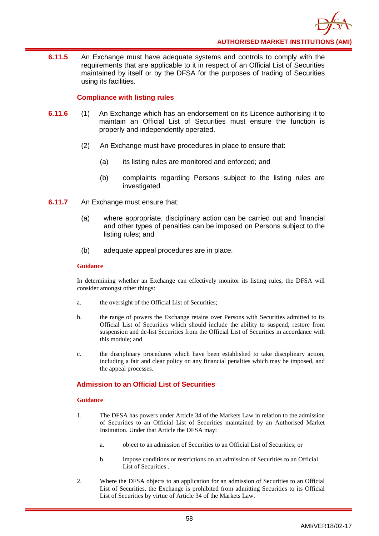

**6.11.5** An Exchange must have adequate systems and controls to comply with the requirements that are applicable to it in respect of an Official List of Securities maintained by itself or by the DFSA for the purposes of trading of Securities using its facilities.

# **Compliance with listing rules**

- **6.11.6** (1) An Exchange which has an endorsement on its Licence authorising it to maintain an Official List of Securities must ensure the function is properly and independently operated.
	- (2) An Exchange must have procedures in place to ensure that:
		- (a) its listing rules are monitored and enforced; and
		- (b) complaints regarding Persons subject to the listing rules are investigated.
- **6.11.7** An Exchange must ensure that:
	- (a) where appropriate, disciplinary action can be carried out and financial and other types of penalties can be imposed on Persons subject to the listing rules; and
	- (b) adequate appeal procedures are in place.

### **Guidance**

In determining whether an Exchange can effectively monitor its listing rules, the DFSA will consider amongst other things:

- a. the oversight of the Official List of Securities;
- b. the range of powers the Exchange retains over Persons with Securities admitted to its Official List of Securities which should include the ability to suspend, restore from suspension and de-list Securities from the Official List of Securities in accordance with this module; and
- c. the disciplinary procedures which have been established to take disciplinary action, including a fair and clear policy on any financial penalties which may be imposed, and the appeal processes.

# **Admission to an Official List of Securities**

- 1. The DFSA has powers under Article 34 of the Markets Law in relation to the admission of Securities to an Official List of Securities maintained by an Authorised Market Institution. Under that Article the DFSA may:
	- a. object to an admission of Securities to an Official List of Securities; or
	- b. impose conditions or restrictions on an admission of Securities to an Official List of Securities .
- 2. Where the DFSA objects to an application for an admission of Securities to an Official List of Securities, the Exchange is prohibited from admitting Securities to its Official List of Securities by virtue of Article 34 of the Markets Law.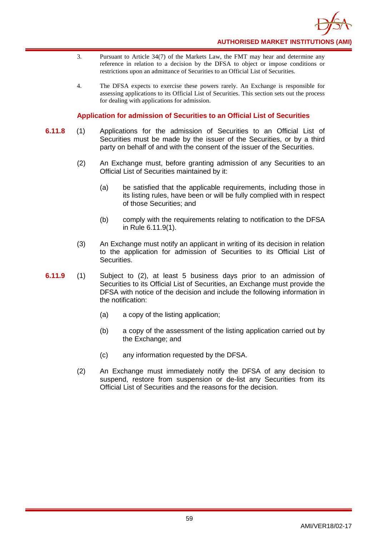

- 3. Pursuant to Article 34(7) of the Markets Law, the FMT may hear and determine any reference in relation to a decision by the DFSA to object or impose conditions or restrictions upon an admittance of Securities to an Official List of Securities.
- 4. The DFSA expects to exercise these powers rarely. An Exchange is responsible for assessing applications to its Official List of Securities. This section sets out the process for dealing with applications for admission.

# **Application for admission of Securities to an Official List of Securities**

- **6.11.8** (1) Applications for the admission of Securities to an Official List of Securities must be made by the issuer of the Securities, or by a third party on behalf of and with the consent of the issuer of the Securities.
	- (2) An Exchange must, before granting admission of any Securities to an Official List of Securities maintained by it:
		- (a) be satisfied that the applicable requirements, including those in its listing rules, have been or will be fully complied with in respect of those Securities; and
		- (b) comply with the requirements relating to notification to the DFSA in Rule 6.11.9(1).
	- (3) An Exchange must notify an applicant in writing of its decision in relation to the application for admission of Securities to its Official List of Securities.
- **6.11.9** (1) Subject to (2), at least 5 business days prior to an admission of Securities to its Official List of Securities, an Exchange must provide the DFSA with notice of the decision and include the following information in the notification:
	- (a) a copy of the listing application;
	- (b) a copy of the assessment of the listing application carried out by the Exchange; and
	- (c) any information requested by the DFSA.
	- (2) An Exchange must immediately notify the DFSA of any decision to suspend, restore from suspension or de-list any Securities from its Official List of Securities and the reasons for the decision.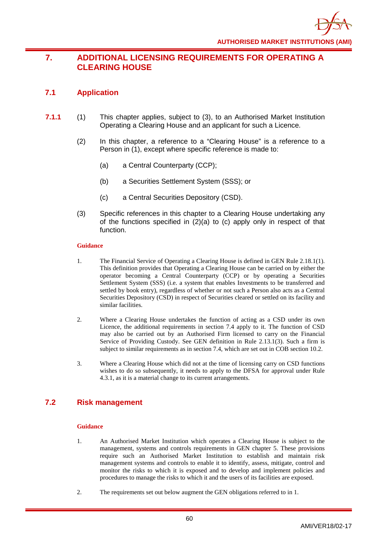# **7. ADDITIONAL LICENSING REQUIREMENTS FOR OPERATING A CLEARING HOUSE**

# **7.1 Application**

- **7.1.1** (1) This chapter applies, subject to (3), to an Authorised Market Institution Operating a Clearing House and an applicant for such a Licence.
	- (2) In this chapter, a reference to a "Clearing House" is a reference to a Person in (1), except where specific reference is made to:
		- (a) a Central Counterparty (CCP);
		- (b) a Securities Settlement System (SSS); or
		- (c) a Central Securities Depository (CSD).
	- (3) Specific references in this chapter to a Clearing House undertaking any of the functions specified in (2)(a) to (c) apply only in respect of that function.

## **Guidance**

- 1. The Financial Service of Operating a Clearing House is defined in GEN Rule 2.18.1(1). This definition provides that Operating a Clearing House can be carried on by either the operator becoming a Central Counterparty (CCP) or by operating a Securities Settlement System (SSS) (i.e. a system that enables Investments to be transferred and settled by book entry), regardless of whether or not such a Person also acts as a Central Securities Depository (CSD) in respect of Securities cleared or settled on its facility and similar facilities.
- 2. Where a Clearing House undertakes the function of acting as a CSD under its own Licence, the additional requirements in section 7.4 apply to it. The function of CSD may also be carried out by an Authorised Firm licensed to carry on the Financial Service of Providing Custody. See GEN definition in Rule 2.13.1(3). Such a firm is subject to similar requirements as in section 7.4, which are set out in COB section 10.2.
- 3. Where a Clearing House which did not at the time of licensing carry on CSD functions wishes to do so subsequently, it needs to apply to the DFSA for approval under Rule 4.3.1, as it is a material change to its current arrangements.

# **7.2 Risk management**

- 1. An Authorised Market Institution which operates a Clearing House is subject to the management, systems and controls requirements in GEN chapter 5. These provisions require such an Authorised Market Institution to establish and maintain risk management systems and controls to enable it to identify, assess, mitigate, control and monitor the risks to which it is exposed and to develop and implement policies and procedures to manage the risks to which it and the users of its facilities are exposed.
- 2. The requirements set out below augment the GEN obligations referred to in 1.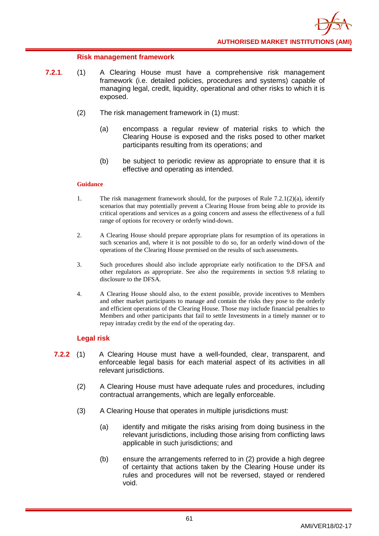## **Risk management framework**

- **7.2.1**. (1) A Clearing House must have a comprehensive risk management framework (i.e. detailed policies, procedures and systems) capable of managing legal, credit, liquidity, operational and other risks to which it is exposed.
	- (2) The risk management framework in (1) must:
		- (a) encompass a regular review of material risks to which the Clearing House is exposed and the risks posed to other market participants resulting from its operations; and
		- (b) be subject to periodic review as appropriate to ensure that it is effective and operating as intended.

### **Guidance**

- 1. The risk management framework should, for the purposes of Rule  $7.2.1(2)(a)$ , identify scenarios that may potentially prevent a Clearing House from being able to provide its critical operations and services as a going concern and assess the effectiveness of a full range of options for recovery or orderly wind-down.
- 2. A Clearing House should prepare appropriate plans for resumption of its operations in such scenarios and, where it is not possible to do so, for an orderly wind-down of the operations of the Clearing House premised on the results of such assessments.
- 3. Such procedures should also include appropriate early notification to the DFSA and other regulators as appropriate. See also the requirements in section 9.8 relating to disclosure to the DFSA.
- 4. A Clearing House should also, to the extent possible, provide incentives to Members and other market participants to manage and contain the risks they pose to the orderly and efficient operations of the Clearing House. Those may include financial penalties to Members and other participants that fail to settle Investments in a timely manner or to repay intraday credit by the end of the operating day.

# **Legal risk**

- **7.2.2** (1) A Clearing House must have a well-founded, clear, transparent, and enforceable legal basis for each material aspect of its activities in all relevant jurisdictions.
	- (2) A Clearing House must have adequate rules and procedures, including contractual arrangements, which are legally enforceable.
	- (3) A Clearing House that operates in multiple jurisdictions must:
		- (a) identify and mitigate the risks arising from doing business in the relevant jurisdictions, including those arising from conflicting laws applicable in such jurisdictions; and
		- (b) ensure the arrangements referred to in (2) provide a high degree of certainty that actions taken by the Clearing House under its rules and procedures will not be reversed, stayed or rendered void.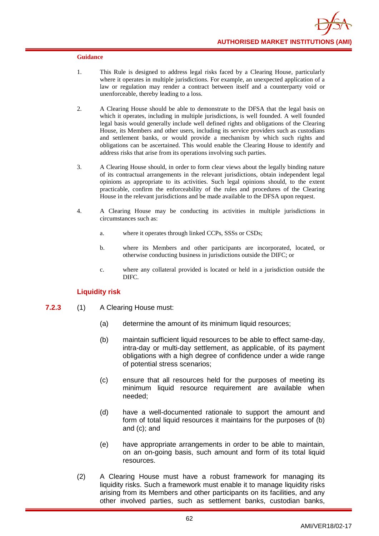- 1. This Rule is designed to address legal risks faced by a Clearing House, particularly where it operates in multiple jurisdictions. For example, an unexpected application of a law or regulation may render a contract between itself and a counterparty void or unenforceable, thereby leading to a loss.
- 2. A Clearing House should be able to demonstrate to the DFSA that the legal basis on which it operates, including in multiple jurisdictions, is well founded. A well founded legal basis would generally include well defined rights and obligations of the Clearing House, its Members and other users, including its service providers such as custodians and settlement banks, or would provide a mechanism by which such rights and obligations can be ascertained. This would enable the Clearing House to identify and address risks that arise from its operations involving such parties.
- 3. A Clearing House should, in order to form clear views about the legally binding nature of its contractual arrangements in the relevant jurisdictions, obtain independent legal opinions as appropriate to its activities. Such legal opinions should, to the extent practicable, confirm the enforceability of the rules and procedures of the Clearing House in the relevant jurisdictions and be made available to the DFSA upon request.
- 4. A Clearing House may be conducting its activities in multiple jurisdictions in circumstances such as:
	- a. where it operates through linked CCPs, SSSs or CSDs;
	- b. where its Members and other participants are incorporated, located, or otherwise conducting business in jurisdictions outside the DIFC; or
	- c. where any collateral provided is located or held in a jurisdiction outside the DIFC.

## **Liquidity risk**

- **7.2.3** (1) A Clearing House must:
	- (a) determine the amount of its minimum liquid resources;
	- (b) maintain sufficient liquid resources to be able to effect same-day, intra-day or multi-day settlement, as applicable, of its payment obligations with a high degree of confidence under a wide range of potential stress scenarios;
	- (c) ensure that all resources held for the purposes of meeting its minimum liquid resource requirement are available when needed;
	- (d) have a well-documented rationale to support the amount and form of total liquid resources it maintains for the purposes of (b) and (c); and
	- (e) have appropriate arrangements in order to be able to maintain, on an on-going basis, such amount and form of its total liquid resources.
	- (2) A Clearing House must have a robust framework for managing its liquidity risks. Such a framework must enable it to manage liquidity risks arising from its Members and other participants on its facilities, and any other involved parties, such as settlement banks, custodian banks,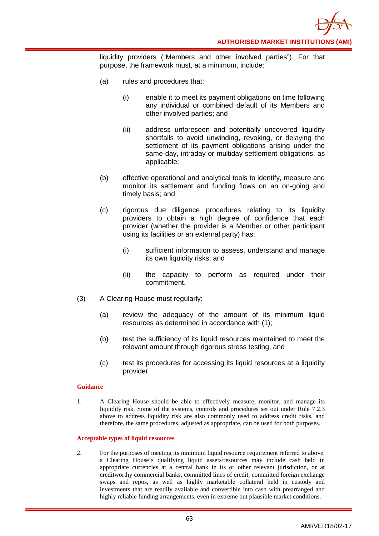

liquidity providers ("Members and other involved parties"). For that purpose, the framework must, at a minimum, include:

- (a) rules and procedures that:
	- (i) enable it to meet its payment obligations on time following any individual or combined default of its Members and other involved parties; and
	- (ii) address unforeseen and potentially uncovered liquidity shortfalls to avoid unwinding, revoking, or delaying the settlement of its payment obligations arising under the same-day, intraday or multiday settlement obligations, as applicable;
- (b) effective operational and analytical tools to identify, measure and monitor its settlement and funding flows on an on-going and timely basis; and
- (c) rigorous due diligence procedures relating to its liquidity providers to obtain a high degree of confidence that each provider (whether the provider is a Member or other participant using its facilities or an external party) has:
	- (i) sufficient information to assess, understand and manage its own liquidity risks; and
	- (ii) the capacity to perform as required under their commitment.
- (3) A Clearing House must regularly:
	- (a) review the adequacy of the amount of its minimum liquid resources as determined in accordance with (1);
	- (b) test the sufficiency of its liquid resources maintained to meet the relevant amount through rigorous stress testing; and
	- (c) test its procedures for accessing its liquid resources at a liquidity provider.

### **Guidance**

1. A Clearing House should be able to effectively measure, monitor, and manage its liquidity risk. Some of the systems, controls and procedures set out under Rule 7.2.3 above to address liquidity risk are also commonly used to address credit risks, and therefore, the same procedures, adjusted as appropriate, can be used for both purposes.

### **Acceptable types of liquid resources**

2. For the purposes of meeting its minimum liquid resource requirement referred to above, a Clearing House's qualifying liquid assets/resources may include cash held in appropriate currencies at a central bank in its or other relevant jurisdiction, or at creditworthy commercial banks, committed lines of credit, committed foreign exchange swaps and repos, as well as highly marketable collateral held in custody and investments that are readily available and convertible into cash with prearranged and highly reliable funding arrangements, even in extreme but plausible market conditions.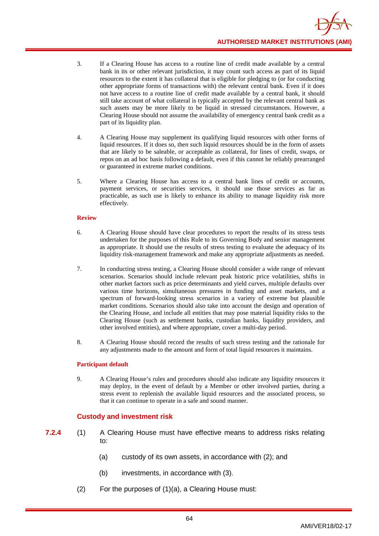- 3. If a Clearing House has access to a routine line of credit made available by a central bank in its or other relevant jurisdiction, it may count such access as part of its liquid resources to the extent it has collateral that is eligible for pledging to (or for conducting other appropriate forms of transactions with) the relevant central bank. Even if it does not have access to a routine line of credit made available by a central bank, it should still take account of what collateral is typically accepted by the relevant central bank as such assets may be more likely to be liquid in stressed circumstances. However, a Clearing House should not assume the availability of emergency central bank credit as a part of its liquidity plan.
- 4. A Clearing House may supplement its qualifying liquid resources with other forms of liquid resources. If it does so, then such liquid resources should be in the form of assets that are likely to be saleable, or acceptable as collateral, for lines of credit, swaps, or repos on an ad hoc basis following a default, even if this cannot be reliably prearranged or guaranteed in extreme market conditions.
- 5. Where a Clearing House has access to a central bank lines of credit or accounts, payment services, or securities services, it should use those services as far as practicable, as such use is likely to enhance its ability to manage liquidity risk more effectively.

### **Review**

- 6. A Clearing House should have clear procedures to report the results of its stress tests undertaken for the purposes of this Rule to its Governing Body and senior management as appropriate. It should use the results of stress testing to evaluate the adequacy of its liquidity risk-management framework and make any appropriate adjustments as needed.
- 7. In conducting stress testing, a Clearing House should consider a wide range of relevant scenarios. Scenarios should include relevant peak historic price volatilities, shifts in other market factors such as price determinants and yield curves, multiple defaults over various time horizons, simultaneous pressures in funding and asset markets, and a spectrum of forward-looking stress scenarios in a variety of extreme but plausible market conditions. Scenarios should also take into account the design and operation of the Clearing House, and include all entities that may pose material liquidity risks to the Clearing House (such as settlement banks, custodian banks, liquidity providers, and other involved entities), and where appropriate, cover a multi-day period.
- 8. A Clearing House should record the results of such stress testing and the rationale for any adjustments made to the amount and form of total liquid resources it maintains.

### **Participant default**

9. A Clearing House's rules and procedures should also indicate any liquidity resources it may deploy, in the event of default by a Member or other involved parties, during a stress event to replenish the available liquid resources and the associated process, so that it can continue to operate in a safe and sound manner.

# **Custody and investment risk**

- **7.2.4** (1) A Clearing House must have effective means to address risks relating to:
	- (a) custody of its own assets, in accordance with (2); and
	- (b) investments, in accordance with (3).
	- (2) For the purposes of (1)(a), a Clearing House must: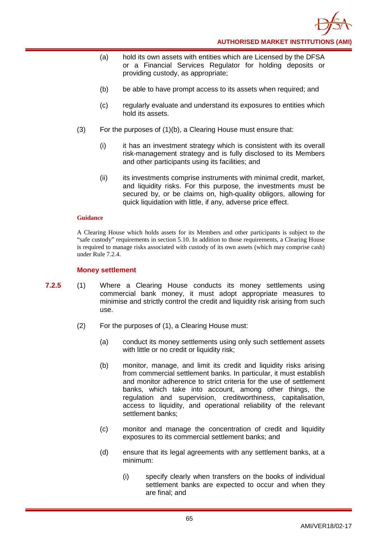

- (a) hold its own assets with entities which are Licensed by the DFSA or a Financial Services Regulator for holding deposits or providing custody, as appropriate;
- (b) be able to have prompt access to its assets when required; and
- (c) regularly evaluate and understand its exposures to entities which hold its assets.
- (3) For the purposes of (1)(b), a Clearing House must ensure that:
	- (i) it has an investment strategy which is consistent with its overall risk-management strategy and is fully disclosed to its Members and other participants using its facilities; and
	- (ii) its investments comprise instruments with minimal credit, market, and liquidity risks. For this purpose, the investments must be secured by, or be claims on, high-quality obligors, allowing for quick liquidation with little, if any, adverse price effect.

A Clearing House which holds assets for its Members and other participants is subject to the "safe custody" requirements in section 5.10. In addition to those requirements, a Clearing House is required to manage risks associated with custody of its own assets (which may comprise cash) under Rule 7.2.4.

## **Money settlement**

- **7.2.5** (1) Where a Clearing House conducts its money settlements using commercial bank money, it must adopt appropriate measures to minimise and strictly control the credit and liquidity risk arising from such use.
	- (2) For the purposes of (1), a Clearing House must:
		- (a) conduct its money settlements using only such settlement assets with little or no credit or liquidity risk;
		- (b) monitor, manage, and limit its credit and liquidity risks arising from commercial settlement banks. In particular, it must establish and monitor adherence to strict criteria for the use of settlement banks, which take into account, among other things, the regulation and supervision, creditworthiness, capitalisation, access to liquidity, and operational reliability of the relevant settlement banks;
		- (c) monitor and manage the concentration of credit and liquidity exposures to its commercial settlement banks; and
		- (d) ensure that its legal agreements with any settlement banks, at a minimum:
			- (i) specify clearly when transfers on the books of individual settlement banks are expected to occur and when they are final; and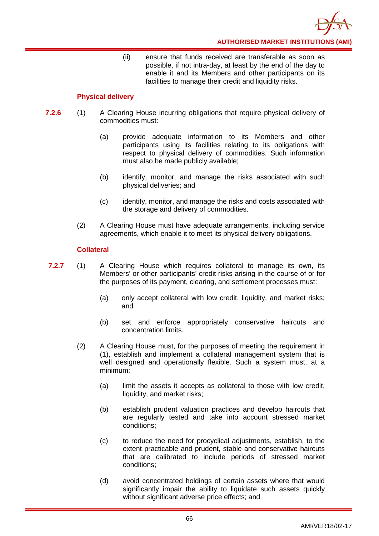(ii) ensure that funds received are transferable as soon as possible, if not intra-day, at least by the end of the day to enable it and its Members and other participants on its facilities to manage their credit and liquidity risks.

# **Physical delivery**

- **7.2.6** (1) A Clearing House incurring obligations that require physical delivery of commodities must:
	- (a) provide adequate information to its Members and other participants using its facilities relating to its obligations with respect to physical delivery of commodities. Such information must also be made publicly available;
	- (b) identify, monitor, and manage the risks associated with such physical deliveries; and
	- (c) identify, monitor, and manage the risks and costs associated with the storage and delivery of commodities.
	- (2) A Clearing House must have adequate arrangements, including service agreements, which enable it to meet its physical delivery obligations.

## **Collateral**

- **7.2.7** (1) A Clearing House which requires collateral to manage its own, its Members' or other participants' credit risks arising in the course of or for the purposes of its payment, clearing, and settlement processes must:
	- (a) only accept collateral with low credit, liquidity, and market risks; and
	- (b) set and enforce appropriately conservative haircuts and concentration limits.
	- (2) A Clearing House must, for the purposes of meeting the requirement in (1), establish and implement a collateral management system that is well designed and operationally flexible. Such a system must, at a minimum:
		- (a) limit the assets it accepts as collateral to those with low credit, liquidity, and market risks;
		- (b) establish prudent valuation practices and develop haircuts that are regularly tested and take into account stressed market conditions;
		- (c) to reduce the need for procyclical adjustments, establish, to the extent practicable and prudent, stable and conservative haircuts that are calibrated to include periods of stressed market conditions;
		- (d) avoid concentrated holdings of certain assets where that would significantly impair the ability to liquidate such assets quickly without significant adverse price effects; and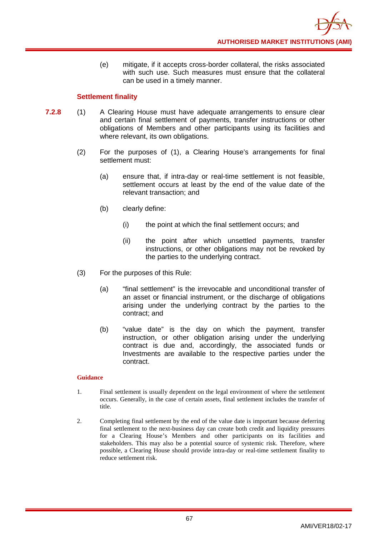(e) mitigate, if it accepts cross-border collateral, the risks associated with such use. Such measures must ensure that the collateral can be used in a timely manner.

# **Settlement finality**

- **7.2.8** (1) A Clearing House must have adequate arrangements to ensure clear and certain final settlement of payments, transfer instructions or other obligations of Members and other participants using its facilities and where relevant, its own obligations.
	- (2) For the purposes of (1), a Clearing House's arrangements for final settlement must:
		- (a) ensure that, if intra-day or real-time settlement is not feasible, settlement occurs at least by the end of the value date of the relevant transaction; and
		- (b) clearly define:
			- (i) the point at which the final settlement occurs; and
			- (ii) the point after which unsettled payments, transfer instructions, or other obligations may not be revoked by the parties to the underlying contract.
	- (3) For the purposes of this Rule:
		- (a) "final settlement" is the irrevocable and unconditional transfer of an asset or financial instrument, or the discharge of obligations arising under the underlying contract by the parties to the contract; and
		- (b) "value date" is the day on which the payment, transfer instruction, or other obligation arising under the underlying contract is due and, accordingly, the associated funds or Investments are available to the respective parties under the contract.

- 1. Final settlement is usually dependent on the legal environment of where the settlement occurs. Generally, in the case of certain assets, final settlement includes the transfer of title.
- 2. Completing final settlement by the end of the value date is important because deferring final settlement to the next-business day can create both credit and liquidity pressures for a Clearing House's Members and other participants on its facilities and stakeholders. This may also be a potential source of systemic risk. Therefore, where possible, a Clearing House should provide intra-day or real-time settlement finality to reduce settlement risk.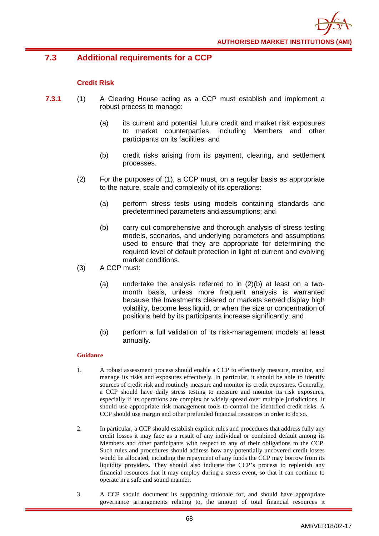

# **7.3 Additional requirements for a CCP**

# **Credit Risk**

- **7.3.1** (1) A Clearing House acting as a CCP must establish and implement a robust process to manage:
	- (a) its current and potential future credit and market risk exposures to market counterparties, including Members and other participants on its facilities; and
	- (b) credit risks arising from its payment, clearing, and settlement processes.
	- (2) For the purposes of (1), a CCP must, on a regular basis as appropriate to the nature, scale and complexity of its operations:
		- (a) perform stress tests using models containing standards and predetermined parameters and assumptions; and
		- (b) carry out comprehensive and thorough analysis of stress testing models, scenarios, and underlying parameters and assumptions used to ensure that they are appropriate for determining the required level of default protection in light of current and evolving market conditions.
	- (3) A CCP must:
		- (a) undertake the analysis referred to in (2)(b) at least on a twomonth basis, unless more frequent analysis is warranted because the Investments cleared or markets served display high volatility, become less liquid, or when the size or concentration of positions held by its participants increase significantly; and
		- (b) perform a full validation of its risk-management models at least annually.

- 1. A robust assessment process should enable a CCP to effectively measure, monitor, and manage its risks and exposures effectively. In particular, it should be able to identify sources of credit risk and routinely measure and monitor its credit exposures. Generally, a CCP should have daily stress testing to measure and monitor its risk exposures, especially if its operations are complex or widely spread over multiple jurisdictions. It should use appropriate risk management tools to control the identified credit risks. A CCP should use margin and other prefunded financial resources in order to do so.
- 2. In particular, a CCP should establish explicit rules and procedures that address fully any credit losses it may face as a result of any individual or combined default among its Members and other participants with respect to any of their obligations to the CCP. Such rules and procedures should address how any potentially uncovered credit losses would be allocated, including the repayment of any funds the CCP may borrow from its liquidity providers. They should also indicate the CCP's process to replenish any financial resources that it may employ during a stress event, so that it can continue to operate in a safe and sound manner.
- 3. A CCP should document its supporting rationale for, and should have appropriate governance arrangements relating to, the amount of total financial resources it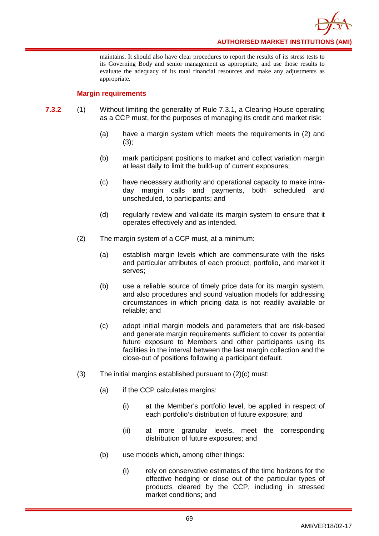**AUTHORISED MARKET INSTITUTIONS (AMI)**

maintains. It should also have clear procedures to report the results of its stress tests to its Governing Body and senior management as appropriate, and use those results to evaluate the adequacy of its total financial resources and make any adjustments as appropriate.

### **Margin requirements**

- **7.3.2** (1) Without limiting the generality of Rule 7.3.1, a Clearing House operating as a CCP must, for the purposes of managing its credit and market risk:
	- (a) have a margin system which meets the requirements in (2) and  $(3);$
	- (b) mark participant positions to market and collect variation margin at least daily to limit the build-up of current exposures;
	- (c) have necessary authority and operational capacity to make intraday margin calls and payments, both scheduled and unscheduled, to participants; and
	- (d) regularly review and validate its margin system to ensure that it operates effectively and as intended.
	- (2) The margin system of a CCP must, at a minimum:
		- (a) establish margin levels which are commensurate with the risks and particular attributes of each product, portfolio, and market it serves;
		- (b) use a reliable source of timely price data for its margin system, and also procedures and sound valuation models for addressing circumstances in which pricing data is not readily available or reliable; and
		- (c) adopt initial margin models and parameters that are risk-based and generate margin requirements sufficient to cover its potential future exposure to Members and other participants using its facilities in the interval between the last margin collection and the close-out of positions following a participant default.
	- (3) The initial margins established pursuant to (2)(c) must:
		- (a) if the CCP calculates margins:
			- (i) at the Member's portfolio level, be applied in respect of each portfolio's distribution of future exposure; and
			- (ii) at more granular levels, meet the corresponding distribution of future exposures; and
		- (b) use models which, among other things:
			- (i) rely on conservative estimates of the time horizons for the effective hedging or close out of the particular types of products cleared by the CCP, including in stressed market conditions; and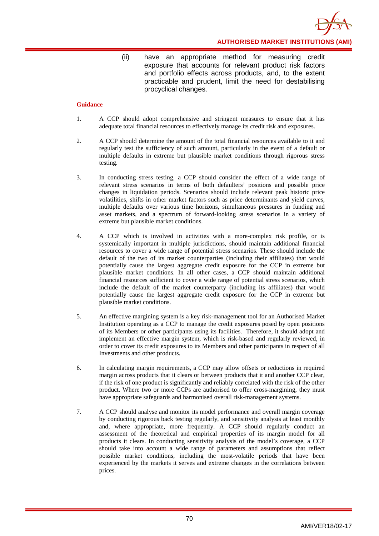

(ii) have an appropriate method for measuring credit exposure that accounts for relevant product risk factors and portfolio effects across products, and, to the extent practicable and prudent, limit the need for destabilising procyclical changes.

- 1. A CCP should adopt comprehensive and stringent measures to ensure that it has adequate total financial resources to effectively manage its credit risk and exposures.
- 2. A CCP should determine the amount of the total financial resources available to it and regularly test the sufficiency of such amount, particularly in the event of a default or multiple defaults in extreme but plausible market conditions through rigorous stress testing.
- 3. In conducting stress testing, a CCP should consider the effect of a wide range of relevant stress scenarios in terms of both defaulters' positions and possible price changes in liquidation periods. Scenarios should include relevant peak historic price volatilities, shifts in other market factors such as price determinants and yield curves, multiple defaults over various time horizons, simultaneous pressures in funding and asset markets, and a spectrum of forward-looking stress scenarios in a variety of extreme but plausible market conditions.
- 4. A CCP which is involved in activities with a more-complex risk profile, or is systemically important in multiple jurisdictions, should maintain additional financial resources to cover a wide range of potential stress scenarios. These should include the default of the two of its market counterparties (including their affiliates) that would potentially cause the largest aggregate credit exposure for the CCP in extreme but plausible market conditions. In all other cases, a CCP should maintain additional financial resources sufficient to cover a wide range of potential stress scenarios, which include the default of the market counterparty (including its affiliates) that would potentially cause the largest aggregate credit exposure for the CCP in extreme but plausible market conditions.
- 5. An effective margining system is a key risk-management tool for an Authorised Market Institution operating as a CCP to manage the credit exposures posed by open positions of its Members or other participants using its facilities. Therefore, it should adopt and implement an effective margin system, which is risk-based and regularly reviewed, in order to cover its credit exposures to its Members and other participants in respect of all Investments and other products.
- 6. In calculating margin requirements, a CCP may allow offsets or reductions in required margin across products that it clears or between products that it and another CCP clear, if the risk of one product is significantly and reliably correlated with the risk of the other product. Where two or more CCPs are authorised to offer cross-margining, they must have appropriate safeguards and harmonised overall risk-management systems.
- 7. A CCP should analyse and monitor its model performance and overall margin coverage by conducting rigorous back testing regularly, and sensitivity analysis at least monthly and, where appropriate, more frequently. A CCP should regularly conduct an assessment of the theoretical and empirical properties of its margin model for all products it clears. In conducting sensitivity analysis of the model's coverage, a CCP should take into account a wide range of parameters and assumptions that reflect possible market conditions, including the most-volatile periods that have been experienced by the markets it serves and extreme changes in the correlations between prices.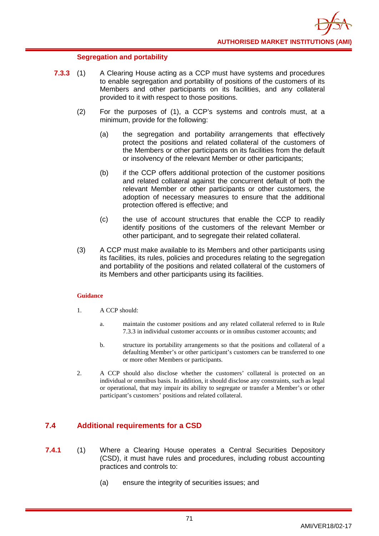## **Segregation and portability**

- **7.3.3** (1) A Clearing House acting as a CCP must have systems and procedures to enable segregation and portability of positions of the customers of its Members and other participants on its facilities, and any collateral provided to it with respect to those positions.
	- (2) For the purposes of (1), a CCP's systems and controls must, at a minimum, provide for the following:
		- (a) the segregation and portability arrangements that effectively protect the positions and related collateral of the customers of the Members or other participants on its facilities from the default or insolvency of the relevant Member or other participants;
		- (b) if the CCP offers additional protection of the customer positions and related collateral against the concurrent default of both the relevant Member or other participants or other customers, the adoption of necessary measures to ensure that the additional protection offered is effective; and
		- (c) the use of account structures that enable the CCP to readily identify positions of the customers of the relevant Member or other participant, and to segregate their related collateral.
	- (3) A CCP must make available to its Members and other participants using its facilities, its rules, policies and procedures relating to the segregation and portability of the positions and related collateral of the customers of its Members and other participants using its facilities.

### **Guidance**

- 1. A CCP should:
	- a. maintain the customer positions and any related collateral referred to in Rule 7.3.3 in individual customer accounts or in omnibus customer accounts; and
	- b. structure its portability arrangements so that the positions and collateral of a defaulting Member's or other participant's customers can be transferred to one or more other Members or participants.
- 2. A CCP should also disclose whether the customers' collateral is protected on an individual or omnibus basis. In addition, it should disclose any constraints, such as legal or operational, that may impair its ability to segregate or transfer a Member's or other participant's customers' positions and related collateral.

## **7.4 Additional requirements for a CSD**

- **7.4.1** (1) Where a Clearing House operates a Central Securities Depository (CSD), it must have rules and procedures, including robust accounting practices and controls to:
	- (a) ensure the integrity of securities issues; and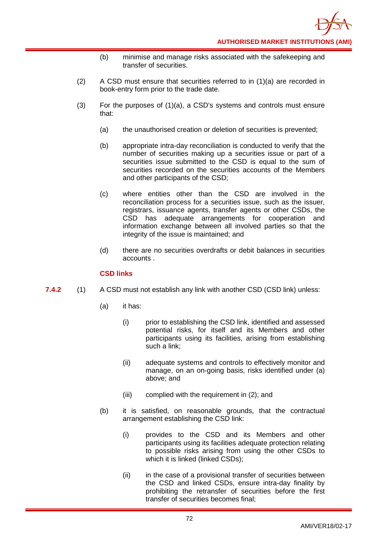- (b) minimise and manage risks associated with the safekeeping and transfer of securities.
- (2) A CSD must ensure that securities referred to in (1)(a) are recorded in book-entry form prior to the trade date.
- $(3)$  For the purposes of  $(1)(a)$ , a CSD's systems and controls must ensure that:
	- (a) the unauthorised creation or deletion of securities is prevented;
	- (b) appropriate intra-day reconciliation is conducted to verify that the number of securities making up a securities issue or part of a securities issue submitted to the CSD is equal to the sum of securities recorded on the securities accounts of the Members and other participants of the CSD;
	- (c) where entities other than the CSD are involved in the reconciliation process for a securities issue, such as the issuer, registrars, issuance agents, transfer agents or other CSDs, the CSD has adequate arrangements for cooperation and information exchange between all involved parties so that the integrity of the issue is maintained; and
	- (d) there are no securities overdrafts or debit balances in securities accounts .

### **CSD links**

- **7.4.2** (1) A CSD must not establish any link with another CSD (CSD link) unless:
	- (a) it has:
		- (i) prior to establishing the CSD link, identified and assessed potential risks, for itself and its Members and other participants using its facilities, arising from establishing such a link;
		- (ii) adequate systems and controls to effectively monitor and manage, on an on-going basis, risks identified under (a) above; and
		- (iii) complied with the requirement in (2); and
	- (b) it is satisfied, on reasonable grounds, that the contractual arrangement establishing the CSD link:
		- (i) provides to the CSD and its Members and other participants using its facilities adequate protection relating to possible risks arising from using the other CSDs to which it is linked (linked CSDs);
		- (ii) in the case of a provisional transfer of securities between the CSD and linked CSDs, ensure intra-day finality by prohibiting the retransfer of securities before the first transfer of securities becomes final;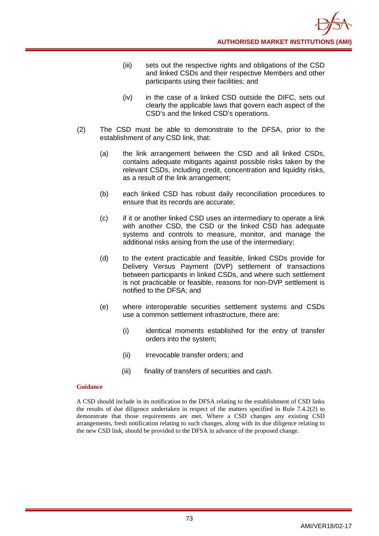- (iii) sets out the respective rights and obligations of the CSD and linked CSDs and their respective Members and other participants using their facilities; and
- (iv) in the case of a linked CSD outside the DIFC, sets out clearly the applicable laws that govern each aspect of the CSD's and the linked CSD's operations.
- (2) The CSD must be able to demonstrate to the DFSA, prior to the establishment of any CSD link, that:
	- (a) the link arrangement between the CSD and all linked CSDs, contains adequate mitigants against possible risks taken by the relevant CSDs, including credit, concentration and liquidity risks, as a result of the link arrangement;
	- (b) each linked CSD has robust daily reconciliation procedures to ensure that its records are accurate;
	- (c) if it or another linked CSD uses an intermediary to operate a link with another CSD, the CSD or the linked CSD has adequate systems and controls to measure, monitor, and manage the additional risks arising from the use of the intermediary;
	- (d) to the extent practicable and feasible, linked CSDs provide for Delivery Versus Payment (DVP) settlement of transactions between participants in linked CSDs, and where such settlement is not practicable or feasible, reasons for non-DVP settlement is notified to the DFSA; and
	- (e) where interoperable securities settlement systems and CSDs use a common settlement infrastructure, there are:
		- (i) identical moments established for the entry of transfer orders into the system;
		- (ii) irrevocable transfer orders; and
		- (iii) finality of transfers of securities and cash.

A CSD should include in its notification to the DFSA relating to the establishment of CSD links the results of due diligence undertaken in respect of the matters specified in Rule 7.4.2(2) to demonstrate that those requirements are met. Where a CSD changes any existing CSD arrangements, fresh notification relating to such changes, along with its due diligence relating to the new CSD link, should be provided to the DFSA in advance of the proposed change.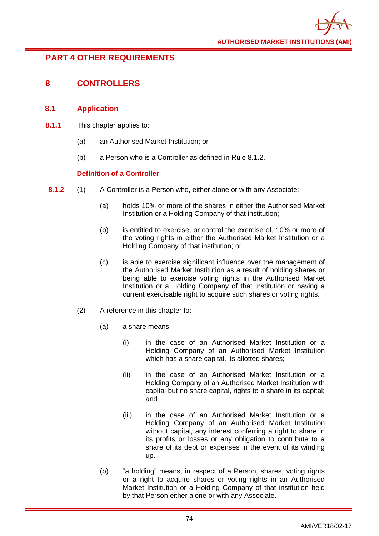# **PART 4 OTHER REQUIREMENTS**

## **8 CONTROLLERS**

## **8.1 Application**

- **8.1.1** This chapter applies to:
	- (a) an Authorised Market Institution; or
	- (b) a Person who is a Controller as defined in Rule 8.1.2.

## **Definition of a Controller**

- **8.1.2** (1) A Controller is a Person who, either alone or with any Associate:
	- (a) holds 10% or more of the shares in either the Authorised Market Institution or a Holding Company of that institution;
	- (b) is entitled to exercise, or control the exercise of, 10% or more of the voting rights in either the Authorised Market Institution or a Holding Company of that institution; or
	- (c) is able to exercise significant influence over the management of the Authorised Market Institution as a result of holding shares or being able to exercise voting rights in the Authorised Market Institution or a Holding Company of that institution or having a current exercisable right to acquire such shares or voting rights.
	- (2) A reference in this chapter to:
		- (a) a share means:
			- (i) in the case of an Authorised Market Institution or a Holding Company of an Authorised Market Institution which has a share capital, its allotted shares;
			- (ii) in the case of an Authorised Market Institution or a Holding Company of an Authorised Market Institution with capital but no share capital, rights to a share in its capital; and
			- (iii) in the case of an Authorised Market Institution or a Holding Company of an Authorised Market Institution without capital, any interest conferring a right to share in its profits or losses or any obligation to contribute to a share of its debt or expenses in the event of its winding up.
		- (b) "a holding" means, in respect of a Person, shares, voting rights or a right to acquire shares or voting rights in an Authorised Market Institution or a Holding Company of that institution held by that Person either alone or with any Associate.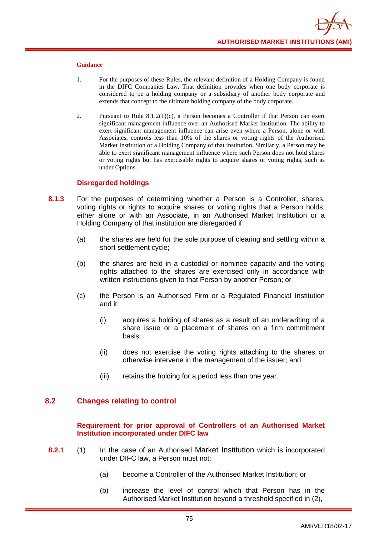- 1. For the purposes of these Rules, the relevant definition of a Holding Company is found in the DIFC Companies Law. That definition provides when one body corporate is considered to be a holding company or a subsidiary of another body corporate and extends that concept to the ultimate holding company of the body corporate.
- 2. Pursuant to Rule  $8.1.2(1)(c)$ , a Person becomes a Controller if that Person can exert significant management influence over an Authorised Market Institution. The ability to exert significant management influence can arise even where a Person, alone or with Associates, controls less than 10% of the shares or voting rights of the Authorised Market Institution or a Holding Company of that institution. Similarly, a Person may be able to exert significant management influence where such Person does not hold shares or voting rights but has exercisable rights to acquire shares or voting rights, such as under Options.

### **Disregarded holdings**

- **8.1.3** For the purposes of determining whether a Person is a Controller, shares, voting rights or rights to acquire shares or voting rights that a Person holds. either alone or with an Associate, in an Authorised Market Institution or a Holding Company of that institution are disregarded if:
	- (a) the shares are held for the sole purpose of clearing and settling within a short settlement cycle;
	- (b) the shares are held in a custodial or nominee capacity and the voting rights attached to the shares are exercised only in accordance with written instructions given to that Person by another Person; or
	- (c) the Person is an Authorised Firm or a Regulated Financial Institution and it:
		- (i) acquires a holding of shares as a result of an underwriting of a share issue or a placement of shares on a firm commitment basis;
		- (ii) does not exercise the voting rights attaching to the shares or otherwise intervene in the management of the issuer; and
		- (iii) retains the holding for a period less than one year.

## **8.2 Changes relating to control**

### **Requirement for prior approval of Controllers of an Authorised Market Institution incorporated under DIFC law**

- **8.2.1** (1) In the case of an Authorised Market Institution which is incorporated under DIFC law, a Person must not:
	- (a) become a Controller of the Authorised Market Institution; or
	- (b) increase the level of control which that Person has in the Authorised Market Institution beyond a threshold specified in (2),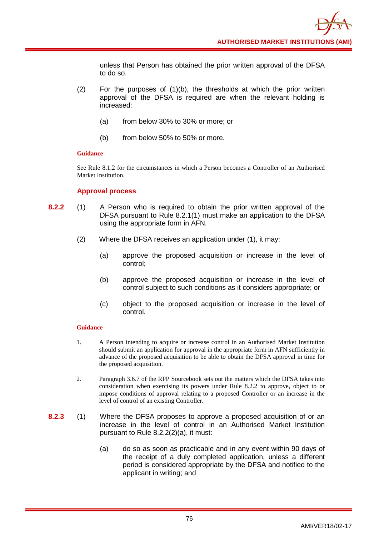unless that Person has obtained the prior written approval of the DFSA to do so.

- (2) For the purposes of (1)(b), the thresholds at which the prior written approval of the DFSA is required are when the relevant holding is increased:
	- (a) from below 30% to 30% or more; or
	- (b) from below 50% to 50% or more.

### **Guidance**

See Rule 8.1.2 for the circumstances in which a Person becomes a Controller of an Authorised Market Institution.

### **Approval process**

- **8.2.2** (1) A Person who is required to obtain the prior written approval of the DFSA pursuant to Rule 8.2.1(1) must make an application to the DFSA using the appropriate form in AFN.
	- (2) Where the DFSA receives an application under (1), it may:
		- (a) approve the proposed acquisition or increase in the level of control;
		- (b) approve the proposed acquisition or increase in the level of control subject to such conditions as it considers appropriate; or
		- (c) object to the proposed acquisition or increase in the level of control.

- 1. A Person intending to acquire or increase control in an Authorised Market Institution should submit an application for approval in the appropriate form in AFN sufficiently in advance of the proposed acquisition to be able to obtain the DFSA approval in time for the proposed acquisition.
- 2. Paragraph 3.6.7 of the RPP Sourcebook sets out the matters which the DFSA takes into consideration when exercising its powers under Rule 8.2.2 to approve, object to or impose conditions of approval relating to a proposed Controller or an increase in the level of control of an existing Controller.
- **8.2.3** (1) Where the DFSA proposes to approve a proposed acquisition of or an increase in the level of control in an Authorised Market Institution pursuant to Rule 8.2.2(2)(a), it must:
	- (a) do so as soon as practicable and in any event within 90 days of the receipt of a duly completed application, unless a different period is considered appropriate by the DFSA and notified to the applicant in writing; and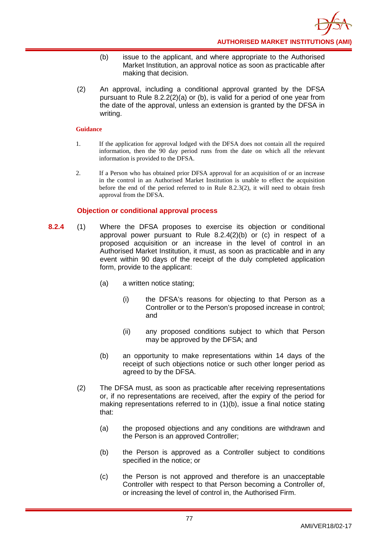- (b) issue to the applicant, and where appropriate to the Authorised Market Institution, an approval notice as soon as practicable after making that decision.
- (2) An approval, including a conditional approval granted by the DFSA pursuant to Rule 8.2.2(2)(a) or (b), is valid for a period of one year from the date of the approval, unless an extension is granted by the DFSA in writing.

- 1. If the application for approval lodged with the DFSA does not contain all the required information, then the 90 day period runs from the date on which all the relevant information is provided to the DFSA.
- 2. If a Person who has obtained prior DFSA approval for an acquisition of or an increase in the control in an Authorised Market Institution is unable to effect the acquisition before the end of the period referred to in Rule 8.2.3(2), it will need to obtain fresh approval from the DFSA.

## **Objection or conditional approval process**

- **8.2.4** (1) Where the DFSA proposes to exercise its objection or conditional approval power pursuant to Rule 8.2.4(2)(b) or (c) in respect of a proposed acquisition or an increase in the level of control in an Authorised Market Institution, it must, as soon as practicable and in any event within 90 days of the receipt of the duly completed application form, provide to the applicant:
	- (a) a written notice stating;
		- (i) the DFSA's reasons for objecting to that Person as a Controller or to the Person's proposed increase in control; and
		- (ii) any proposed conditions subject to which that Person may be approved by the DFSA; and
	- (b) an opportunity to make representations within 14 days of the receipt of such objections notice or such other longer period as agreed to by the DFSA.
	- (2) The DFSA must, as soon as practicable after receiving representations or, if no representations are received, after the expiry of the period for making representations referred to in (1)(b), issue a final notice stating that:
		- (a) the proposed objections and any conditions are withdrawn and the Person is an approved Controller;
		- (b) the Person is approved as a Controller subject to conditions specified in the notice; or
		- (c) the Person is not approved and therefore is an unacceptable Controller with respect to that Person becoming a Controller of, or increasing the level of control in, the Authorised Firm.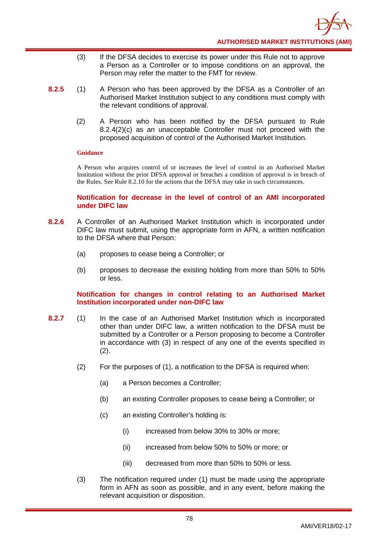- (3) If the DFSA decides to exercise its power under this Rule not to approve a Person as a Controller or to impose conditions on an approval, the Person may refer the matter to the FMT for review.
- **8.2.5** (1) A Person who has been approved by the DFSA as a Controller of an Authorised Market Institution subject to any conditions must comply with the relevant conditions of approval.
	- (2) A Person who has been notified by the DFSA pursuant to Rule 8.2.4(2)(c) as an unacceptable Controller must not proceed with the proposed acquisition of control of the Authorised Market Institution.

A Person who acquires control of or increases the level of control in an Authorised Market Institution without the prior DFSA approval or breaches a condition of approval is in breach of the Rules. See Rule 8.2.10 for the actions that the DFSA may take in such circumstances.

### **Notification for decrease in the level of control of an AMI incorporated under DIFC law**

- **8.2.6** A Controller of an Authorised Market Institution which is incorporated under DIFC law must submit, using the appropriate form in AFN, a written notification to the DFSA where that Person:
	- (a) proposes to cease being a Controller; or
	- (b) proposes to decrease the existing holding from more than 50% to 50% or less.

**Notification for changes in control relating to an Authorised Market Institution incorporated under non-DIFC law** 

- **8.2.7** (1) In the case of an Authorised Market Institution which is incorporated other than under DIFC law, a written notification to the DFSA must be submitted by a Controller or a Person proposing to become a Controller in accordance with (3) in respect of any one of the events specified in  $(2).$ 
	- (2) For the purposes of (1), a notification to the DFSA is required when:
		- (a) a Person becomes a Controller;
		- (b) an existing Controller proposes to cease being a Controller; or
		- (c) an existing Controller's holding is:
			- (i) increased from below 30% to 30% or more;
			- (ii) increased from below 50% to 50% or more; or
			- (iii) decreased from more than 50% to 50% or less.
	- (3) The notification required under (1) must be made using the appropriate form in AFN as soon as possible, and in any event, before making the relevant acquisition or disposition.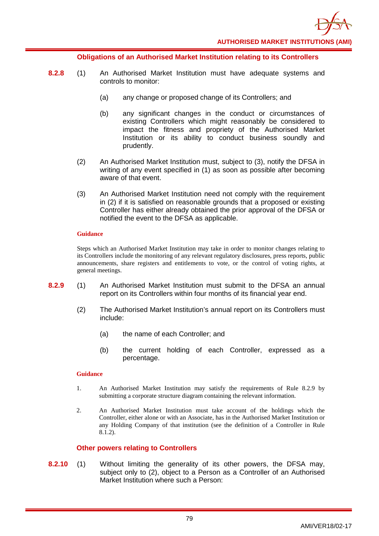

#### **Obligations of an Authorised Market Institution relating to its Controllers**

- **8.2.8** (1) An Authorised Market Institution must have adequate systems and controls to monitor:
	- (a) any change or proposed change of its Controllers; and
	- (b) any significant changes in the conduct or circumstances of existing Controllers which might reasonably be considered to impact the fitness and propriety of the Authorised Market Institution or its ability to conduct business soundly and prudently.
	- (2) An Authorised Market Institution must, subject to (3), notify the DFSA in writing of any event specified in (1) as soon as possible after becoming aware of that event.
	- (3) An Authorised Market Institution need not comply with the requirement in (2) if it is satisfied on reasonable grounds that a proposed or existing Controller has either already obtained the prior approval of the DFSA or notified the event to the DFSA as applicable.

#### **Guidance**

Steps which an Authorised Market Institution may take in order to monitor changes relating to its Controllers include the monitoring of any relevant regulatory disclosures, press reports, public announcements, share registers and entitlements to vote, or the control of voting rights, at general meetings.

- **8.2.9** (1) An Authorised Market Institution must submit to the DFSA an annual report on its Controllers within four months of its financial year end.
	- (2) The Authorised Market Institution's annual report on its Controllers must include:
		- (a) the name of each Controller; and
		- (b) the current holding of each Controller, expressed as a percentage.

#### **Guidance**

- 1. An Authorised Market Institution may satisfy the requirements of Rule 8.2.9 by submitting a corporate structure diagram containing the relevant information.
- 2. An Authorised Market Institution must take account of the holdings which the Controller, either alone or with an Associate, has in the Authorised Market Institution or any Holding Company of that institution (see the definition of a Controller in Rule 8.1.2).

### **Other powers relating to Controllers**

**8.2.10** (1) Without limiting the generality of its other powers, the DFSA may, subject only to (2), object to a Person as a Controller of an Authorised Market Institution where such a Person: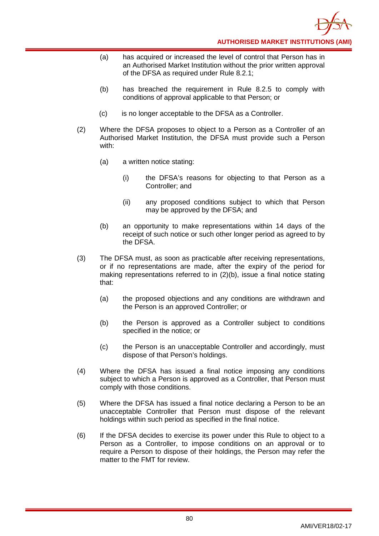- (a) has acquired or increased the level of control that Person has in an Authorised Market Institution without the prior written approval of the DFSA as required under Rule 8.2.1;
- (b) has breached the requirement in Rule 8.2.5 to comply with conditions of approval applicable to that Person; or
- (c) is no longer acceptable to the DFSA as a Controller.
- (2) Where the DFSA proposes to object to a Person as a Controller of an Authorised Market Institution, the DFSA must provide such a Person with:
	- (a) a written notice stating:
		- (i) the DFSA's reasons for objecting to that Person as a Controller; and
		- (ii) any proposed conditions subject to which that Person may be approved by the DFSA; and
	- (b) an opportunity to make representations within 14 days of the receipt of such notice or such other longer period as agreed to by the DFSA.
- (3) The DFSA must, as soon as practicable after receiving representations, or if no representations are made, after the expiry of the period for making representations referred to in (2)(b), issue a final notice stating that:
	- (a) the proposed objections and any conditions are withdrawn and the Person is an approved Controller; or
	- (b) the Person is approved as a Controller subject to conditions specified in the notice; or
	- (c) the Person is an unacceptable Controller and accordingly, must dispose of that Person's holdings.
- (4) Where the DFSA has issued a final notice imposing any conditions subject to which a Person is approved as a Controller, that Person must comply with those conditions.
- (5) Where the DFSA has issued a final notice declaring a Person to be an unacceptable Controller that Person must dispose of the relevant holdings within such period as specified in the final notice.
- (6) If the DFSA decides to exercise its power under this Rule to object to a Person as a Controller, to impose conditions on an approval or to require a Person to dispose of their holdings, the Person may refer the matter to the FMT for review.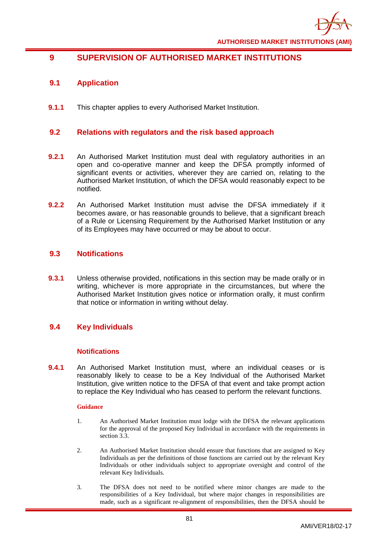

# **9 SUPERVISION OF AUTHORISED MARKET INSTITUTIONS**

## **9.1 Application**

**9.1.1** This chapter applies to every Authorised Market Institution.

## **9.2 Relations with regulators and the risk based approach**

- **9.2.1** An Authorised Market Institution must deal with regulatory authorities in an open and co-operative manner and keep the DFSA promptly informed of significant events or activities, wherever they are carried on, relating to the Authorised Market Institution, of which the DFSA would reasonably expect to be notified.
- **9.2.2** An Authorised Market Institution must advise the DFSA immediately if it becomes aware, or has reasonable grounds to believe, that a significant breach of a Rule or Licensing Requirement by the Authorised Market Institution or any of its Employees may have occurred or may be about to occur.

## **9.3 Notifications**

**9.3.1** Unless otherwise provided, notifications in this section may be made orally or in writing, whichever is more appropriate in the circumstances, but where the Authorised Market Institution gives notice or information orally, it must confirm that notice or information in writing without delay.

## **9.4 Key Individuals**

### **Notifications**

**9.4.1** An Authorised Market Institution must, where an individual ceases or is reasonably likely to cease to be a Key Individual of the Authorised Market Institution, give written notice to the DFSA of that event and take prompt action to replace the Key Individual who has ceased to perform the relevant functions.

- 1. An Authorised Market Institution must lodge with the DFSA the relevant applications for the approval of the proposed Key Individual in accordance with the requirements in section 3.3.
- 2. An Authorised Market Institution should ensure that functions that are assigned to Key Individuals as per the definitions of those functions are carried out by the relevant Key Individuals or other individuals subject to appropriate oversight and control of the relevant Key Individuals.
- 3. The DFSA does not need to be notified where minor changes are made to the responsibilities of a Key Individual, but where major changes in responsibilities are made, such as a significant re-alignment of responsibilities, then the DFSA should be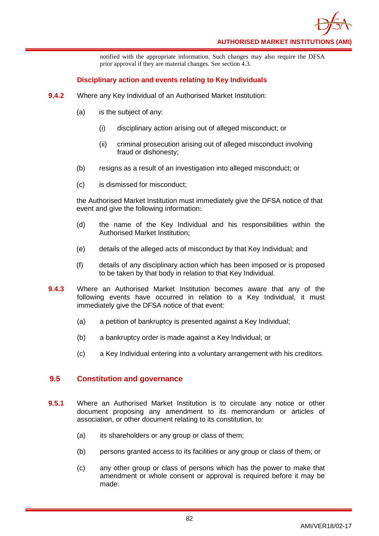

notified with the appropriate information. Such changes may also require the DFSA prior approval if they are material changes. See section 4.3.

### **Disciplinary action and events relating to Key Individuals**

- **9.4.2** Where any Key Individual of an Authorised Market Institution:
	- (a) is the subject of any:
		- (i) disciplinary action arising out of alleged misconduct; or
		- (ii) criminal prosecution arising out of alleged misconduct involving fraud or dishonesty;
	- (b) resigns as a result of an investigation into alleged misconduct; or
	- (c) is dismissed for misconduct;

the Authorised Market Institution must immediately give the DFSA notice of that event and give the following information:

- (d) the name of the Key Individual and his responsibilities within the Authorised Market Institution;
- (e) details of the alleged acts of misconduct by that Key Individual; and
- (f) details of any disciplinary action which has been imposed or is proposed to be taken by that body in relation to that Key Individual.
- **9.4.3** Where an Authorised Market Institution becomes aware that any of the following events have occurred in relation to a Key Individual, it must immediately give the DFSA notice of that event:
	- (a) a petition of bankruptcy is presented against a Key Individual;
	- (b) a bankruptcy order is made against a Key Individual; or
	- (c) a Key Individual entering into a voluntary arrangement with his creditors.

## **9.5 Constitution and governance**

- **9.5.1** Where an Authorised Market Institution is to circulate any notice or other document proposing any amendment to its memorandum or articles of association, or other document relating to its constitution, to:
	- (a) its shareholders or any group or class of them;
	- (b) persons granted access to its facilities or any group or class of them; or
	- (c) any other group or class of persons which has the power to make that amendment or whole consent or approval is required before it may be made: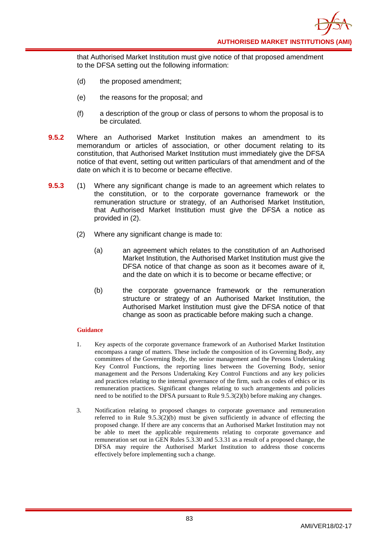**AUTHORISED MARKET INSTITUTIONS (AMI)**

that Authorised Market Institution must give notice of that proposed amendment to the DFSA setting out the following information:

- (d) the proposed amendment;
- (e) the reasons for the proposal; and
- (f) a description of the group or class of persons to whom the proposal is to be circulated.
- **9.5.2** Where an Authorised Market Institution makes an amendment to its memorandum or articles of association, or other document relating to its constitution, that Authorised Market Institution must immediately give the DFSA notice of that event, setting out written particulars of that amendment and of the date on which it is to become or became effective.
- **9.5.3** (1) Where any significant change is made to an agreement which relates to the constitution, or to the corporate governance framework or the remuneration structure or strategy, of an Authorised Market Institution, that Authorised Market Institution must give the DFSA a notice as provided in (2).
	- (2) Where any significant change is made to:
		- (a) an agreement which relates to the constitution of an Authorised Market Institution, the Authorised Market Institution must give the DFSA notice of that change as soon as it becomes aware of it, and the date on which it is to become or became effective; or
		- (b) the corporate governance framework or the remuneration structure or strategy of an Authorised Market Institution, the Authorised Market Institution must give the DFSA notice of that change as soon as practicable before making such a change.

- 1. Key aspects of the corporate governance framework of an Authorised Market Institution encompass a range of matters. These include the composition of its Governing Body, any committees of the Governing Body, the senior management and the Persons Undertaking Key Control Functions, the reporting lines between the Governing Body, senior management and the Persons Undertaking Key Control Functions and any key policies and practices relating to the internal governance of the firm, such as codes of ethics or its remuneration practices. Significant changes relating to such arrangements and policies need to be notified to the DFSA pursuant to Rule 9.5.3(2)(b) before making any changes.
- 3. Notification relating to proposed changes to corporate governance and remuneration referred to in Rule  $9.5.3(2)(b)$  must be given sufficiently in advance of effecting the proposed change. If there are any concerns that an Authorised Market Institution may not be able to meet the applicable requirements relating to corporate governance and remuneration set out in GEN Rules 5.3.30 and 5.3.31 as a result of a proposed change, the DFSA may require the Authorised Market Institution to address those concerns effectively before implementing such a change.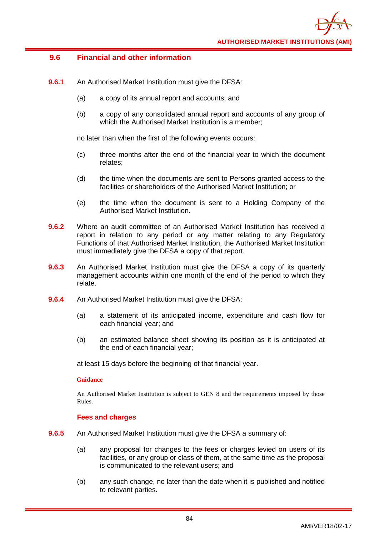## **9.6 Financial and other information**

- **9.6.1** An Authorised Market Institution must give the DFSA:
	- (a) a copy of its annual report and accounts; and
	- (b) a copy of any consolidated annual report and accounts of any group of which the Authorised Market Institution is a member;

no later than when the first of the following events occurs:

- (c) three months after the end of the financial year to which the document relates;
- (d) the time when the documents are sent to Persons granted access to the facilities or shareholders of the Authorised Market Institution; or
- (e) the time when the document is sent to a Holding Company of the Authorised Market Institution.
- **9.6.2** Where an audit committee of an Authorised Market Institution has received a report in relation to any period or any matter relating to any Regulatory Functions of that Authorised Market Institution, the Authorised Market Institution must immediately give the DFSA a copy of that report.
- **9.6.3** An Authorised Market Institution must give the DFSA a copy of its quarterly management accounts within one month of the end of the period to which they relate.
- **9.6.4** An Authorised Market Institution must give the DFSA:
	- (a) a statement of its anticipated income, expenditure and cash flow for each financial year; and
	- (b) an estimated balance sheet showing its position as it is anticipated at the end of each financial year;

at least 15 days before the beginning of that financial year.

### **Guidance**

An Authorised Market Institution is subject to GEN 8 and the requirements imposed by those Rules.

### **Fees and charges**

- **9.6.5** An Authorised Market Institution must give the DFSA a summary of:
	- (a) any proposal for changes to the fees or charges levied on users of its facilities, or any group or class of them, at the same time as the proposal is communicated to the relevant users; and
	- (b) any such change, no later than the date when it is published and notified to relevant parties.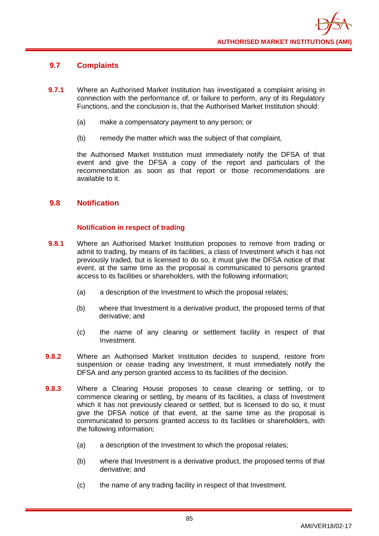## **9.7 Complaints**

- **9.7.1** Where an Authorised Market Institution has investigated a complaint arising in connection with the performance of, or failure to perform, any of its Regulatory Functions, and the conclusion is, that the Authorised Market Institution should:
	- (a) make a compensatory payment to any person; or
	- (b) remedy the matter which was the subject of that complaint,

the Authorised Market Institution must immediately notify the DFSA of that event and give the DFSA a copy of the report and particulars of the recommendation as soon as that report or those recommendations are available to it.

## **9.8 Notification**

## **Notification in respect of trading**

- **9.8.1** Where an Authorised Market Institution proposes to remove from trading or admit to trading, by means of its facilities, a class of Investment which it has not previously traded, but is licensed to do so, it must give the DFSA notice of that event, at the same time as the proposal is communicated to persons granted access to its facilities or shareholders, with the following information;
	- (a) a description of the Investment to which the proposal relates;
	- (b) where that Investment is a derivative product, the proposed terms of that derivative; and
	- (c) the name of any clearing or settlement facility in respect of that Investment.
- **9.8.2** Where an Authorised Market Institution decides to suspend, restore from suspension or cease trading any Investment, it must immediately notify the DFSA and any person granted access to its facilities of the decision.
- **9.8.3** Where a Clearing House proposes to cease clearing or settling, or to commence clearing or settling, by means of its facilities, a class of Investment which it has not previously cleared or settled, but is licensed to do so, it must give the DFSA notice of that event, at the same time as the proposal is communicated to persons granted access to its facilities or shareholders, with the following information;
	- (a) a description of the Investment to which the proposal relates;
	- (b) where that Investment is a derivative product, the proposed terms of that derivative; and
	- (c) the name of any trading facility in respect of that Investment.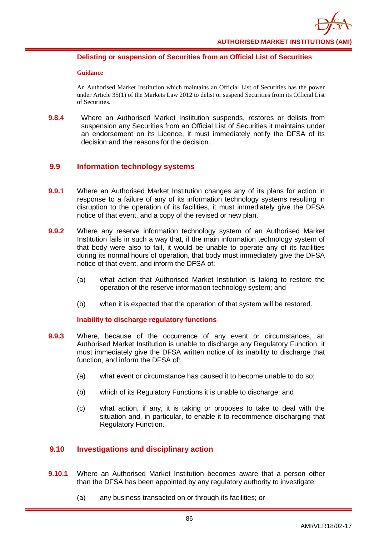

### **Delisting or suspension of Securities from an Official List of Securities**

#### **Guidance**

An Authorised Market Institution which maintains an Official List of Securities has the power under Article 35(1) of the Markets Law 2012 to delist or suspend Securities from its Official List of Securities.

**9.8.4** Where an Authorised Market Institution suspends, restores or delists from suspension any Securities from an Official List of Securities it maintains under an endorsement on its Licence, it must immediately notify the DFSA of its decision and the reasons for the decision.

## **9.9 Information technology systems**

- **9.9.1** Where an Authorised Market Institution changes any of its plans for action in response to a failure of any of its information technology systems resulting in disruption to the operation of its facilities, it must immediately give the DFSA notice of that event, and a copy of the revised or new plan.
- **9.9.2** Where any reserve information technology system of an Authorised Market Institution fails in such a way that, if the main information technology system of that body were also to fail, it would be unable to operate any of its facilities during its normal hours of operation, that body must immediately give the DFSA notice of that event, and inform the DFSA of:
	- (a) what action that Authorised Market Institution is taking to restore the operation of the reserve information technology system; and
	- (b) when it is expected that the operation of that system will be restored.

## **Inability to discharge regulatory functions**

- **9.9.3** Where, because of the occurrence of any event or circumstances, an Authorised Market Institution is unable to discharge any Regulatory Function, it must immediately give the DFSA written notice of its inability to discharge that function, and inform the DFSA of:
	- (a) what event or circumstance has caused it to become unable to do so;
	- (b) which of its Regulatory Functions it is unable to discharge; and
	- (c) what action, if any, it is taking or proposes to take to deal with the situation and, in particular, to enable it to recommence discharging that Regulatory Function.

## **9.10 Investigations and disciplinary action**

- **9.10.1** Where an Authorised Market Institution becomes aware that a person other than the DFSA has been appointed by any regulatory authority to investigate:
	- (a) any business transacted on or through its facilities; or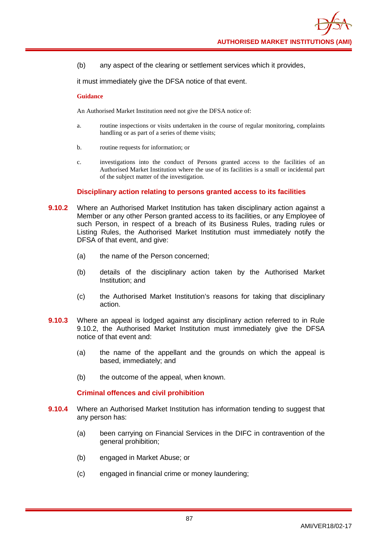(b) any aspect of the clearing or settlement services which it provides,

it must immediately give the DFSA notice of that event.

#### **Guidance**

An Authorised Market Institution need not give the DFSA notice of:

- a. routine inspections or visits undertaken in the course of regular monitoring, complaints handling or as part of a series of theme visits;
- b. routine requests for information; or
- c. investigations into the conduct of Persons granted access to the facilities of an Authorised Market Institution where the use of its facilities is a small or incidental part of the subject matter of the investigation.

#### **Disciplinary action relating to persons granted access to its facilities**

- **9.10.2** Where an Authorised Market Institution has taken disciplinary action against a Member or any other Person granted access to its facilities, or any Employee of such Person, in respect of a breach of its Business Rules, trading rules or Listing Rules, the Authorised Market Institution must immediately notify the DFSA of that event, and give:
	- (a) the name of the Person concerned;
	- (b) details of the disciplinary action taken by the Authorised Market Institution; and
	- (c) the Authorised Market Institution's reasons for taking that disciplinary action.
- **9.10.3** Where an appeal is lodged against any disciplinary action referred to in Rule 9.10.2, the Authorised Market Institution must immediately give the DFSA notice of that event and:
	- (a) the name of the appellant and the grounds on which the appeal is based, immediately; and
	- (b) the outcome of the appeal, when known.

### **Criminal offences and civil prohibition**

- **9.10.4** Where an Authorised Market Institution has information tending to suggest that any person has:
	- (a) been carrying on Financial Services in the DIFC in contravention of the general prohibition;
	- (b) engaged in Market Abuse; or
	- (c) engaged in financial crime or money laundering;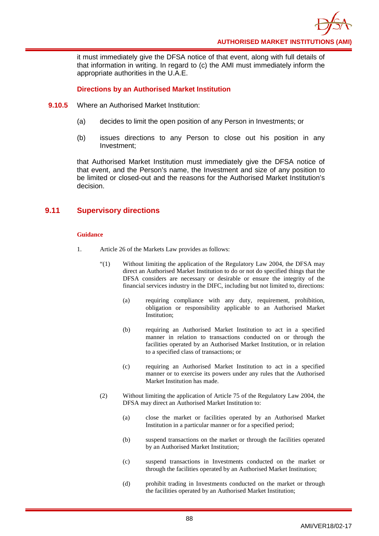it must immediately give the DFSA notice of that event, along with full details of that information in writing. In regard to (c) the AMI must immediately inform the appropriate authorities in the U.A.E.

## **Directions by an Authorised Market Institution**

- **9.10.5** Where an Authorised Market Institution:
	- (a) decides to limit the open position of any Person in Investments; or
	- (b) issues directions to any Person to close out his position in any Investment;

that Authorised Market Institution must immediately give the DFSA notice of that event, and the Person's name, the Investment and size of any position to be limited or closed-out and the reasons for the Authorised Market Institution's decision.

## **9.11 Supervisory directions**

- 1. Article 26 of the Markets Law provides as follows:
	- "(1) Without limiting the application of the Regulatory Law 2004, the DFSA may direct an Authorised Market Institution to do or not do specified things that the DFSA considers are necessary or desirable or ensure the integrity of the financial services industry in the DIFC, including but not limited to, directions:
		- (a) requiring compliance with any duty, requirement, prohibition, obligation or responsibility applicable to an Authorised Market Institution;
		- (b) requiring an Authorised Market Institution to act in a specified manner in relation to transactions conducted on or through the facilities operated by an Authorised Market Institution, or in relation to a specified class of transactions; or
		- (c) requiring an Authorised Market Institution to act in a specified manner or to exercise its powers under any rules that the Authorised Market Institution has made.
	- (2) Without limiting the application of Article 75 of the Regulatory Law 2004, the DFSA may direct an Authorised Market Institution to:
		- (a) close the market or facilities operated by an Authorised Market Institution in a particular manner or for a specified period;
		- (b) suspend transactions on the market or through the facilities operated by an Authorised Market Institution;
		- (c) suspend transactions in Investments conducted on the market or through the facilities operated by an Authorised Market Institution;
		- (d) prohibit trading in Investments conducted on the market or through the facilities operated by an Authorised Market Institution;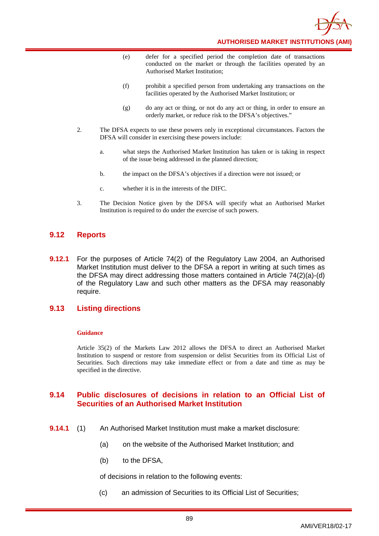

**AUTHORISED MARKET INSTITUTIONS (AMI)**

- (e) defer for a specified period the completion date of transactions conducted on the market or through the facilities operated by an Authorised Market Institution;
- (f) prohibit a specified person from undertaking any transactions on the facilities operated by the Authorised Market Institution; or
- (g) do any act or thing, or not do any act or thing, in order to ensure an orderly market, or reduce risk to the DFSA's objectives."
- 2. The DFSA expects to use these powers only in exceptional circumstances. Factors the DFSA will consider in exercising these powers include:
	- a. what steps the Authorised Market Institution has taken or is taking in respect of the issue being addressed in the planned direction;
	- b. the impact on the DFSA's objectives if a direction were not issued; or
	- c. whether it is in the interests of the DIFC.
- 3. The Decision Notice given by the DFSA will specify what an Authorised Market Institution is required to do under the exercise of such powers.

## **9.12 Reports**

**9.12.1** For the purposes of Article 74(2) of the Regulatory Law 2004, an Authorised Market Institution must deliver to the DFSA a report in writing at such times as the DFSA may direct addressing those matters contained in Article 74(2)(a)-(d) of the Regulatory Law and such other matters as the DFSA may reasonably require.

## **9.13 Listing directions**

#### **Guidance**

Article 35(2) of the Markets Law 2012 allows the DFSA to direct an Authorised Market Institution to suspend or restore from suspension or delist Securities from its Official List of Securities. Such directions may take immediate effect or from a date and time as may be specified in the directive.

## **9.14 Public disclosures of decisions in relation to an Official List of Securities of an Authorised Market Institution**

- **9.14.1** (1) An Authorised Market Institution must make a market disclosure:
	- (a) on the website of the Authorised Market Institution; and
	- (b) to the DFSA,

of decisions in relation to the following events:

(c) an admission of Securities to its Official List of Securities;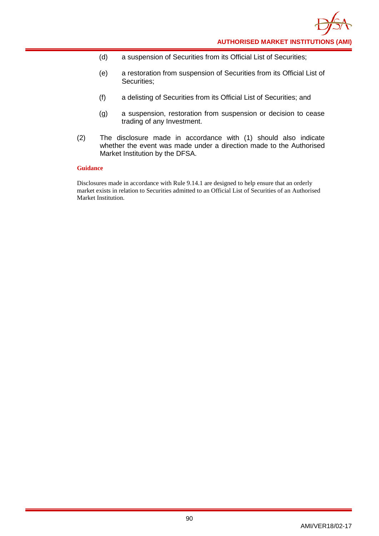- (d) a suspension of Securities from its Official List of Securities;
- (e) a restoration from suspension of Securities from its Official List of Securities;
- (f) a delisting of Securities from its Official List of Securities; and
- (g) a suspension, restoration from suspension or decision to cease trading of any Investment.
- (2) The disclosure made in accordance with (1) should also indicate whether the event was made under a direction made to the Authorised Market Institution by the DFSA.

Disclosures made in accordance with Rule 9.14.1 are designed to help ensure that an orderly market exists in relation to Securities admitted to an Official List of Securities of an Authorised Market Institution.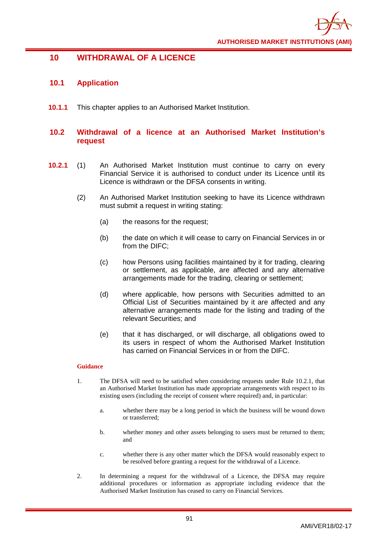

## **10 WITHDRAWAL OF A LICENCE**

## **10.1 Application**

**10.1.1** This chapter applies to an Authorised Market Institution.

## **10.2 Withdrawal of a licence at an Authorised Market Institution's request**

- **10.2.1** (1) An Authorised Market Institution must continue to carry on every Financial Service it is authorised to conduct under its Licence until its Licence is withdrawn or the DFSA consents in writing.
	- (2) An Authorised Market Institution seeking to have its Licence withdrawn must submit a request in writing stating:
		- (a) the reasons for the request;
		- (b) the date on which it will cease to carry on Financial Services in or from the DIFC;
		- (c) how Persons using facilities maintained by it for trading, clearing or settlement, as applicable, are affected and any alternative arrangements made for the trading, clearing or settlement;
		- (d) where applicable, how persons with Securities admitted to an Official List of Securities maintained by it are affected and any alternative arrangements made for the listing and trading of the relevant Securities; and
		- (e) that it has discharged, or will discharge, all obligations owed to its users in respect of whom the Authorised Market Institution has carried on Financial Services in or from the DIFC.

- 1. The DFSA will need to be satisfied when considering requests under Rule 10.2.1, that an Authorised Market Institution has made appropriate arrangements with respect to its existing users (including the receipt of consent where required) and, in particular:
	- a. whether there may be a long period in which the business will be wound down or transferred;
	- b. whether money and other assets belonging to users must be returned to them; and
	- c. whether there is any other matter which the DFSA would reasonably expect to be resolved before granting a request for the withdrawal of a Licence.
- 2. In determining a request for the withdrawal of a Licence, the DFSA may require additional procedures or information as appropriate including evidence that the Authorised Market Institution has ceased to carry on Financial Services.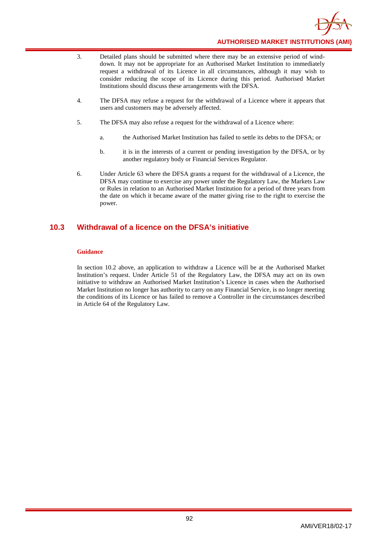

- 3. Detailed plans should be submitted where there may be an extensive period of winddown. It may not be appropriate for an Authorised Market Institution to immediately request a withdrawal of its Licence in all circumstances, although it may wish to consider reducing the scope of its Licence during this period. Authorised Market Institutions should discuss these arrangements with the DFSA.
- 4. The DFSA may refuse a request for the withdrawal of a Licence where it appears that users and customers may be adversely affected.
- 5. The DFSA may also refuse a request for the withdrawal of a Licence where:
	- a. the Authorised Market Institution has failed to settle its debts to the DFSA; or
	- b. it is in the interests of a current or pending investigation by the DFSA, or by another regulatory body or Financial Services Regulator.
- 6. Under Article 63 where the DFSA grants a request for the withdrawal of a Licence, the DFSA may continue to exercise any power under the Regulatory Law, the Markets Law or Rules in relation to an Authorised Market Institution for a period of three years from the date on which it became aware of the matter giving rise to the right to exercise the power.

## **10.3 Withdrawal of a licence on the DFSA's initiative**

#### **Guidance**

In section 10.2 above, an application to withdraw a Licence will be at the Authorised Market Institution's request. Under Article 51 of the Regulatory Law, the DFSA may act on its own initiative to withdraw an Authorised Market Institution's Licence in cases when the Authorised Market Institution no longer has authority to carry on any Financial Service, is no longer meeting the conditions of its Licence or has failed to remove a Controller in the circumstances described in Article 64 of the Regulatory Law.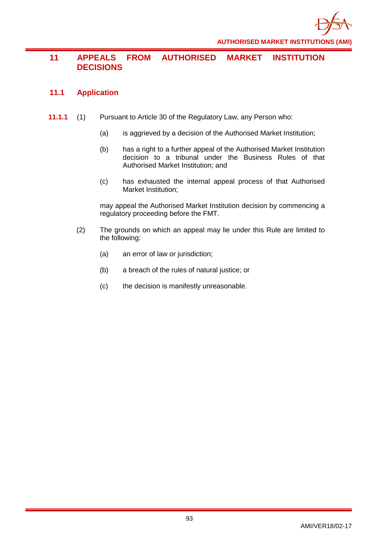

# **11 APPEALS FROM AUTHORISED MARKET INSTITUTION DECISIONS**

## **11.1 Application**

- **11.1.1** (1) Pursuant to Article 30 of the Regulatory Law, any Person who:
	- (a) is aggrieved by a decision of the Authorised Market Institution;
	- (b) has a right to a further appeal of the Authorised Market Institution decision to a tribunal under the Business Rules of that Authorised Market Institution; and
	- (c) has exhausted the internal appeal process of that Authorised Market Institution;

may appeal the Authorised Market Institution decision by commencing a regulatory proceeding before the FMT.

- (2) The grounds on which an appeal may lie under this Rule are limited to the following:
	- (a) an error of law or jurisdiction;
	- (b) a breach of the rules of natural justice; or
	- (c) the decision is manifestly unreasonable.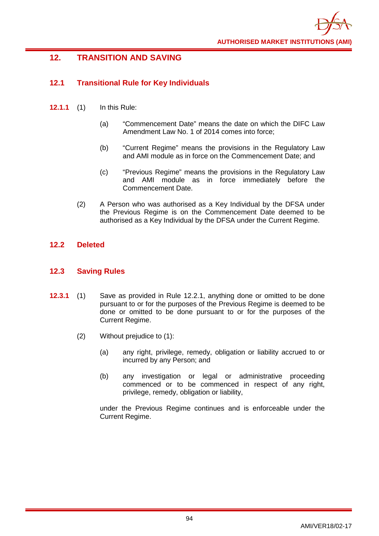

# **12. TRANSITION AND SAVING**

## **12.1 Transitional Rule for Key Individuals**

- **12.1.1** (1) In this Rule:
	- (a) "Commencement Date" means the date on which the DIFC Law Amendment Law No. 1 of 2014 comes into force;
	- (b) "Current Regime" means the provisions in the Regulatory Law and AMI module as in force on the Commencement Date; and
	- (c) "Previous Regime" means the provisions in the Regulatory Law and AMI module as in force immediately before the Commencement Date.
	- (2) A Person who was authorised as a Key Individual by the DFSA under the Previous Regime is on the Commencement Date deemed to be authorised as a Key Individual by the DFSA under the Current Regime.

## **12.2 Deleted**

## **12.3 Saving Rules**

- **12.3.1** (1) Save as provided in Rule 12.2.1, anything done or omitted to be done pursuant to or for the purposes of the Previous Regime is deemed to be done or omitted to be done pursuant to or for the purposes of the Current Regime.
	- (2) Without prejudice to (1):
		- (a) any right, privilege, remedy, obligation or liability accrued to or incurred by any Person; and
		- (b) any investigation or legal or administrative proceeding commenced or to be commenced in respect of any right, privilege, remedy, obligation or liability,

under the Previous Regime continues and is enforceable under the Current Regime.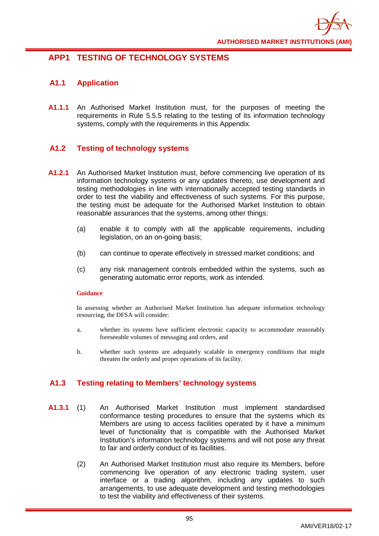

# **APP1 TESTING OF TECHNOLOGY SYSTEMS**

## **A1.1 Application**

**A1.1.1** An Authorised Market Institution must, for the purposes of meeting the requirements in Rule 5.5.5 relating to the testing of its information technology systems, comply with the requirements in this Appendix.

## **A1.2 Testing of technology systems**

- **A1.2.1** An Authorised Market Institution must, before commencing live operation of its information technology systems or any updates thereto, use development and testing methodologies in line with internationally accepted testing standards in order to test the viability and effectiveness of such systems. For this purpose, the testing must be adequate for the Authorised Market Institution to obtain reasonable assurances that the systems, among other things:
	- (a) enable it to comply with all the applicable requirements, including legislation, on an on-going basis;
	- (b) can continue to operate effectively in stressed market conditions; and
	- (c) any risk management controls embedded within the systems, such as generating automatic error reports, work as intended.

### **Guidance**

In assessing whether an Authorised Market Institution has adequate information technology resourcing, the DFSA will consider:

- a. whether its systems have sufficient electronic capacity to accommodate reasonably foreseeable volumes of messaging and orders, and
- b. whether such systems are adequately scalable in emergency conditions that might threaten the orderly and proper operations of its facility.

## **A1.3 Testing relating to Members' technology systems**

- **A1.3.1** (1) An Authorised Market Institution must implement standardised conformance testing procedures to ensure that the systems which its Members are using to access facilities operated by it have a minimum level of functionality that is compatible with the Authorised Market Institution's information technology systems and will not pose any threat to fair and orderly conduct of its facilities.
	- (2) An Authorised Market Institution must also require its Members, before commencing live operation of any electronic trading system, user interface or a trading algorithm, including any updates to such arrangements, to use adequate development and testing methodologies to test the viability and effectiveness of their systems.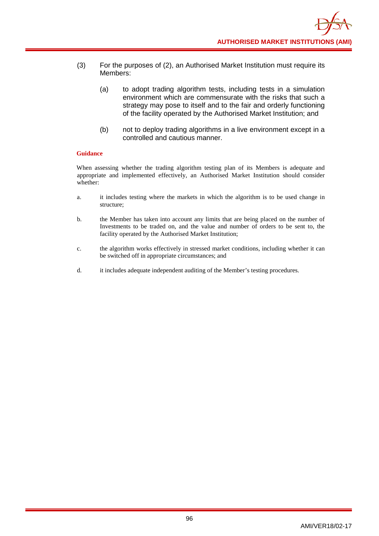- (3) For the purposes of (2), an Authorised Market Institution must require its Members:
	- (a) to adopt trading algorithm tests, including tests in a simulation environment which are commensurate with the risks that such a strategy may pose to itself and to the fair and orderly functioning of the facility operated by the Authorised Market Institution; and
	- (b) not to deploy trading algorithms in a live environment except in a controlled and cautious manner.

When assessing whether the trading algorithm testing plan of its Members is adequate and appropriate and implemented effectively, an Authorised Market Institution should consider whether:

- a. it includes testing where the markets in which the algorithm is to be used change in structure;
- b. the Member has taken into account any limits that are being placed on the number of Investments to be traded on, and the value and number of orders to be sent to, the facility operated by the Authorised Market Institution;
- c. the algorithm works effectively in stressed market conditions, including whether it can be switched off in appropriate circumstances; and
- d. it includes adequate independent auditing of the Member's testing procedures.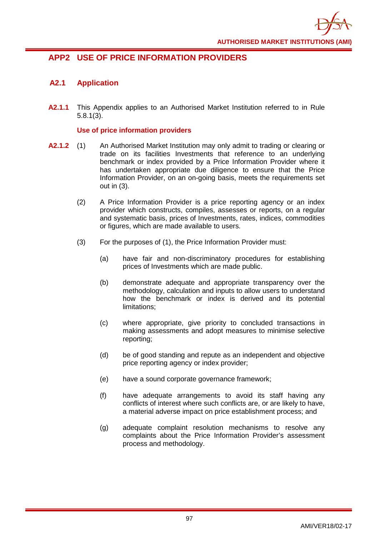

# **APP2 USE OF PRICE INFORMATION PROVIDERS**

## **A2.1 Application**

**A2.1.1** This Appendix applies to an Authorised Market Institution referred to in Rule 5.8.1(3).

## **Use of price information providers**

- **A2.1.2** (1) An Authorised Market Institution may only admit to trading or clearing or trade on its facilities Investments that reference to an underlying benchmark or index provided by a Price Information Provider where it has undertaken appropriate due diligence to ensure that the Price Information Provider, on an on-going basis, meets the requirements set out in (3).
	- (2) A Price Information Provider is a price reporting agency or an index provider which constructs, compiles, assesses or reports, on a regular and systematic basis, prices of Investments, rates, indices, commodities or figures, which are made available to users.
	- (3) For the purposes of (1), the Price Information Provider must:
		- (a) have fair and non-discriminatory procedures for establishing prices of Investments which are made public.
		- (b) demonstrate adequate and appropriate transparency over the methodology, calculation and inputs to allow users to understand how the benchmark or index is derived and its potential limitations;
		- (c) where appropriate, give priority to concluded transactions in making assessments and adopt measures to minimise selective reporting;
		- (d) be of good standing and repute as an independent and objective price reporting agency or index provider;
		- (e) have a sound corporate governance framework;
		- (f) have adequate arrangements to avoid its staff having any conflicts of interest where such conflicts are, or are likely to have, a material adverse impact on price establishment process; and
		- (g) adequate complaint resolution mechanisms to resolve any complaints about the Price Information Provider's assessment process and methodology.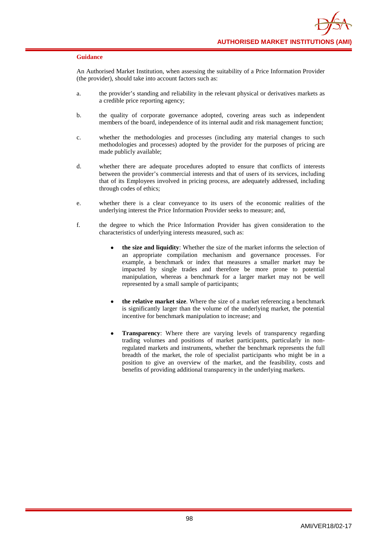An Authorised Market Institution, when assessing the suitability of a Price Information Provider (the provider), should take into account factors such as:

- a. the provider's standing and reliability in the relevant physical or derivatives markets as a credible price reporting agency;
- b. the quality of corporate governance adopted, covering areas such as independent members of the board, independence of its internal audit and risk management function;
- c. whether the methodologies and processes (including any material changes to such methodologies and processes) adopted by the provider for the purposes of pricing are made publicly available;
- d. whether there are adequate procedures adopted to ensure that conflicts of interests between the provider's commercial interests and that of users of its services, including that of its Employees involved in pricing process, are adequately addressed, including through codes of ethics;
- e. whether there is a clear conveyance to its users of the economic realities of the underlying interest the Price Information Provider seeks to measure; and,
- f. the degree to which the Price Information Provider has given consideration to the characteristics of underlying interests measured, such as:
	- **the size and liquidity**: Whether the size of the market informs the selection of an appropriate compilation mechanism and governance processes. For example, a benchmark or index that measures a smaller market may be impacted by single trades and therefore be more prone to potential manipulation, whereas a benchmark for a larger market may not be well represented by a small sample of participants;
	- **the relative market size**. Where the size of a market referencing a benchmark is significantly larger than the volume of the underlying market, the potential incentive for benchmark manipulation to increase; and
	- **Transparency**: Where there are varying levels of transparency regarding trading volumes and positions of market participants, particularly in nonregulated markets and instruments, whether the benchmark represents the full breadth of the market, the role of specialist participants who might be in a position to give an overview of the market, and the feasibility, costs and benefits of providing additional transparency in the underlying markets.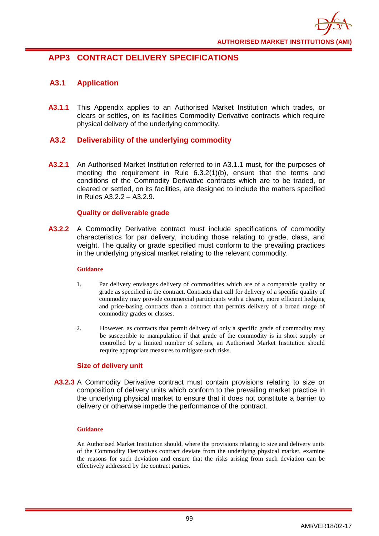

# **APP3 CONTRACT DELIVERY SPECIFICATIONS**

## **A3.1 Application**

**A3.1.1** This Appendix applies to an Authorised Market Institution which trades, or clears or settles, on its facilities Commodity Derivative contracts which require physical delivery of the underlying commodity.

## **A3.2 Deliverability of the underlying commodity**

**A3.2.1** An Authorised Market Institution referred to in A3.1.1 must, for the purposes of meeting the requirement in Rule 6.3.2(1)(b), ensure that the terms and conditions of the Commodity Derivative contracts which are to be traded, or cleared or settled, on its facilities, are designed to include the matters specified in Rules A3.2.2 – A3.2.9.

### **Quality or deliverable grade**

**A3.2.2** A Commodity Derivative contract must include specifications of commodity characteristics for par delivery, including those relating to grade, class, and weight. The quality or grade specified must conform to the prevailing practices in the underlying physical market relating to the relevant commodity.

#### **Guidance**

- 1. Par delivery envisages delivery of commodities which are of a comparable quality or grade as specified in the contract. Contracts that call for delivery of a specific quality of commodity may provide commercial participants with a clearer, more efficient hedging and price-basing contracts than a contract that permits delivery of a broad range of commodity grades or classes.
- 2. However, as contracts that permit delivery of only a specific grade of commodity may be susceptible to manipulation if that grade of the commodity is in short supply or controlled by a limited number of sellers, an Authorised Market Institution should require appropriate measures to mitigate such risks.

## **Size of delivery unit**

**A3.2.3** A Commodity Derivative contract must contain provisions relating to size or composition of delivery units which conform to the prevailing market practice in the underlying physical market to ensure that it does not constitute a barrier to delivery or otherwise impede the performance of the contract.

#### **Guidance**

An Authorised Market Institution should, where the provisions relating to size and delivery units of the Commodity Derivatives contract deviate from the underlying physical market, examine the reasons for such deviation and ensure that the risks arising from such deviation can be effectively addressed by the contract parties.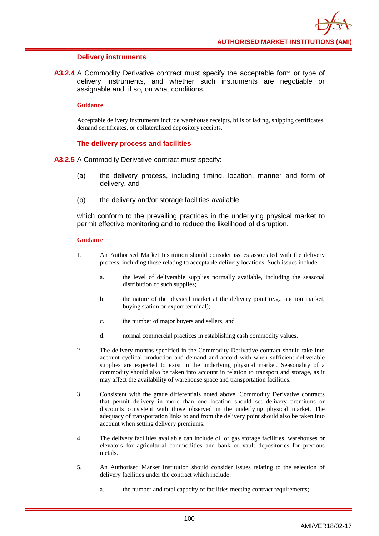#### **Delivery instruments**

**A3.2.4** A Commodity Derivative contract must specify the acceptable form or type of delivery instruments, and whether such instruments are negotiable or assignable and, if so, on what conditions.

#### **Guidance**

Acceptable delivery instruments include warehouse receipts, bills of lading, shipping certificates, demand certificates, or collateralized depository receipts.

### **The delivery process and facilities**

**A3.2.5** A Commodity Derivative contract must specify:

- (a) the delivery process, including timing, location, manner and form of delivery, and
- (b) the delivery and/or storage facilities available,

which conform to the prevailing practices in the underlying physical market to permit effective monitoring and to reduce the likelihood of disruption.

- 1. An Authorised Market Institution should consider issues associated with the delivery process, including those relating to acceptable delivery locations. Such issues include:
	- a. the level of deliverable supplies normally available, including the seasonal distribution of such supplies;
	- b. the nature of the physical market at the delivery point (e.g., auction market, buying station or export terminal);
	- c. the number of major buyers and sellers; and
	- d. normal commercial practices in establishing cash commodity values.
- 2. The delivery months specified in the Commodity Derivative contract should take into account cyclical production and demand and accord with when sufficient deliverable supplies are expected to exist in the underlying physical market. Seasonality of a commodity should also be taken into account in relation to transport and storage, as it may affect the availability of warehouse space and transportation facilities.
- 3. Consistent with the grade differentials noted above, Commodity Derivative contracts that permit delivery in more than one location should set delivery premiums or discounts consistent with those observed in the underlying physical market. The adequacy of transportation links to and from the delivery point should also be taken into account when setting delivery premiums.
- 4. The delivery facilities available can include oil or gas storage facilities, warehouses or elevators for agricultural commodities and bank or vault depositories for precious metals.
- 5. An Authorised Market Institution should consider issues relating to the selection of delivery facilities under the contract which include:
	- a. the number and total capacity of facilities meeting contract requirements;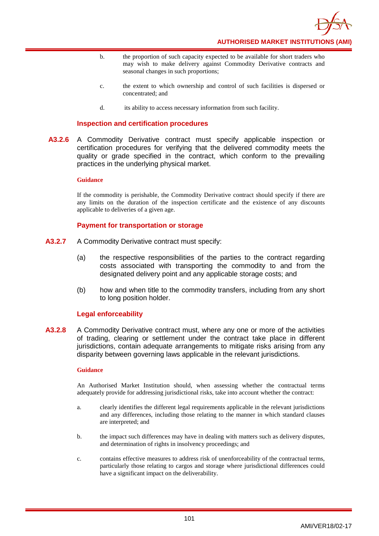

- b. the proportion of such capacity expected to be available for short traders who may wish to make delivery against Commodity Derivative contracts and seasonal changes in such proportions;
- c. the extent to which ownership and control of such facilities is dispersed or concentrated; and
- d. its ability to access necessary information from such facility.

#### **Inspection and certification procedures**

**A3.2.6** A Commodity Derivative contract must specify applicable inspection or certification procedures for verifying that the delivered commodity meets the quality or grade specified in the contract, which conform to the prevailing practices in the underlying physical market.

#### **Guidance**

If the commodity is perishable, the Commodity Derivative contract should specify if there are any limits on the duration of the inspection certificate and the existence of any discounts applicable to deliveries of a given age.

#### **Payment for transportation or storage**

- **A3.2.7** A Commodity Derivative contract must specify:
	- (a) the respective responsibilities of the parties to the contract regarding costs associated with transporting the commodity to and from the designated delivery point and any applicable storage costs; and
	- (b) how and when title to the commodity transfers, including from any short to long position holder.

#### **Legal enforceability**

**A3.2.8** A Commodity Derivative contract must, where any one or more of the activities of trading, clearing or settlement under the contract take place in different jurisdictions, contain adequate arrangements to mitigate risks arising from any disparity between governing laws applicable in the relevant jurisdictions.

#### **Guidance**

An Authorised Market Institution should, when assessing whether the contractual terms adequately provide for addressing jurisdictional risks, take into account whether the contract:

- a. clearly identifies the different legal requirements applicable in the relevant jurisdictions and any differences, including those relating to the manner in which standard clauses are interpreted; and
- b. the impact such differences may have in dealing with matters such as delivery disputes, and determination of rights in insolvency proceedings; and
- c. contains effective measures to address risk of unenforceability of the contractual terms, particularly those relating to cargos and storage where jurisdictional differences could have a significant impact on the deliverability.